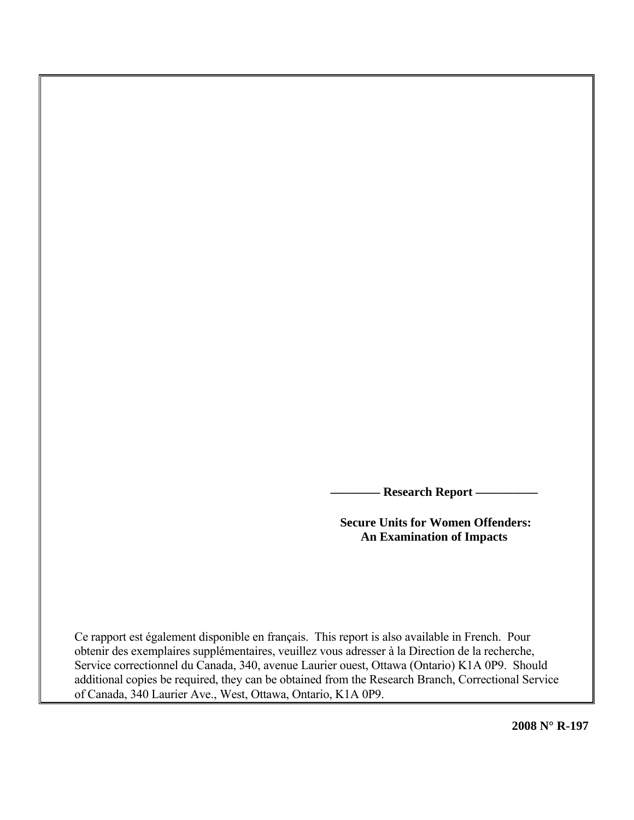**- Research Report –** 

 **Secure Units for Women Offenders: An Examination of Impacts** 

Ce rapport est également disponible en français. This report is also available in French. Pour obtenir des exemplaires supplémentaires, veuillez vous adresser à la Direction de la recherche, Service correctionnel du Canada, 340, avenue Laurier ouest, Ottawa (Ontario) K1A 0P9. Should additional copies be required, they can be obtained from the Research Branch, Correctional Service of Canada, 340 Laurier Ave., West, Ottawa, Ontario, K1A 0P9.

**2008 N° R-197**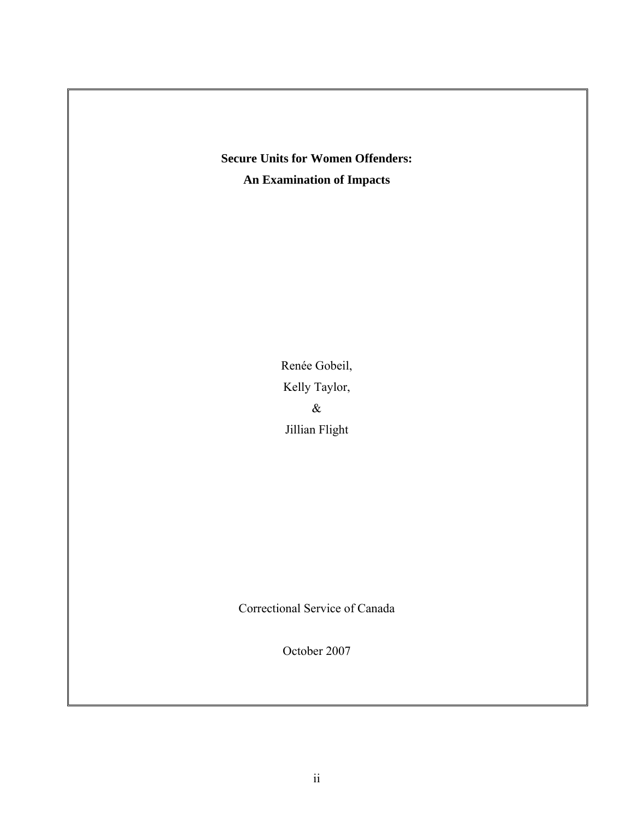# **Secure Units for Women Offenders: An Examination of Impacts**

Renée Gobeil, Kelly Taylor,  $\&$ Jillian Flight

Correctional Service of Canada

October 2007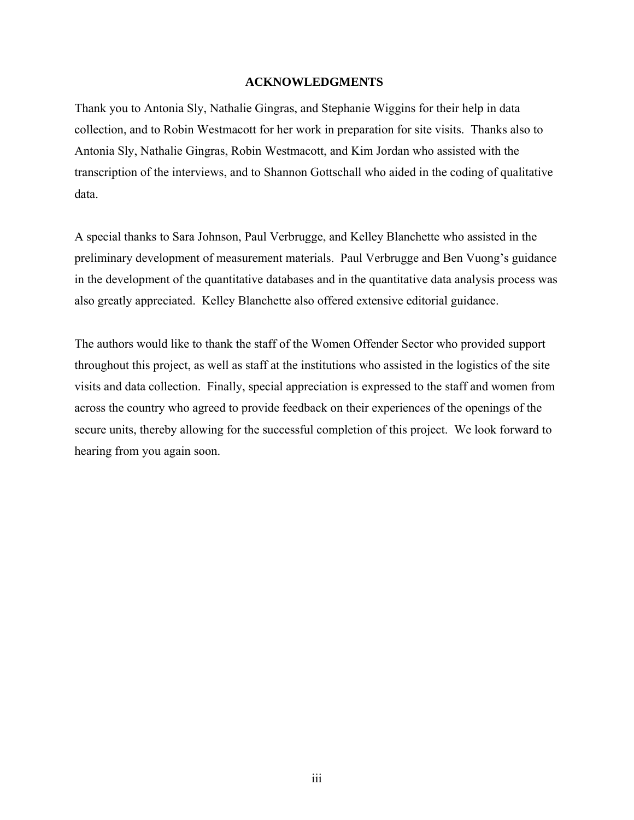#### **ACKNOWLEDGMENTS**

<span id="page-2-0"></span>Thank you to Antonia Sly, Nathalie Gingras, and Stephanie Wiggins for their help in data collection, and to Robin Westmacott for her work in preparation for site visits. Thanks also to Antonia Sly, Nathalie Gingras, Robin Westmacott, and Kim Jordan who assisted with the transcription of the interviews, and to Shannon Gottschall who aided in the coding of qualitative data.

A special thanks to Sara Johnson, Paul Verbrugge, and Kelley Blanchette who assisted in the preliminary development of measurement materials. Paul Verbrugge and Ben Vuong's guidance in the development of the quantitative databases and in the quantitative data analysis process was also greatly appreciated. Kelley Blanchette also offered extensive editorial guidance.

The authors would like to thank the staff of the Women Offender Sector who provided support throughout this project, as well as staff at the institutions who assisted in the logistics of the site visits and data collection. Finally, special appreciation is expressed to the staff and women from across the country who agreed to provide feedback on their experiences of the openings of the secure units, thereby allowing for the successful completion of this project. We look forward to hearing from you again soon.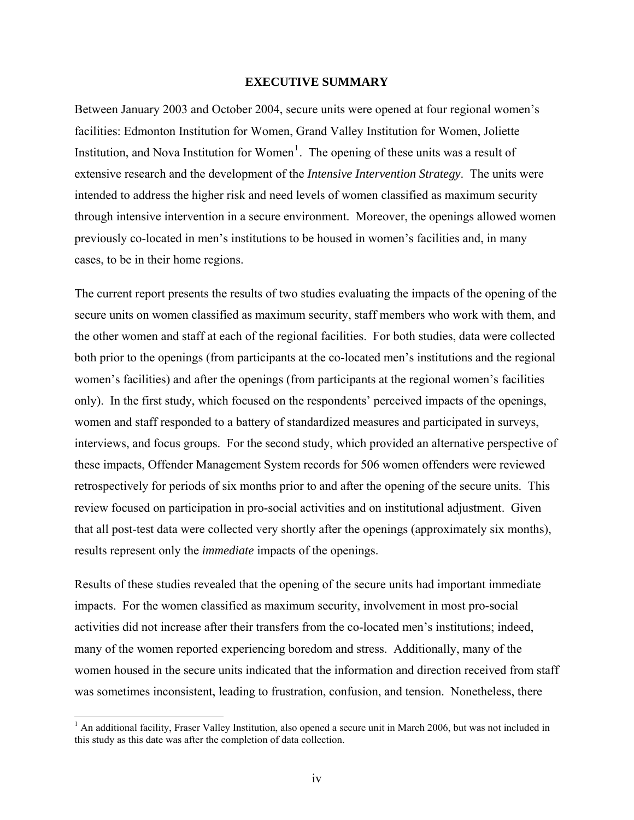#### **EXECUTIVE SUMMARY**

<span id="page-3-1"></span>Between January 2003 and October 2004, secure units were opened at four regional women's facilities: Edmonton Institution for Women, Grand Valley Institution for Women, Joliette Institution, and Nova Institution for Women<sup>[1](#page-3-0)</sup>. The opening of these units was a result of extensive research and the development of the *Intensive Intervention Strategy*. The units were intended to address the higher risk and need levels of women classified as maximum security through intensive intervention in a secure environment. Moreover, the openings allowed women previously co-located in men's institutions to be housed in women's facilities and, in many cases, to be in their home regions.

The current report presents the results of two studies evaluating the impacts of the opening of the secure units on women classified as maximum security, staff members who work with them, and the other women and staff at each of the regional facilities. For both studies, data were collected both prior to the openings (from participants at the co-located men's institutions and the regional women's facilities) and after the openings (from participants at the regional women's facilities only). In the first study, which focused on the respondents' perceived impacts of the openings, women and staff responded to a battery of standardized measures and participated in surveys, interviews, and focus groups. For the second study, which provided an alternative perspective of these impacts, Offender Management System records for 506 women offenders were reviewed retrospectively for periods of six months prior to and after the opening of the secure units. This review focused on participation in pro-social activities and on institutional adjustment. Given that all post-test data were collected very shortly after the openings (approximately six months), results represent only the *immediate* impacts of the openings.

Results of these studies revealed that the opening of the secure units had important immediate impacts. For the women classified as maximum security, involvement in most pro-social activities did not increase after their transfers from the co-located men's institutions; indeed, many of the women reported experiencing boredom and stress. Additionally, many of the women housed in the secure units indicated that the information and direction received from staff was sometimes inconsistent, leading to frustration, confusion, and tension. Nonetheless, there

 $\overline{a}$ 

<span id="page-3-0"></span><sup>&</sup>lt;sup>1</sup> An additional facility, Fraser Valley Institution, also opened a secure unit in March 2006, but was not included in this study as this date was after the completion of data collection.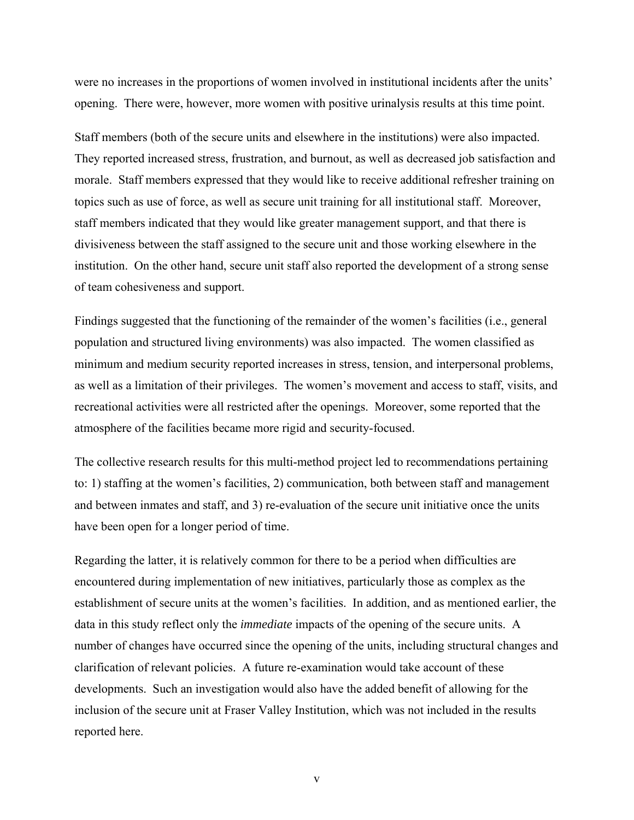were no increases in the proportions of women involved in institutional incidents after the units' opening. There were, however, more women with positive urinalysis results at this time point.

Staff members (both of the secure units and elsewhere in the institutions) were also impacted. They reported increased stress, frustration, and burnout, as well as decreased job satisfaction and morale. Staff members expressed that they would like to receive additional refresher training on topics such as use of force, as well as secure unit training for all institutional staff. Moreover, staff members indicated that they would like greater management support, and that there is divisiveness between the staff assigned to the secure unit and those working elsewhere in the institution. On the other hand, secure unit staff also reported the development of a strong sense of team cohesiveness and support.

Findings suggested that the functioning of the remainder of the women's facilities (i.e., general population and structured living environments) was also impacted. The women classified as minimum and medium security reported increases in stress, tension, and interpersonal problems, as well as a limitation of their privileges. The women's movement and access to staff, visits, and recreational activities were all restricted after the openings. Moreover, some reported that the atmosphere of the facilities became more rigid and security-focused.

The collective research results for this multi-method project led to recommendations pertaining to: 1) staffing at the women's facilities, 2) communication, both between staff and management and between inmates and staff, and 3) re-evaluation of the secure unit initiative once the units have been open for a longer period of time.

Regarding the latter, it is relatively common for there to be a period when difficulties are encountered during implementation of new initiatives, particularly those as complex as the establishment of secure units at the women's facilities. In addition, and as mentioned earlier, the data in this study reflect only the *immediate* impacts of the opening of the secure units. A number of changes have occurred since the opening of the units, including structural changes and clarification of relevant policies. A future re-examination would take account of these developments. Such an investigation would also have the added benefit of allowing for the inclusion of the secure unit at Fraser Valley Institution, which was not included in the results reported here.

v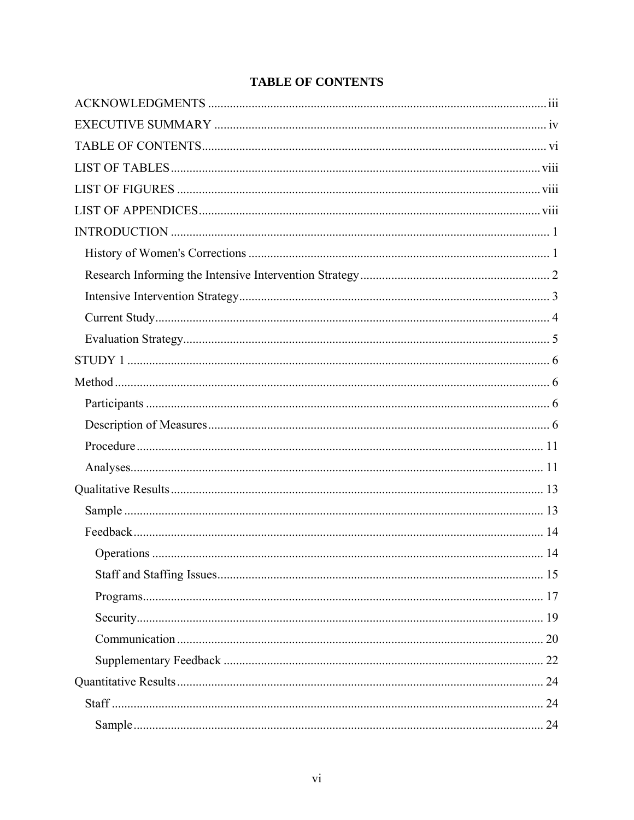<span id="page-5-0"></span>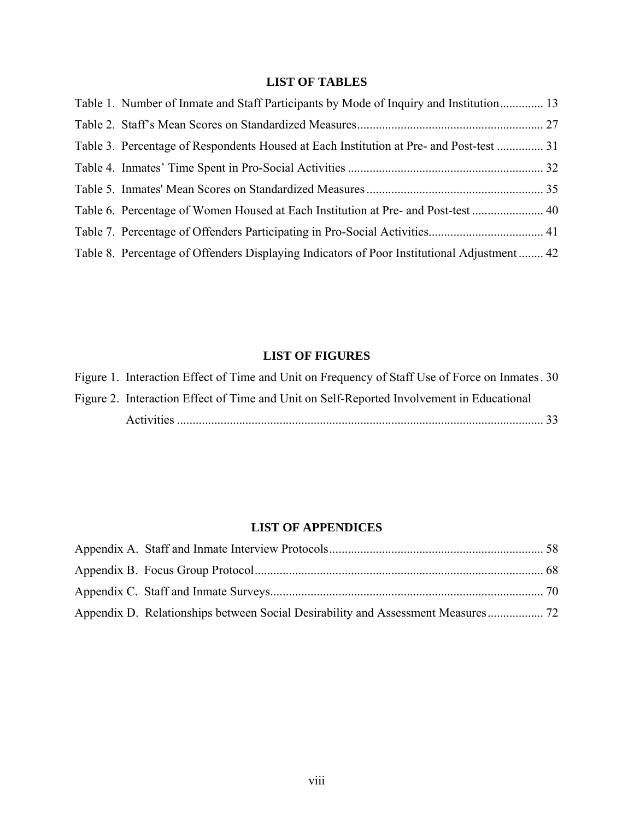# **LIST OF TABLES**

<span id="page-7-0"></span>

| Table 1. Number of Inmate and Staff Participants by Mode of Inquiry and Institution 13      |  |
|---------------------------------------------------------------------------------------------|--|
|                                                                                             |  |
| Table 3. Percentage of Respondents Housed at Each Institution at Pre- and Post-test  31     |  |
|                                                                                             |  |
|                                                                                             |  |
|                                                                                             |  |
|                                                                                             |  |
| Table 8. Percentage of Offenders Displaying Indicators of Poor Institutional Adjustment  42 |  |

# **LIST OF FIGURES**

| Figure 1. Interaction Effect of Time and Unit on Frequency of Staff Use of Force on Inmates 30 |      |
|------------------------------------------------------------------------------------------------|------|
| Figure 2. Interaction Effect of Time and Unit on Self-Reported Involvement in Educational      |      |
|                                                                                                | - 33 |

# **LIST OF APPENDICES**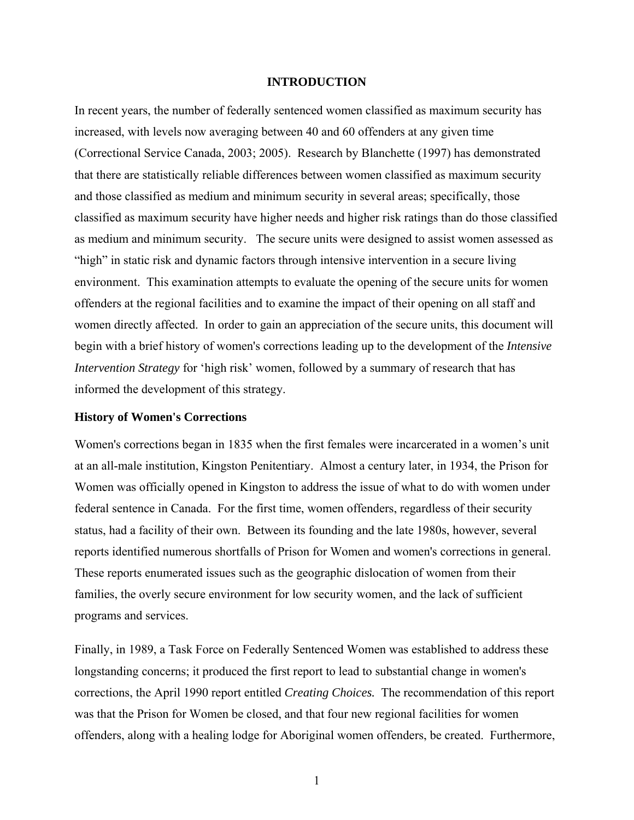#### **INTRODUCTION**

<span id="page-8-0"></span>In recent years, the number of federally sentenced women classified as maximum security has increased, with levels now averaging between 40 and 60 offenders at any given time (Correctional Service Canada, 2003; 2005). Research by Blanchette (1997) has demonstrated that there are statistically reliable differences between women classified as maximum security and those classified as medium and minimum security in several areas; specifically, those classified as maximum security have higher needs and higher risk ratings than do those classified as medium and minimum security. The secure units were designed to assist women assessed as "high" in static risk and dynamic factors through intensive intervention in a secure living environment. This examination attempts to evaluate the opening of the secure units for women offenders at the regional facilities and to examine the impact of their opening on all staff and women directly affected. In order to gain an appreciation of the secure units, this document will begin with a brief history of women's corrections leading up to the development of the *Intensive Intervention Strategy* for 'high risk' women, followed by a summary of research that has informed the development of this strategy.

#### **History of Women's Corrections**

Women's corrections began in 1835 when the first females were incarcerated in a women's unit at an all-male institution, Kingston Penitentiary. Almost a century later, in 1934, the Prison for Women was officially opened in Kingston to address the issue of what to do with women under federal sentence in Canada. For the first time, women offenders, regardless of their security status, had a facility of their own. Between its founding and the late 1980s, however, several reports identified numerous shortfalls of Prison for Women and women's corrections in general. These reports enumerated issues such as the geographic dislocation of women from their families, the overly secure environment for low security women, and the lack of sufficient programs and services.

Finally, in 1989, a Task Force on Federally Sentenced Women was established to address these longstanding concerns; it produced the first report to lead to substantial change in women's corrections, the April 1990 report entitled *Creating Choices.* The recommendation of this report was that the Prison for Women be closed, and that four new regional facilities for women offenders, along with a healing lodge for Aboriginal women offenders, be created. Furthermore,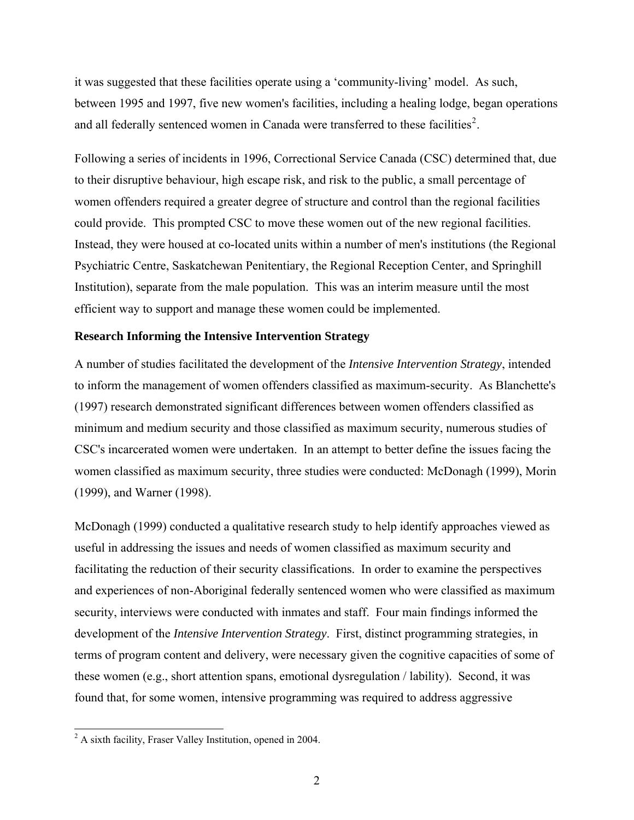<span id="page-9-0"></span>it was suggested that these facilities operate using a 'community-living' model. As such, between 1995 and 1997, five new women's facilities, including a healing lodge, began operations and all federally sentenced women in Canada were transferred to these facilities<sup>[2](#page-9-1)</sup>.

Following a series of incidents in 1996, Correctional Service Canada (CSC) determined that, due to their disruptive behaviour, high escape risk, and risk to the public, a small percentage of women offenders required a greater degree of structure and control than the regional facilities could provide. This prompted CSC to move these women out of the new regional facilities. Instead, they were housed at co-located units within a number of men's institutions (the Regional Psychiatric Centre, Saskatchewan Penitentiary, the Regional Reception Center, and Springhill Institution), separate from the male population. This was an interim measure until the most efficient way to support and manage these women could be implemented.

#### **Research Informing the Intensive Intervention Strategy**

A number of studies facilitated the development of the *Intensive Intervention Strategy*, intended to inform the management of women offenders classified as maximum-security. As Blanchette's (1997) research demonstrated significant differences between women offenders classified as minimum and medium security and those classified as maximum security, numerous studies of CSC's incarcerated women were undertaken. In an attempt to better define the issues facing the women classified as maximum security, three studies were conducted: McDonagh (1999), Morin (1999), and Warner (1998).

McDonagh (1999) conducted a qualitative research study to help identify approaches viewed as useful in addressing the issues and needs of women classified as maximum security and facilitating the reduction of their security classifications. In order to examine the perspectives and experiences of non-Aboriginal federally sentenced women who were classified as maximum security, interviews were conducted with inmates and staff. Four main findings informed the development of the *Intensive Intervention Strategy*. First, distinct programming strategies, in terms of program content and delivery, were necessary given the cognitive capacities of some of these women (e.g., short attention spans, emotional dysregulation / lability). Second, it was found that, for some women, intensive programming was required to address aggressive

 $\overline{\phantom{a}}$ 

<span id="page-9-1"></span> $2^2$  A sixth facility, Fraser Valley Institution, opened in 2004.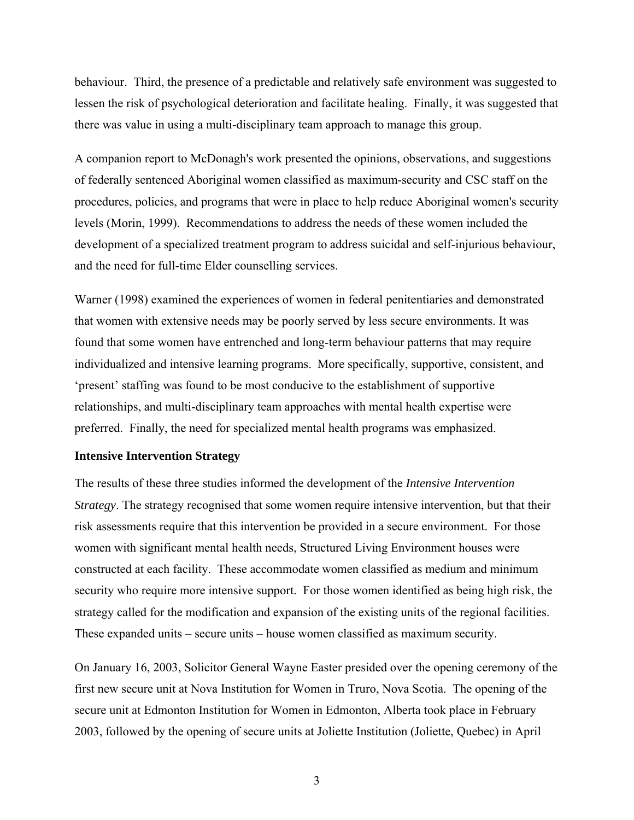<span id="page-10-0"></span>behaviour. Third, the presence of a predictable and relatively safe environment was suggested to lessen the risk of psychological deterioration and facilitate healing. Finally, it was suggested that there was value in using a multi-disciplinary team approach to manage this group.

A companion report to McDonagh's work presented the opinions, observations, and suggestions of federally sentenced Aboriginal women classified as maximum-security and CSC staff on the procedures, policies, and programs that were in place to help reduce Aboriginal women's security levels (Morin, 1999). Recommendations to address the needs of these women included the development of a specialized treatment program to address suicidal and self-injurious behaviour, and the need for full-time Elder counselling services.

Warner (1998) examined the experiences of women in federal penitentiaries and demonstrated that women with extensive needs may be poorly served by less secure environments. It was found that some women have entrenched and long-term behaviour patterns that may require individualized and intensive learning programs. More specifically, supportive, consistent, and 'present' staffing was found to be most conducive to the establishment of supportive relationships, and multi-disciplinary team approaches with mental health expertise were preferred. Finally, the need for specialized mental health programs was emphasized.

#### **Intensive Intervention Strategy**

The results of these three studies informed the development of the *Intensive Intervention Strategy*. The strategy recognised that some women require intensive intervention, but that their risk assessments require that this intervention be provided in a secure environment. For those women with significant mental health needs, Structured Living Environment houses were constructed at each facility. These accommodate women classified as medium and minimum security who require more intensive support. For those women identified as being high risk, the strategy called for the modification and expansion of the existing units of the regional facilities. These expanded units – secure units – house women classified as maximum security.

On January 16, 2003, Solicitor General Wayne Easter presided over the opening ceremony of the first new secure unit at Nova Institution for Women in Truro, Nova Scotia. The opening of the secure unit at Edmonton Institution for Women in Edmonton, Alberta took place in February 2003, followed by the opening of secure units at Joliette Institution (Joliette, Quebec) in April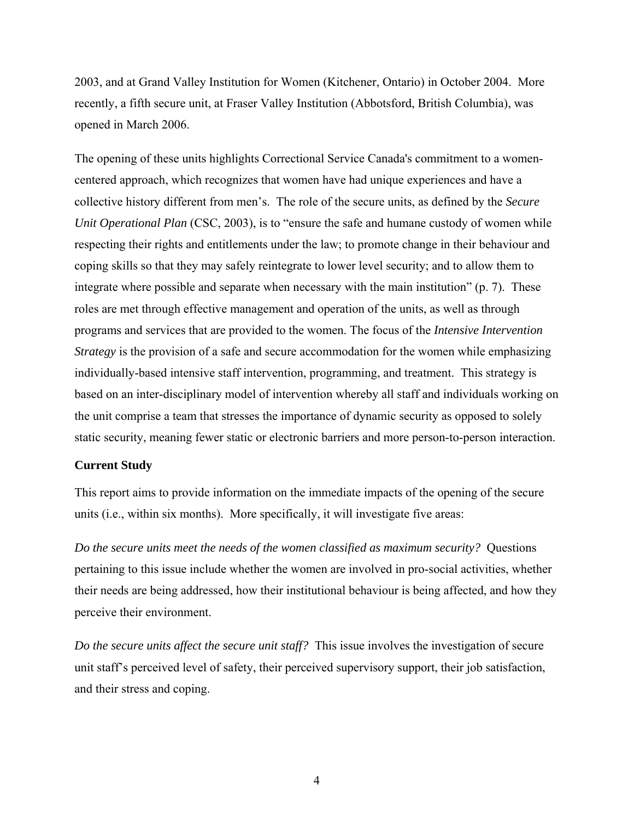<span id="page-11-0"></span>2003, and at Grand Valley Institution for Women (Kitchener, Ontario) in October 2004. More recently, a fifth secure unit, at Fraser Valley Institution (Abbotsford, British Columbia), was opened in March 2006.

The opening of these units highlights Correctional Service Canada's commitment to a womencentered approach, which recognizes that women have had unique experiences and have a collective history different from men's. The role of the secure units, as defined by the *Secure Unit Operational Plan* (CSC, 2003), is to "ensure the safe and humane custody of women while respecting their rights and entitlements under the law; to promote change in their behaviour and coping skills so that they may safely reintegrate to lower level security; and to allow them to integrate where possible and separate when necessary with the main institution" (p. 7). These roles are met through effective management and operation of the units, as well as through programs and services that are provided to the women. The focus of the *Intensive Intervention Strategy* is the provision of a safe and secure accommodation for the women while emphasizing individually-based intensive staff intervention, programming, and treatment. This strategy is based on an inter-disciplinary model of intervention whereby all staff and individuals working on the unit comprise a team that stresses the importance of dynamic security as opposed to solely static security, meaning fewer static or electronic barriers and more person-to-person interaction.

#### **Current Study**

This report aims to provide information on the immediate impacts of the opening of the secure units (i.e., within six months). More specifically, it will investigate five areas:

*Do the secure units meet the needs of the women classified as maximum security?* Questions pertaining to this issue include whether the women are involved in pro-social activities, whether their needs are being addressed, how their institutional behaviour is being affected, and how they perceive their environment.

*Do the secure units affect the secure unit staff?* This issue involves the investigation of secure unit staff's perceived level of safety, their perceived supervisory support, their job satisfaction, and their stress and coping.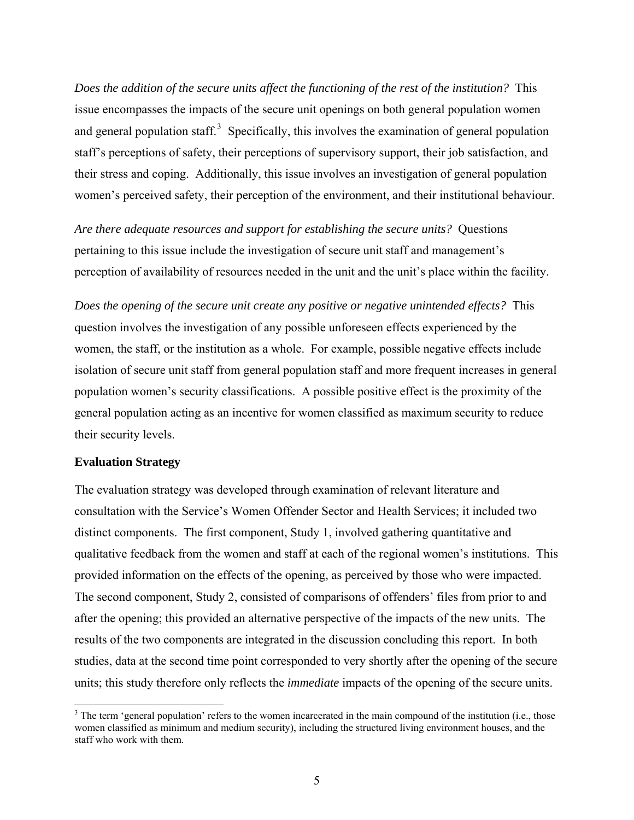<span id="page-12-0"></span>*Does the addition of the secure units affect the functioning of the rest of the institution?* This issue encompasses the impacts of the secure unit openings on both general population women and general population staff. $3$  Specifically, this involves the examination of general population staff's perceptions of safety, their perceptions of supervisory support, their job satisfaction, and their stress and coping. Additionally, this issue involves an investigation of general population women's perceived safety, their perception of the environment, and their institutional behaviour.

*Are there adequate resources and support for establishing the secure units?* Questions pertaining to this issue include the investigation of secure unit staff and management's perception of availability of resources needed in the unit and the unit's place within the facility.

*Does the opening of the secure unit create any positive or negative unintended effects?* This question involves the investigation of any possible unforeseen effects experienced by the women, the staff, or the institution as a whole. For example, possible negative effects include isolation of secure unit staff from general population staff and more frequent increases in general population women's security classifications. A possible positive effect is the proximity of the general population acting as an incentive for women classified as maximum security to reduce their security levels.

# **Evaluation Strategy**

l

The evaluation strategy was developed through examination of relevant literature and consultation with the Service's Women Offender Sector and Health Services; it included two distinct components. The first component, Study 1, involved gathering quantitative and qualitative feedback from the women and staff at each of the regional women's institutions. This provided information on the effects of the opening, as perceived by those who were impacted. The second component, Study 2, consisted of comparisons of offenders' files from prior to and after the opening; this provided an alternative perspective of the impacts of the new units. The results of the two components are integrated in the discussion concluding this report. In both studies, data at the second time point corresponded to very shortly after the opening of the secure units; this study therefore only reflects the *immediate* impacts of the opening of the secure units.

<span id="page-12-1"></span> $3$  The term 'general population' refers to the women incarcerated in the main compound of the institution (i.e., those women classified as minimum and medium security), including the structured living environment houses, and the staff who work with them.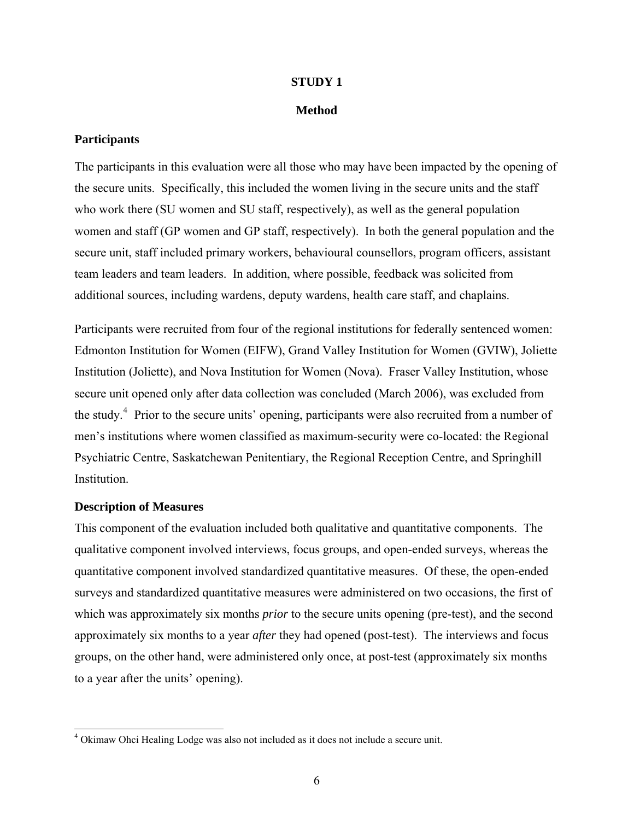#### **STUDY 1**

#### **Method**

# <span id="page-13-0"></span>**Participants**

The participants in this evaluation were all those who may have been impacted by the opening of the secure units. Specifically, this included the women living in the secure units and the staff who work there (SU women and SU staff, respectively), as well as the general population women and staff (GP women and GP staff, respectively). In both the general population and the secure unit, staff included primary workers, behavioural counsellors, program officers, assistant team leaders and team leaders. In addition, where possible, feedback was solicited from additional sources, including wardens, deputy wardens, health care staff, and chaplains.

Participants were recruited from four of the regional institutions for federally sentenced women: Edmonton Institution for Women (EIFW), Grand Valley Institution for Women (GVIW), Joliette Institution (Joliette), and Nova Institution for Women (Nova). Fraser Valley Institution, whose secure unit opened only after data collection was concluded (March 2006), was excluded from the study.<sup>[4](#page-13-1)</sup> Prior to the secure units' opening, participants were also recruited from a number of men's institutions where women classified as maximum-security were co-located: the Regional Psychiatric Centre, Saskatchewan Penitentiary, the Regional Reception Centre, and Springhill **Institution** 

# **Description of Measures**

 $\overline{\phantom{a}}$ 

This component of the evaluation included both qualitative and quantitative components. The qualitative component involved interviews, focus groups, and open-ended surveys, whereas the quantitative component involved standardized quantitative measures. Of these, the open-ended surveys and standardized quantitative measures were administered on two occasions, the first of which was approximately six months *prior* to the secure units opening (pre-test), and the second approximately six months to a year *after* they had opened (post-test). The interviews and focus groups, on the other hand, were administered only once, at post-test (approximately six months to a year after the units' opening).

<span id="page-13-1"></span><sup>&</sup>lt;sup>4</sup> Okimaw Ohci Healing Lodge was also not included as it does not include a secure unit.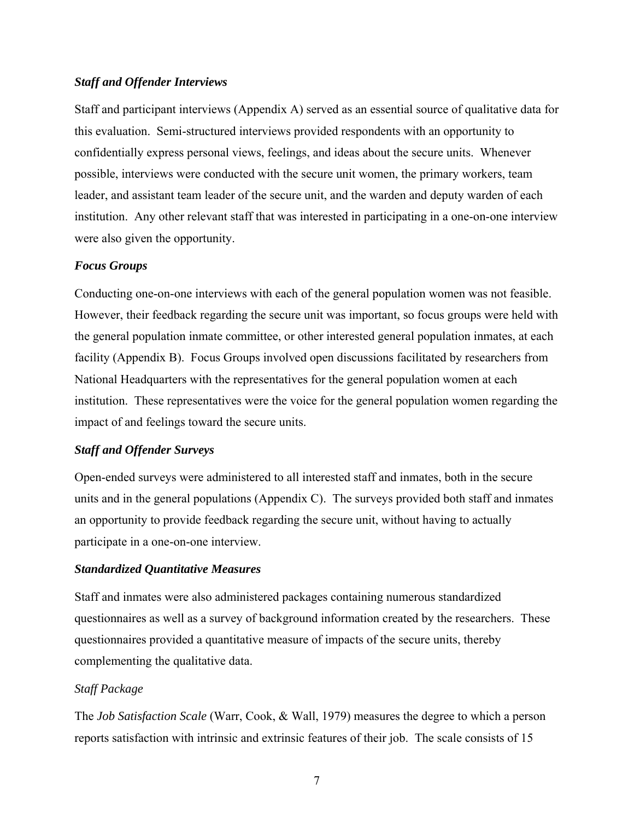# *Staff and Offender Interviews*

Staff and participant interviews (Appendix A) served as an essential source of qualitative data for this evaluation. Semi-structured interviews provided respondents with an opportunity to confidentially express personal views, feelings, and ideas about the secure units. Whenever possible, interviews were conducted with the secure unit women, the primary workers, team leader, and assistant team leader of the secure unit, and the warden and deputy warden of each institution. Any other relevant staff that was interested in participating in a one-on-one interview were also given the opportunity.

# *Focus Groups*

Conducting one-on-one interviews with each of the general population women was not feasible. However, their feedback regarding the secure unit was important, so focus groups were held with the general population inmate committee, or other interested general population inmates, at each facility (Appendix B). Focus Groups involved open discussions facilitated by researchers from National Headquarters with the representatives for the general population women at each institution. These representatives were the voice for the general population women regarding the impact of and feelings toward the secure units.

# *Staff and Offender Surveys*

Open-ended surveys were administered to all interested staff and inmates, both in the secure units and in the general populations (Appendix C). The surveys provided both staff and inmates an opportunity to provide feedback regarding the secure unit, without having to actually participate in a one-on-one interview.

# *Standardized Quantitative Measures*

Staff and inmates were also administered packages containing numerous standardized questionnaires as well as a survey of background information created by the researchers. These questionnaires provided a quantitative measure of impacts of the secure units, thereby complementing the qualitative data.

# *Staff Package*

The *Job Satisfaction Scale* (Warr, Cook, & Wall, 1979) measures the degree to which a person reports satisfaction with intrinsic and extrinsic features of their job. The scale consists of 15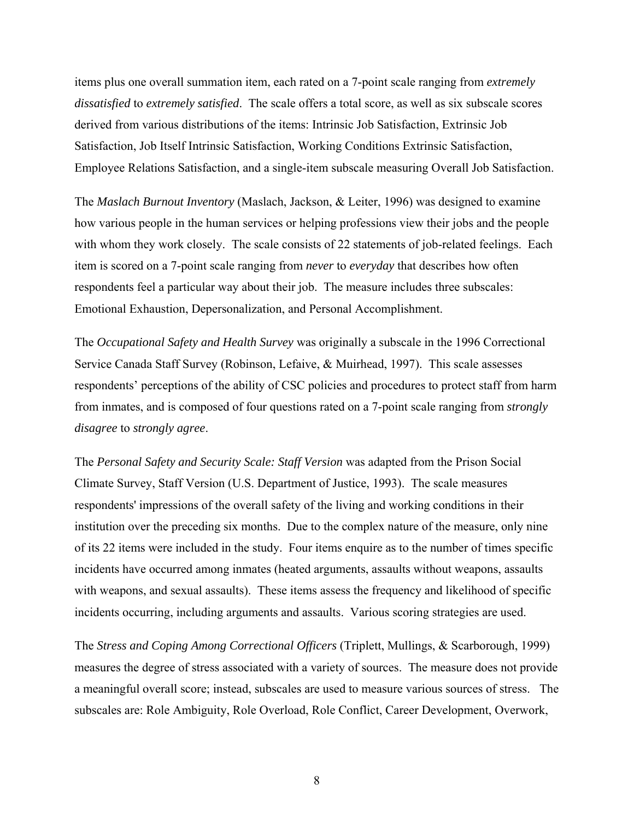items plus one overall summation item, each rated on a 7-point scale ranging from *extremely dissatisfied* to *extremely satisfied*. The scale offers a total score, as well as six subscale scores derived from various distributions of the items: Intrinsic Job Satisfaction, Extrinsic Job Satisfaction, Job Itself Intrinsic Satisfaction, Working Conditions Extrinsic Satisfaction, Employee Relations Satisfaction, and a single-item subscale measuring Overall Job Satisfaction.

The *Maslach Burnout Inventory* (Maslach, Jackson, & Leiter, 1996) was designed to examine how various people in the human services or helping professions view their jobs and the people with whom they work closely. The scale consists of 22 statements of job-related feelings. Each item is scored on a 7-point scale ranging from *never* to *everyday* that describes how often respondents feel a particular way about their job. The measure includes three subscales: Emotional Exhaustion, Depersonalization, and Personal Accomplishment.

The *Occupational Safety and Health Survey* was originally a subscale in the 1996 Correctional Service Canada Staff Survey (Robinson, Lefaive, & Muirhead, 1997). This scale assesses respondents' perceptions of the ability of CSC policies and procedures to protect staff from harm from inmates, and is composed of four questions rated on a 7-point scale ranging from *strongly disagree* to *strongly agree*.

The *Personal Safety and Security Scale: Staff Version* was adapted from the Prison Social Climate Survey, Staff Version (U.S. Department of Justice, 1993). The scale measures respondents' impressions of the overall safety of the living and working conditions in their institution over the preceding six months. Due to the complex nature of the measure, only nine of its 22 items were included in the study. Four items enquire as to the number of times specific incidents have occurred among inmates (heated arguments, assaults without weapons, assaults with weapons, and sexual assaults). These items assess the frequency and likelihood of specific incidents occurring, including arguments and assaults. Various scoring strategies are used.

The *Stress and Coping Among Correctional Officers* (Triplett, Mullings, & Scarborough, 1999) measures the degree of stress associated with a variety of sources. The measure does not provide a meaningful overall score; instead, subscales are used to measure various sources of stress. The subscales are: Role Ambiguity, Role Overload, Role Conflict, Career Development, Overwork,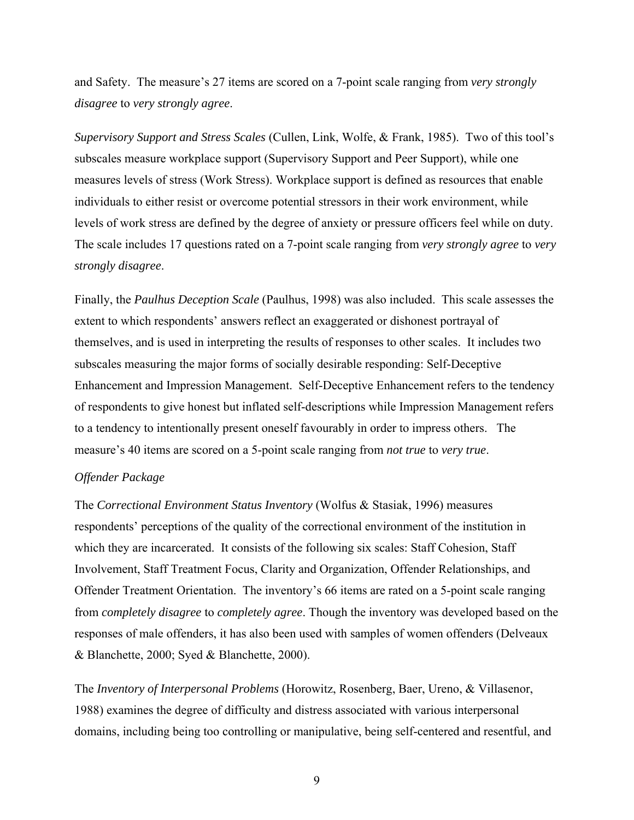and Safety. The measure's 27 items are scored on a 7-point scale ranging from *very strongly disagree* to *very strongly agree*.

*Supervisory Support and Stress Scales* (Cullen, Link, Wolfe, & Frank, 1985). Two of this tool's subscales measure workplace support (Supervisory Support and Peer Support), while one measures levels of stress (Work Stress). Workplace support is defined as resources that enable individuals to either resist or overcome potential stressors in their work environment, while levels of work stress are defined by the degree of anxiety or pressure officers feel while on duty. The scale includes 17 questions rated on a 7-point scale ranging from *very strongly agree* to *very strongly disagree*.

Finally, the *Paulhus Deception Scale* (Paulhus, 1998) was also included. This scale assesses the extent to which respondents' answers reflect an exaggerated or dishonest portrayal of themselves, and is used in interpreting the results of responses to other scales. It includes two subscales measuring the major forms of socially desirable responding: Self-Deceptive Enhancement and Impression Management. Self-Deceptive Enhancement refers to the tendency of respondents to give honest but inflated self-descriptions while Impression Management refers to a tendency to intentionally present oneself favourably in order to impress others. The measure's 40 items are scored on a 5-point scale ranging from *not true* to *very true*.

# *Offender Package*

The *Correctional Environment Status Inventory* (Wolfus & Stasiak, 1996) measures respondents' perceptions of the quality of the correctional environment of the institution in which they are incarcerated. It consists of the following six scales: Staff Cohesion, Staff Involvement, Staff Treatment Focus, Clarity and Organization, Offender Relationships, and Offender Treatment Orientation. The inventory's 66 items are rated on a 5-point scale ranging from *completely disagree* to *completely agree*. Though the inventory was developed based on the responses of male offenders, it has also been used with samples of women offenders (Delveaux & Blanchette, 2000; Syed & Blanchette, 2000).

The *Inventory of Interpersonal Problems* (Horowitz, Rosenberg, Baer, Ureno, & Villasenor, 1988) examines the degree of difficulty and distress associated with various interpersonal domains, including being too controlling or manipulative, being self-centered and resentful, and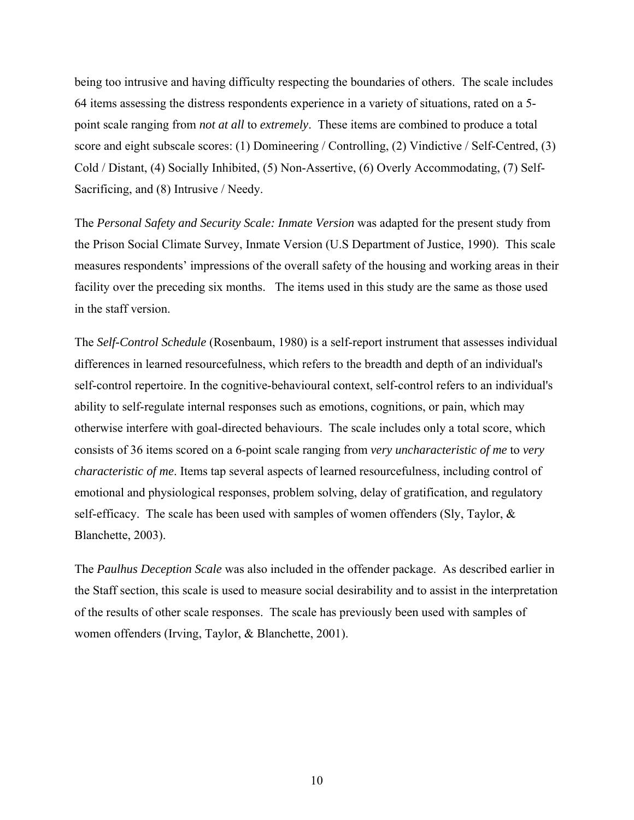being too intrusive and having difficulty respecting the boundaries of others. The scale includes 64 items assessing the distress respondents experience in a variety of situations, rated on a 5 point scale ranging from *not at all* to *extremely*. These items are combined to produce a total score and eight subscale scores: (1) Domineering / Controlling, (2) Vindictive / Self-Centred, (3) Cold / Distant, (4) Socially Inhibited, (5) Non-Assertive, (6) Overly Accommodating, (7) Self-Sacrificing, and (8) Intrusive / Needy.

The *Personal Safety and Security Scale: Inmate Version* was adapted for the present study from the Prison Social Climate Survey, Inmate Version (U.S Department of Justice, 1990). This scale measures respondents' impressions of the overall safety of the housing and working areas in their facility over the preceding six months. The items used in this study are the same as those used in the staff version.

The *Self-Control Schedule* (Rosenbaum, 1980) is a self-report instrument that assesses individual differences in learned resourcefulness, which refers to the breadth and depth of an individual's self-control repertoire. In the cognitive-behavioural context, self-control refers to an individual's ability to self-regulate internal responses such as emotions, cognitions, or pain, which may otherwise interfere with goal-directed behaviours. The scale includes only a total score, which consists of 36 items scored on a 6-point scale ranging from *very uncharacteristic of me* to *very characteristic of me*. Items tap several aspects of learned resourcefulness, including control of emotional and physiological responses, problem solving, delay of gratification, and regulatory self-efficacy. The scale has been used with samples of women offenders (Sly, Taylor,  $\&$ Blanchette, 2003).

The *Paulhus Deception Scale* was also included in the offender package. As described earlier in the Staff section, this scale is used to measure social desirability and to assist in the interpretation of the results of other scale responses. The scale has previously been used with samples of women offenders (Irving, Taylor, & Blanchette, 2001).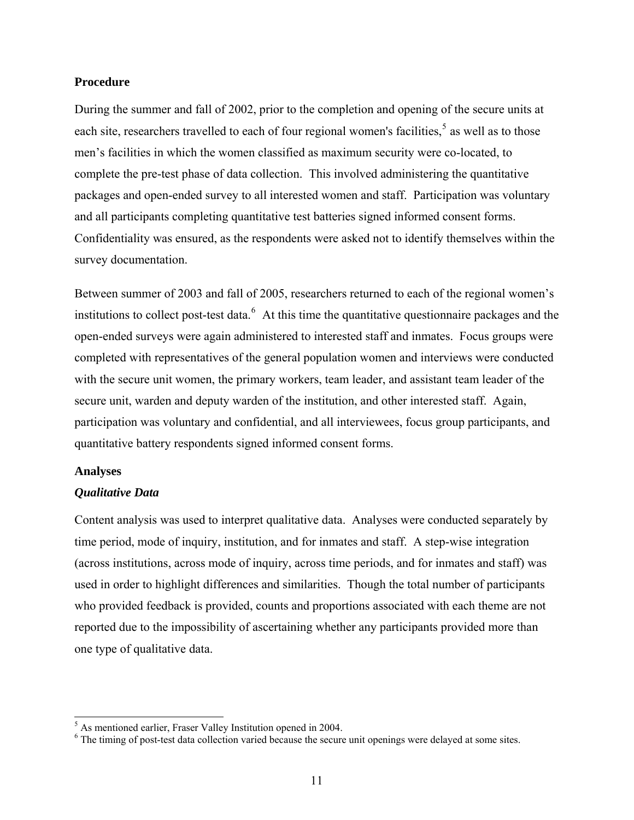#### <span id="page-18-0"></span>**Procedure**

During the summer and fall of 2002, prior to the completion and opening of the secure units at each site, researchers travelled to each of four regional women's facilities,  $5$  as well as to those men's facilities in which the women classified as maximum security were co-located, to complete the pre-test phase of data collection. This involved administering the quantitative packages and open-ended survey to all interested women and staff. Participation was voluntary and all participants completing quantitative test batteries signed informed consent forms. Confidentiality was ensured, as the respondents were asked not to identify themselves within the survey documentation.

Between summer of 2003 and fall of 2005, researchers returned to each of the regional women's institutions to collect post-test data.  $6$  At this time the quantitative questionnaire packages and the open-ended surveys were again administered to interested staff and inmates. Focus groups were completed with representatives of the general population women and interviews were conducted with the secure unit women, the primary workers, team leader, and assistant team leader of the secure unit, warden and deputy warden of the institution, and other interested staff. Again, participation was voluntary and confidential, and all interviewees, focus group participants, and quantitative battery respondents signed informed consent forms.

# **Analyses**

 $\overline{\phantom{a}}$ 

#### *Qualitative Data*

Content analysis was used to interpret qualitative data. Analyses were conducted separately by time period, mode of inquiry, institution, and for inmates and staff. A step-wise integration (across institutions, across mode of inquiry, across time periods, and for inmates and staff) was used in order to highlight differences and similarities. Though the total number of participants who provided feedback is provided, counts and proportions associated with each theme are not reported due to the impossibility of ascertaining whether any participants provided more than one type of qualitative data.

<span id="page-18-1"></span><sup>&</sup>lt;sup>5</sup> As mentioned earlier, Fraser Valley Institution opened in 2004.

<span id="page-18-2"></span><sup>&</sup>lt;sup>6</sup> The timing of post-test data collection varied because the secure unit openings were delayed at some sites.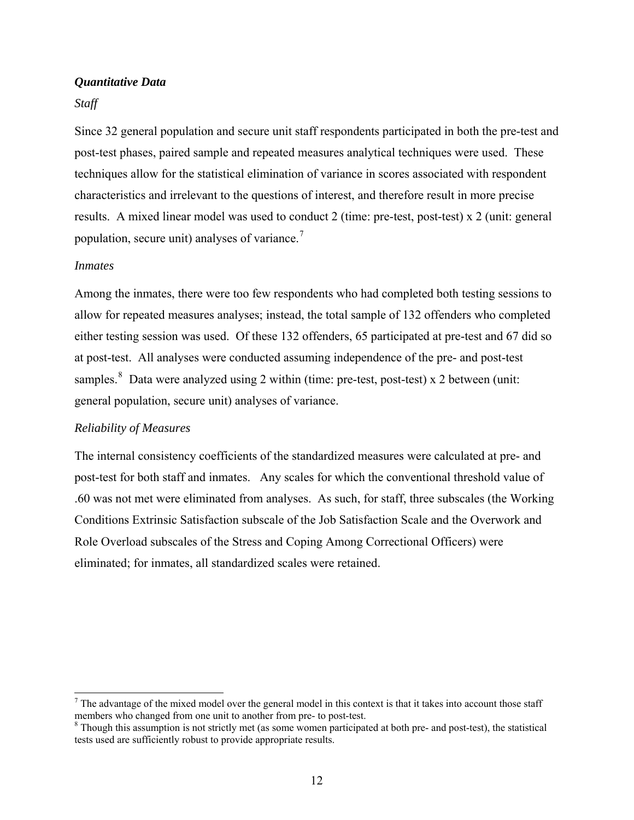# *Quantitative Data*

#### *Staff*

Since 32 general population and secure unit staff respondents participated in both the pre-test and post-test phases, paired sample and repeated measures analytical techniques were used. These techniques allow for the statistical elimination of variance in scores associated with respondent characteristics and irrelevant to the questions of interest, and therefore result in more precise results. A mixed linear model was used to conduct 2 (time: pre-test, post-test) x 2 (unit: general population, secure unit) analyses of variance.[7](#page-19-0) 

#### *Inmates*

 $\overline{\phantom{a}}$ 

Among the inmates, there were too few respondents who had completed both testing sessions to allow for repeated measures analyses; instead, the total sample of 132 offenders who completed either testing session was used. Of these 132 offenders, 65 participated at pre-test and 67 did so at post-test. All analyses were conducted assuming independence of the pre- and post-test samples.<sup>[8](#page-19-1)</sup> Data were analyzed using 2 within (time: pre-test, post-test) x 2 between (unit: general population, secure unit) analyses of variance.

#### *Reliability of Measures*

The internal consistency coefficients of the standardized measures were calculated at pre- and post-test for both staff and inmates. Any scales for which the conventional threshold value of .60 was not met were eliminated from analyses. As such, for staff, three subscales (the Working Conditions Extrinsic Satisfaction subscale of the Job Satisfaction Scale and the Overwork and Role Overload subscales of the Stress and Coping Among Correctional Officers) were eliminated; for inmates, all standardized scales were retained.

<span id="page-19-0"></span> $<sup>7</sup>$  The advantage of the mixed model over the general model in this context is that it takes into account those staff</sup> members who changed from one unit to another from pre- to post-test.

<span id="page-19-1"></span> $8$  Though this assumption is not strictly met (as some women participated at both pre- and post-test), the statistical tests used are sufficiently robust to provide appropriate results.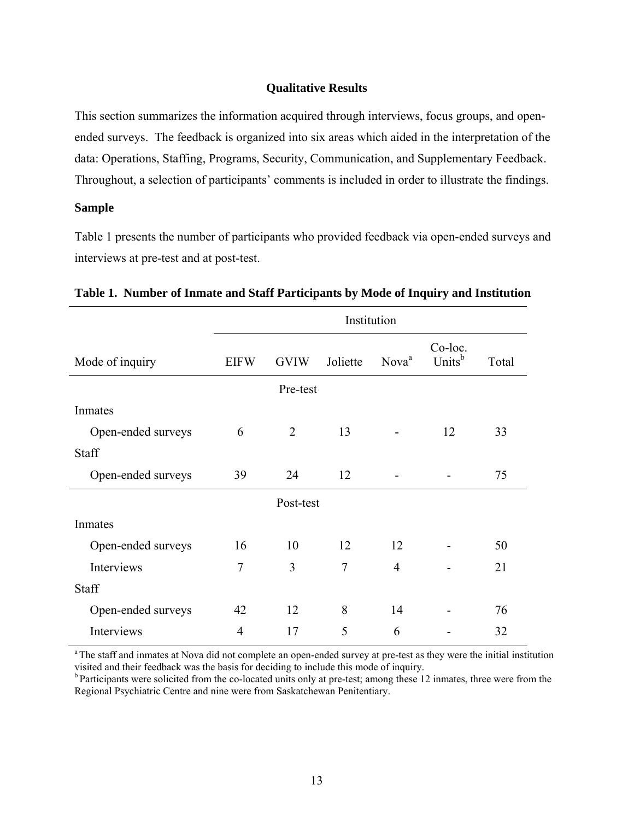# **Qualitative Results**

<span id="page-20-0"></span>This section summarizes the information acquired through interviews, focus groups, and openended surveys. The feedback is organized into six areas which aided in the interpretation of the data: Operations, Staffing, Programs, Security, Communication, and Supplementary Feedback. Throughout, a selection of participants' comments is included in order to illustrate the findings.

### **Sample**

Table 1 presents the number of participants who provided feedback via open-ended surveys and interviews at pre-test and at post-test.

|                    | Institution    |                |                |                   |                               |       |  |
|--------------------|----------------|----------------|----------------|-------------------|-------------------------------|-------|--|
| Mode of inquiry    | <b>EIFW</b>    | <b>GVIW</b>    | Joliette       | Nova <sup>a</sup> | Co-loc.<br>Units <sup>b</sup> | Total |  |
| Pre-test           |                |                |                |                   |                               |       |  |
| Inmates            |                |                |                |                   |                               |       |  |
| Open-ended surveys | 6              | $\overline{2}$ | 13             |                   | 12                            | 33    |  |
| Staff              |                |                |                |                   |                               |       |  |
| Open-ended surveys | 39             | 24             | 12             |                   |                               | 75    |  |
| Post-test          |                |                |                |                   |                               |       |  |
| Inmates            |                |                |                |                   |                               |       |  |
| Open-ended surveys | 16             | 10             | 12             | 12                |                               | 50    |  |
| Interviews         | $\overline{7}$ | 3              | $\overline{7}$ | $\overline{4}$    |                               | 21    |  |
| <b>Staff</b>       |                |                |                |                   |                               |       |  |
| Open-ended surveys | 42             | 12             | 8              | 14                |                               | 76    |  |
| Interviews         | $\overline{4}$ | 17             | 5              | 6                 |                               | 32    |  |

**Table 1. Number of Inmate and Staff Participants by Mode of Inquiry and Institution** 

<sup>a</sup> The staff and inmates at Nova did not complete an open-ended survey at pre-test as they were the initial institution visited and their feedback was the basis for deciding to include this mode of inquiry.

b Participants were solicited from the co-located units only at pre-test; among these 12 inmates, three were from the Regional Psychiatric Centre and nine were from Saskatchewan Penitentiary.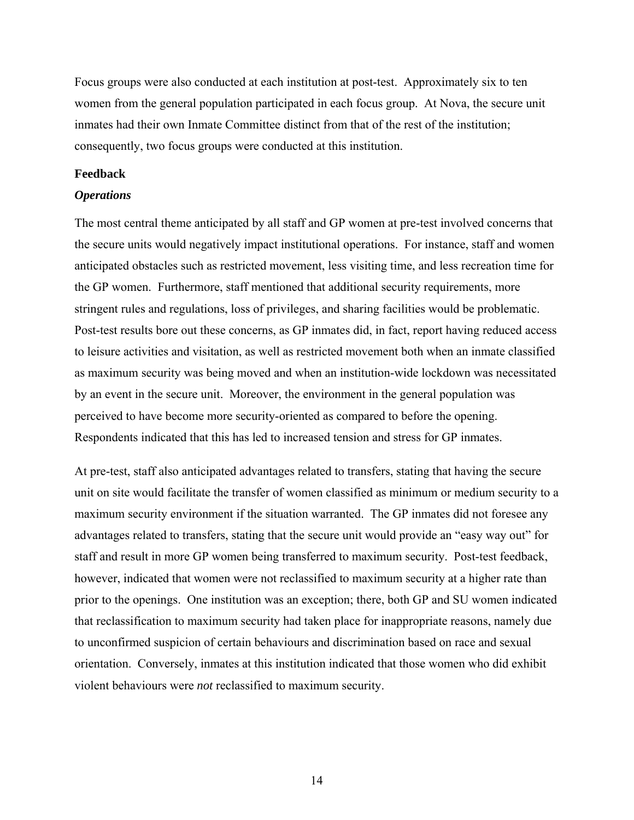<span id="page-21-0"></span>Focus groups were also conducted at each institution at post-test. Approximately six to ten women from the general population participated in each focus group. At Nova, the secure unit inmates had their own Inmate Committee distinct from that of the rest of the institution; consequently, two focus groups were conducted at this institution.

#### **Feedback**

#### *Operations*

The most central theme anticipated by all staff and GP women at pre-test involved concerns that the secure units would negatively impact institutional operations. For instance, staff and women anticipated obstacles such as restricted movement, less visiting time, and less recreation time for the GP women. Furthermore, staff mentioned that additional security requirements, more stringent rules and regulations, loss of privileges, and sharing facilities would be problematic. Post-test results bore out these concerns, as GP inmates did, in fact, report having reduced access to leisure activities and visitation, as well as restricted movement both when an inmate classified as maximum security was being moved and when an institution-wide lockdown was necessitated by an event in the secure unit. Moreover, the environment in the general population was perceived to have become more security-oriented as compared to before the opening. Respondents indicated that this has led to increased tension and stress for GP inmates.

At pre-test, staff also anticipated advantages related to transfers, stating that having the secure unit on site would facilitate the transfer of women classified as minimum or medium security to a maximum security environment if the situation warranted. The GP inmates did not foresee any advantages related to transfers, stating that the secure unit would provide an "easy way out" for staff and result in more GP women being transferred to maximum security. Post-test feedback, however, indicated that women were not reclassified to maximum security at a higher rate than prior to the openings. One institution was an exception; there, both GP and SU women indicated that reclassification to maximum security had taken place for inappropriate reasons, namely due to unconfirmed suspicion of certain behaviours and discrimination based on race and sexual orientation. Conversely, inmates at this institution indicated that those women who did exhibit violent behaviours were *not* reclassified to maximum security.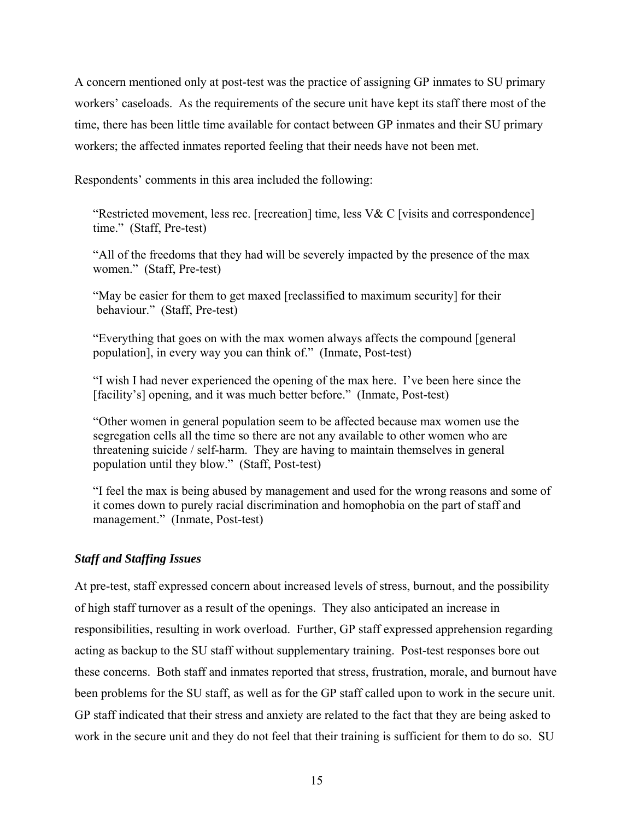<span id="page-22-0"></span>A concern mentioned only at post-test was the practice of assigning GP inmates to SU primary workers' caseloads. As the requirements of the secure unit have kept its staff there most of the time, there has been little time available for contact between GP inmates and their SU primary workers; the affected inmates reported feeling that their needs have not been met.

Respondents' comments in this area included the following:

"Restricted movement, less rec. [recreation] time, less V& C [visits and correspondence] time." (Staff, Pre-test)

"All of the freedoms that they had will be severely impacted by the presence of the max women." (Staff, Pre-test)

"May be easier for them to get maxed [reclassified to maximum security] for their behaviour." (Staff, Pre-test)

"Everything that goes on with the max women always affects the compound [general population], in every way you can think of." (Inmate, Post-test)

"I wish I had never experienced the opening of the max here. I've been here since the [facility's] opening, and it was much better before." (Inmate, Post-test)

"Other women in general population seem to be affected because max women use the segregation cells all the time so there are not any available to other women who are threatening suicide / self-harm. They are having to maintain themselves in general population until they blow." (Staff, Post-test)

"I feel the max is being abused by management and used for the wrong reasons and some of it comes down to purely racial discrimination and homophobia on the part of staff and management." (Inmate, Post-test)

# *Staff and Staffing Issues*

At pre-test, staff expressed concern about increased levels of stress, burnout, and the possibility of high staff turnover as a result of the openings. They also anticipated an increase in responsibilities, resulting in work overload. Further, GP staff expressed apprehension regarding acting as backup to the SU staff without supplementary training. Post-test responses bore out these concerns. Both staff and inmates reported that stress, frustration, morale, and burnout have been problems for the SU staff, as well as for the GP staff called upon to work in the secure unit. GP staff indicated that their stress and anxiety are related to the fact that they are being asked to work in the secure unit and they do not feel that their training is sufficient for them to do so. SU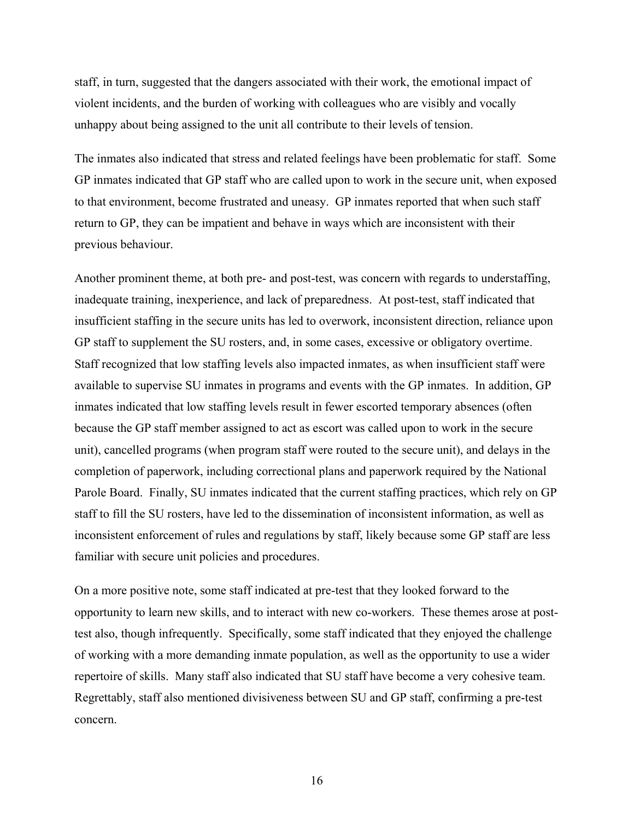staff, in turn, suggested that the dangers associated with their work, the emotional impact of violent incidents, and the burden of working with colleagues who are visibly and vocally unhappy about being assigned to the unit all contribute to their levels of tension.

The inmates also indicated that stress and related feelings have been problematic for staff. Some GP inmates indicated that GP staff who are called upon to work in the secure unit, when exposed to that environment, become frustrated and uneasy. GP inmates reported that when such staff return to GP, they can be impatient and behave in ways which are inconsistent with their previous behaviour.

Another prominent theme, at both pre- and post-test, was concern with regards to understaffing, inadequate training, inexperience, and lack of preparedness. At post-test, staff indicated that insufficient staffing in the secure units has led to overwork, inconsistent direction, reliance upon GP staff to supplement the SU rosters, and, in some cases, excessive or obligatory overtime. Staff recognized that low staffing levels also impacted inmates, as when insufficient staff were available to supervise SU inmates in programs and events with the GP inmates. In addition, GP inmates indicated that low staffing levels result in fewer escorted temporary absences (often because the GP staff member assigned to act as escort was called upon to work in the secure unit), cancelled programs (when program staff were routed to the secure unit), and delays in the completion of paperwork, including correctional plans and paperwork required by the National Parole Board. Finally, SU inmates indicated that the current staffing practices, which rely on GP staff to fill the SU rosters, have led to the dissemination of inconsistent information, as well as inconsistent enforcement of rules and regulations by staff, likely because some GP staff are less familiar with secure unit policies and procedures.

On a more positive note, some staff indicated at pre-test that they looked forward to the opportunity to learn new skills, and to interact with new co-workers. These themes arose at posttest also, though infrequently. Specifically, some staff indicated that they enjoyed the challenge of working with a more demanding inmate population, as well as the opportunity to use a wider repertoire of skills. Many staff also indicated that SU staff have become a very cohesive team. Regrettably, staff also mentioned divisiveness between SU and GP staff, confirming a pre-test concern.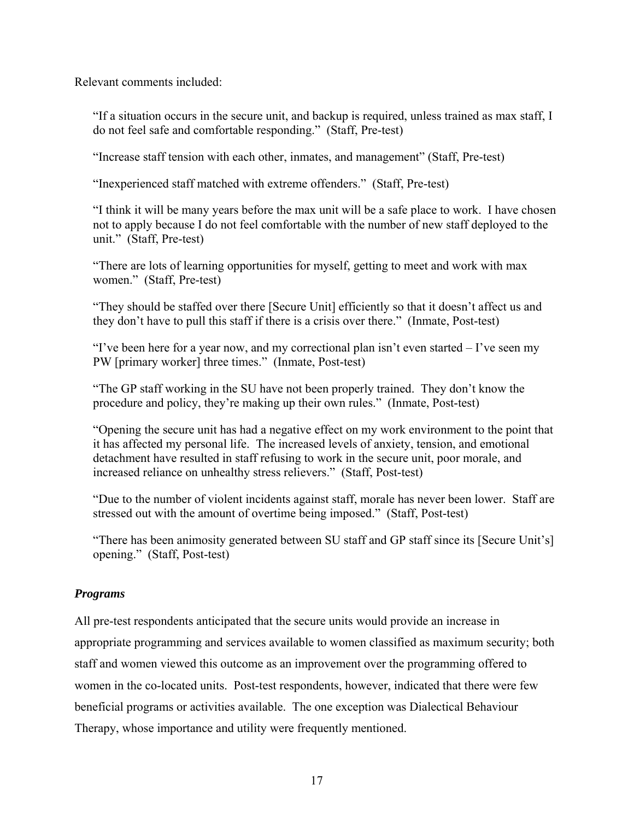<span id="page-24-0"></span>Relevant comments included:

"If a situation occurs in the secure unit, and backup is required, unless trained as max staff, I do not feel safe and comfortable responding." (Staff, Pre-test)

"Increase staff tension with each other, inmates, and management" (Staff, Pre-test)

"Inexperienced staff matched with extreme offenders." (Staff, Pre-test)

"I think it will be many years before the max unit will be a safe place to work. I have chosen not to apply because I do not feel comfortable with the number of new staff deployed to the unit." (Staff, Pre-test)

"There are lots of learning opportunities for myself, getting to meet and work with max women." (Staff, Pre-test)

"They should be staffed over there [Secure Unit] efficiently so that it doesn't affect us and they don't have to pull this staff if there is a crisis over there." (Inmate, Post-test)

"I've been here for a year now, and my correctional plan isn't even started – I've seen my PW [primary worker] three times." (Inmate, Post-test)

"The GP staff working in the SU have not been properly trained. They don't know the procedure and policy, they're making up their own rules." (Inmate, Post-test)

"Opening the secure unit has had a negative effect on my work environment to the point that it has affected my personal life. The increased levels of anxiety, tension, and emotional detachment have resulted in staff refusing to work in the secure unit, poor morale, and increased reliance on unhealthy stress relievers." (Staff, Post-test)

"Due to the number of violent incidents against staff, morale has never been lower. Staff are stressed out with the amount of overtime being imposed." (Staff, Post-test)

"There has been animosity generated between SU staff and GP staff since its [Secure Unit's] opening." (Staff, Post-test)

# *Programs*

All pre-test respondents anticipated that the secure units would provide an increase in appropriate programming and services available to women classified as maximum security; both staff and women viewed this outcome as an improvement over the programming offered to women in the co-located units. Post-test respondents, however, indicated that there were few beneficial programs or activities available. The one exception was Dialectical Behaviour Therapy, whose importance and utility were frequently mentioned.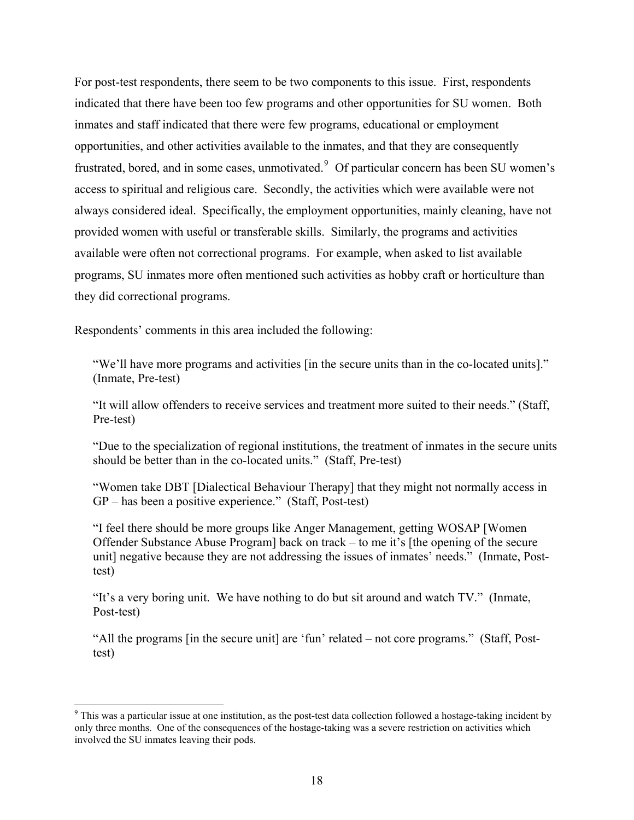For post-test respondents, there seem to be two components to this issue. First, respondents indicated that there have been too few programs and other opportunities for SU women. Both inmates and staff indicated that there were few programs, educational or employment opportunities, and other activities available to the inmates, and that they are consequently frustrated, bored, and in some cases, unmotivated. <sup>[9](#page-25-0)</sup> Of particular concern has been SU women's access to spiritual and religious care. Secondly, the activities which were available were not always considered ideal. Specifically, the employment opportunities, mainly cleaning, have not provided women with useful or transferable skills. Similarly, the programs and activities available were often not correctional programs. For example, when asked to list available programs, SU inmates more often mentioned such activities as hobby craft or horticulture than they did correctional programs.

Respondents' comments in this area included the following:

l

"We'll have more programs and activities [in the secure units than in the co-located units]." (Inmate, Pre-test)

"It will allow offenders to receive services and treatment more suited to their needs." (Staff, Pre-test)

"Due to the specialization of regional institutions, the treatment of inmates in the secure units should be better than in the co-located units." (Staff, Pre-test)

"Women take DBT [Dialectical Behaviour Therapy] that they might not normally access in GP – has been a positive experience." (Staff, Post-test)

"I feel there should be more groups like Anger Management, getting WOSAP [Women Offender Substance Abuse Program] back on track – to me it's [the opening of the secure unit] negative because they are not addressing the issues of inmates' needs." (Inmate, Posttest)

"It's a very boring unit. We have nothing to do but sit around and watch TV." (Inmate, Post-test)

"All the programs [in the secure unit] are 'fun' related – not core programs." (Staff, Posttest)

<span id="page-25-0"></span><sup>&</sup>lt;sup>9</sup> This was a particular issue at one institution, as the post-test data collection followed a hostage-taking incident by only three months. One of the consequences of the hostage-taking was a severe restriction on activities which involved the SU inmates leaving their pods.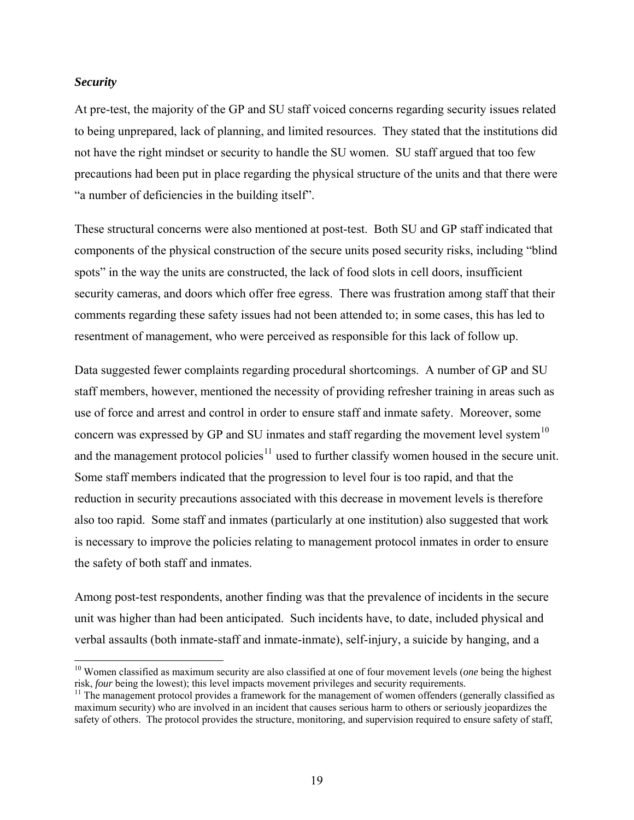#### <span id="page-26-0"></span>*Security*

 $\overline{\phantom{a}}$ 

At pre-test, the majority of the GP and SU staff voiced concerns regarding security issues related to being unprepared, lack of planning, and limited resources. They stated that the institutions did not have the right mindset or security to handle the SU women. SU staff argued that too few precautions had been put in place regarding the physical structure of the units and that there were "a number of deficiencies in the building itself".

These structural concerns were also mentioned at post-test. Both SU and GP staff indicated that components of the physical construction of the secure units posed security risks, including "blind spots" in the way the units are constructed, the lack of food slots in cell doors, insufficient security cameras, and doors which offer free egress. There was frustration among staff that their comments regarding these safety issues had not been attended to; in some cases, this has led to resentment of management, who were perceived as responsible for this lack of follow up.

Data suggested fewer complaints regarding procedural shortcomings. A number of GP and SU staff members, however, mentioned the necessity of providing refresher training in areas such as use of force and arrest and control in order to ensure staff and inmate safety. Moreover, some concern was expressed by GP and SU inmates and staff regarding the movement level system<sup>[10](#page-26-1)</sup> and the management protocol policies<sup>[11](#page-26-2)</sup> used to further classify women housed in the secure unit. Some staff members indicated that the progression to level four is too rapid, and that the reduction in security precautions associated with this decrease in movement levels is therefore also too rapid. Some staff and inmates (particularly at one institution) also suggested that work is necessary to improve the policies relating to management protocol inmates in order to ensure the safety of both staff and inmates.

Among post-test respondents, another finding was that the prevalence of incidents in the secure unit was higher than had been anticipated. Such incidents have, to date, included physical and verbal assaults (both inmate-staff and inmate-inmate), self-injury, a suicide by hanging, and a

<span id="page-26-1"></span><sup>&</sup>lt;sup>10</sup> Women classified as maximum security are also classified at one of four movement levels (*one* being the highest risk, *four* being the lowest); this level impacts movement privileges and security requirements.<br><sup>11</sup> The management protocol provides a framework for the management of women offenders (generally classified as

<span id="page-26-2"></span>maximum security) who are involved in an incident that causes serious harm to others or seriously jeopardizes the safety of others. The protocol provides the structure, monitoring, and supervision required to ensure safety of staff,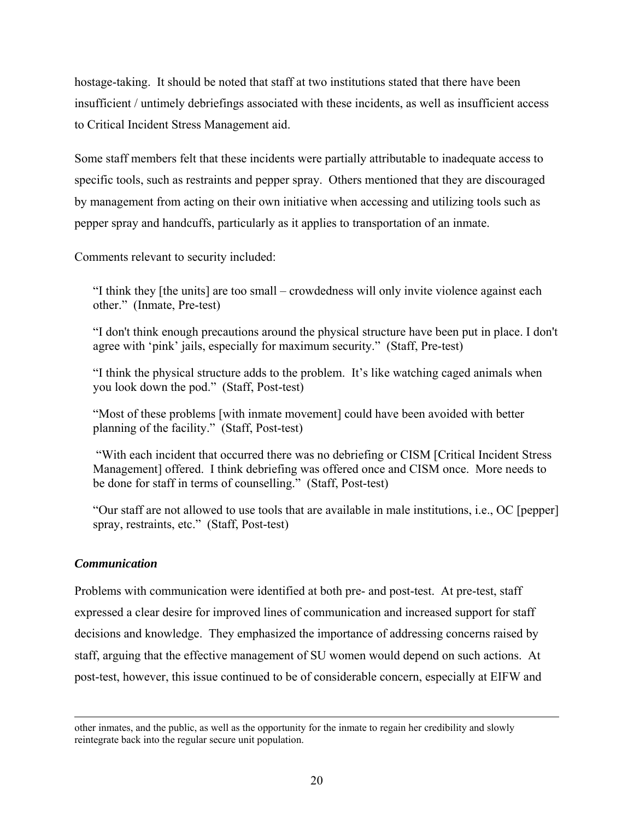<span id="page-27-0"></span>hostage-taking. It should be noted that staff at two institutions stated that there have been insufficient / untimely debriefings associated with these incidents, as well as insufficient access to Critical Incident Stress Management aid.

Some staff members felt that these incidents were partially attributable to inadequate access to specific tools, such as restraints and pepper spray. Others mentioned that they are discouraged by management from acting on their own initiative when accessing and utilizing tools such as pepper spray and handcuffs, particularly as it applies to transportation of an inmate.

Comments relevant to security included:

"I think they [the units] are too small – crowdedness will only invite violence against each other." (Inmate, Pre-test)

"I don't think enough precautions around the physical structure have been put in place. I don't agree with 'pink' jails, especially for maximum security." (Staff, Pre-test)

"I think the physical structure adds to the problem. It's like watching caged animals when you look down the pod." (Staff, Post-test)

"Most of these problems [with inmate movement] could have been avoided with better planning of the facility." (Staff, Post-test)

 "With each incident that occurred there was no debriefing or CISM [Critical Incident Stress Management] offered. I think debriefing was offered once and CISM once. More needs to be done for staff in terms of counselling." (Staff, Post-test)

"Our staff are not allowed to use tools that are available in male institutions, i.e., OC [pepper] spray, restraints, etc." (Staff, Post-test)

# *Communication*

 $\overline{\phantom{a}}$ 

Problems with communication were identified at both pre- and post-test. At pre-test, staff expressed a clear desire for improved lines of communication and increased support for staff decisions and knowledge. They emphasized the importance of addressing concerns raised by staff, arguing that the effective management of SU women would depend on such actions. At post-test, however, this issue continued to be of considerable concern, especially at EIFW and

other inmates, and the public, as well as the opportunity for the inmate to regain her credibility and slowly reintegrate back into the regular secure unit population.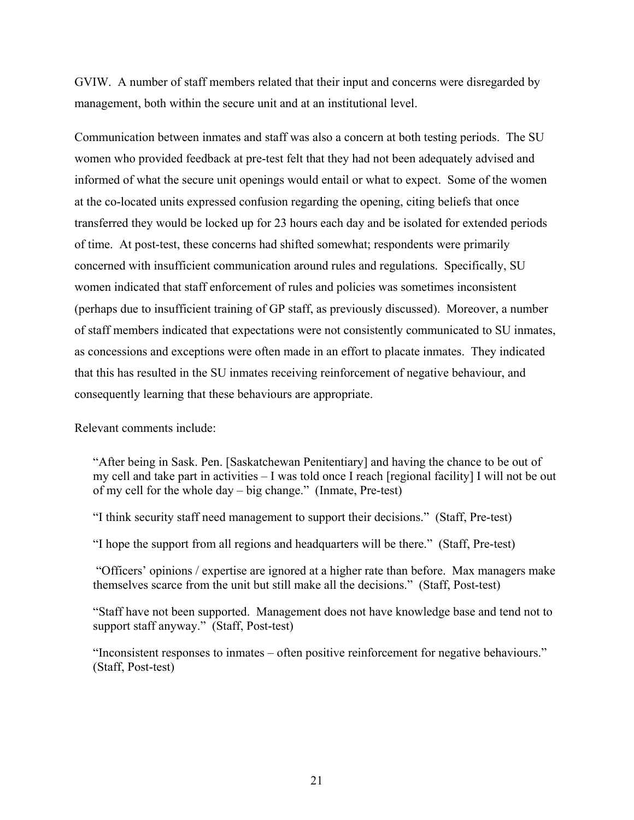GVIW. A number of staff members related that their input and concerns were disregarded by management, both within the secure unit and at an institutional level.

Communication between inmates and staff was also a concern at both testing periods. The SU women who provided feedback at pre-test felt that they had not been adequately advised and informed of what the secure unit openings would entail or what to expect. Some of the women at the co-located units expressed confusion regarding the opening, citing beliefs that once transferred they would be locked up for 23 hours each day and be isolated for extended periods of time. At post-test, these concerns had shifted somewhat; respondents were primarily concerned with insufficient communication around rules and regulations. Specifically, SU women indicated that staff enforcement of rules and policies was sometimes inconsistent (perhaps due to insufficient training of GP staff, as previously discussed). Moreover, a number of staff members indicated that expectations were not consistently communicated to SU inmates, as concessions and exceptions were often made in an effort to placate inmates. They indicated that this has resulted in the SU inmates receiving reinforcement of negative behaviour, and consequently learning that these behaviours are appropriate.

Relevant comments include:

"After being in Sask. Pen. [Saskatchewan Penitentiary] and having the chance to be out of my cell and take part in activities – I was told once I reach [regional facility] I will not be out of my cell for the whole day – big change." (Inmate, Pre-test)

"I think security staff need management to support their decisions." (Staff, Pre-test)

"I hope the support from all regions and headquarters will be there." (Staff, Pre-test)

 "Officers' opinions / expertise are ignored at a higher rate than before. Max managers make themselves scarce from the unit but still make all the decisions." (Staff, Post-test)

"Staff have not been supported. Management does not have knowledge base and tend not to support staff anyway." (Staff, Post-test)

"Inconsistent responses to inmates – often positive reinforcement for negative behaviours." (Staff, Post-test)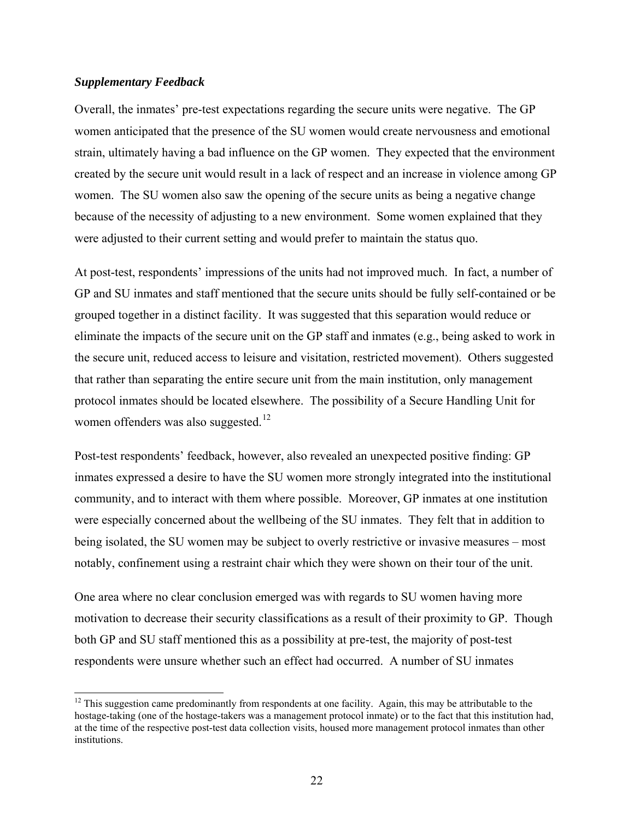# <span id="page-29-0"></span>*Supplementary Feedback*

 $\overline{\phantom{a}}$ 

Overall, the inmates' pre-test expectations regarding the secure units were negative. The GP women anticipated that the presence of the SU women would create nervousness and emotional strain, ultimately having a bad influence on the GP women. They expected that the environment created by the secure unit would result in a lack of respect and an increase in violence among GP women. The SU women also saw the opening of the secure units as being a negative change because of the necessity of adjusting to a new environment. Some women explained that they were adjusted to their current setting and would prefer to maintain the status quo.

At post-test, respondents' impressions of the units had not improved much. In fact, a number of GP and SU inmates and staff mentioned that the secure units should be fully self-contained or be grouped together in a distinct facility. It was suggested that this separation would reduce or eliminate the impacts of the secure unit on the GP staff and inmates (e.g., being asked to work in the secure unit, reduced access to leisure and visitation, restricted movement). Others suggested that rather than separating the entire secure unit from the main institution, only management protocol inmates should be located elsewhere. The possibility of a Secure Handling Unit for women offenders was also suggested.<sup>[12](#page-29-1)</sup>

Post-test respondents' feedback, however, also revealed an unexpected positive finding: GP inmates expressed a desire to have the SU women more strongly integrated into the institutional community, and to interact with them where possible. Moreover, GP inmates at one institution were especially concerned about the wellbeing of the SU inmates. They felt that in addition to being isolated, the SU women may be subject to overly restrictive or invasive measures – most notably, confinement using a restraint chair which they were shown on their tour of the unit.

One area where no clear conclusion emerged was with regards to SU women having more motivation to decrease their security classifications as a result of their proximity to GP. Though both GP and SU staff mentioned this as a possibility at pre-test, the majority of post-test respondents were unsure whether such an effect had occurred. A number of SU inmates

<span id="page-29-1"></span><sup>&</sup>lt;sup>12</sup> This suggestion came predominantly from respondents at one facility. Again, this may be attributable to the hostage-taking (one of the hostage-takers was a management protocol inmate) or to the fact that this institution had, at the time of the respective post-test data collection visits, housed more management protocol inmates than other institutions.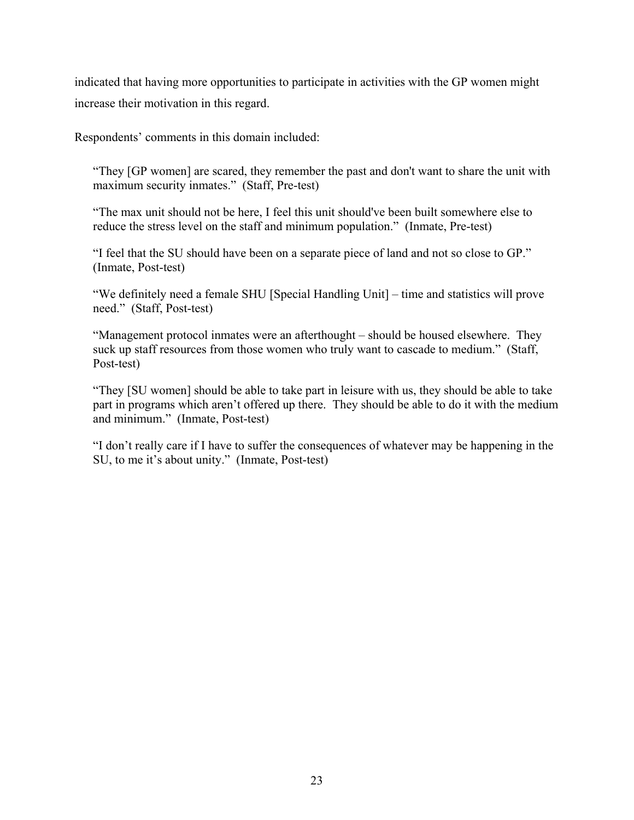indicated that having more opportunities to participate in activities with the GP women might increase their motivation in this regard.

Respondents' comments in this domain included:

"They [GP women] are scared, they remember the past and don't want to share the unit with maximum security inmates." (Staff, Pre-test)

"The max unit should not be here, I feel this unit should've been built somewhere else to reduce the stress level on the staff and minimum population." (Inmate, Pre-test)

"I feel that the SU should have been on a separate piece of land and not so close to GP." (Inmate, Post-test)

"We definitely need a female SHU [Special Handling Unit] – time and statistics will prove need." (Staff, Post-test)

"Management protocol inmates were an afterthought – should be housed elsewhere. They suck up staff resources from those women who truly want to cascade to medium." (Staff, Post-test)

"They [SU women] should be able to take part in leisure with us, they should be able to take part in programs which aren't offered up there. They should be able to do it with the medium and minimum." (Inmate, Post-test)

"I don't really care if I have to suffer the consequences of whatever may be happening in the SU, to me it's about unity." (Inmate, Post-test)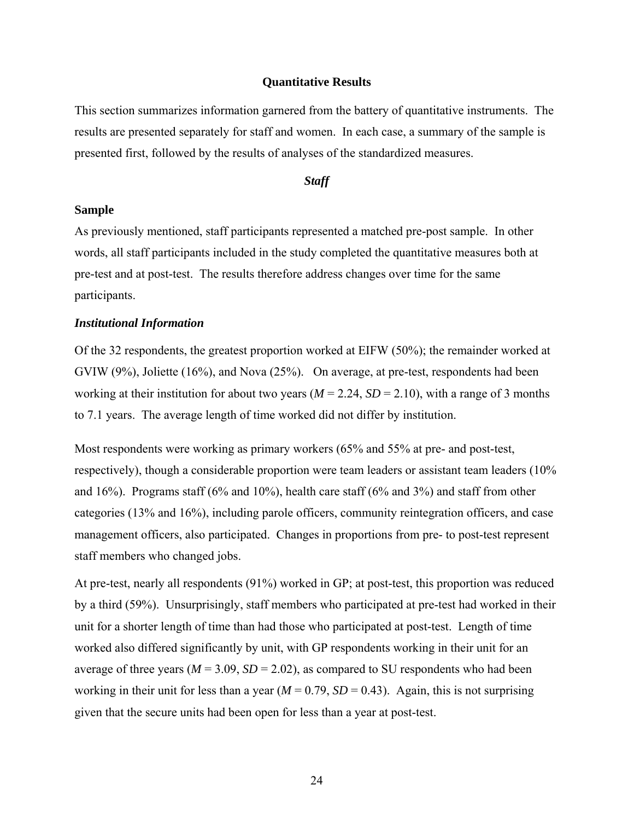# **Quantitative Results**

<span id="page-31-0"></span>This section summarizes information garnered from the battery of quantitative instruments. The results are presented separately for staff and women. In each case, a summary of the sample is presented first, followed by the results of analyses of the standardized measures.

# *Staff*

#### **Sample**

As previously mentioned, staff participants represented a matched pre-post sample. In other words, all staff participants included in the study completed the quantitative measures both at pre-test and at post-test. The results therefore address changes over time for the same participants.

#### *Institutional Information*

Of the 32 respondents, the greatest proportion worked at EIFW (50%); the remainder worked at GVIW (9%), Joliette (16%), and Nova (25%). On average, at pre-test, respondents had been working at their institution for about two years  $(M = 2.24, SD = 2.10)$ , with a range of 3 months to 7.1 years. The average length of time worked did not differ by institution.

Most respondents were working as primary workers (65% and 55% at pre- and post-test, respectively), though a considerable proportion were team leaders or assistant team leaders (10% and  $16\%$ ). Programs staff (6% and  $10\%$ ), health care staff (6% and 3%) and staff from other categories (13% and 16%), including parole officers, community reintegration officers, and case management officers, also participated. Changes in proportions from pre- to post-test represent staff members who changed jobs.

At pre-test, nearly all respondents (91%) worked in GP; at post-test, this proportion was reduced by a third (59%). Unsurprisingly, staff members who participated at pre-test had worked in their unit for a shorter length of time than had those who participated at post-test. Length of time worked also differed significantly by unit, with GP respondents working in their unit for an average of three years ( $M = 3.09$ ,  $SD = 2.02$ ), as compared to SU respondents who had been working in their unit for less than a year  $(M = 0.79, SD = 0.43)$ . Again, this is not surprising given that the secure units had been open for less than a year at post-test.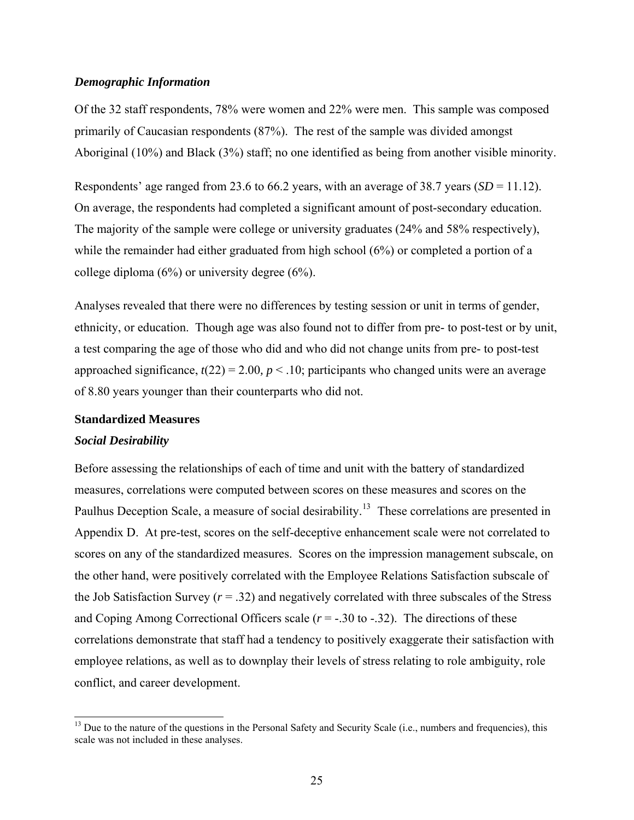### <span id="page-32-0"></span>*Demographic Information*

Of the 32 staff respondents, 78% were women and 22% were men. This sample was composed primarily of Caucasian respondents (87%). The rest of the sample was divided amongst Aboriginal (10%) and Black (3%) staff; no one identified as being from another visible minority.

Respondents' age ranged from 23.6 to 66.2 years, with an average of 38.7 years (*SD* = 11.12). On average, the respondents had completed a significant amount of post-secondary education. The majority of the sample were college or university graduates (24% and 58% respectively), while the remainder had either graduated from high school (6%) or completed a portion of a college diploma (6%) or university degree (6%).

Analyses revealed that there were no differences by testing session or unit in terms of gender, ethnicity, or education. Though age was also found not to differ from pre- to post-test or by unit, a test comparing the age of those who did and who did not change units from pre- to post-test approached significance,  $t(22) = 2.00$ ,  $p < 0.10$ ; participants who changed units were an average of 8.80 years younger than their counterparts who did not.

#### **Standardized Measures**

#### *Social Desirability*

 $\overline{\phantom{a}}$ 

Before assessing the relationships of each of time and unit with the battery of standardized measures, correlations were computed between scores on these measures and scores on the Paulhus Deception Scale, a measure of social desirability.<sup>[13](#page-32-1)</sup> These correlations are presented in Appendix D. At pre-test, scores on the self-deceptive enhancement scale were not correlated to scores on any of the standardized measures. Scores on the impression management subscale, on the other hand, were positively correlated with the Employee Relations Satisfaction subscale of the Job Satisfaction Survey  $(r = .32)$  and negatively correlated with three subscales of the Stress and Coping Among Correctional Officers scale  $(r = -.30 \text{ to } -.32)$ . The directions of these correlations demonstrate that staff had a tendency to positively exaggerate their satisfaction with employee relations, as well as to downplay their levels of stress relating to role ambiguity, role conflict, and career development.

<span id="page-32-1"></span><sup>&</sup>lt;sup>13</sup> Due to the nature of the questions in the Personal Safety and Security Scale (i.e., numbers and frequencies), this scale was not included in these analyses.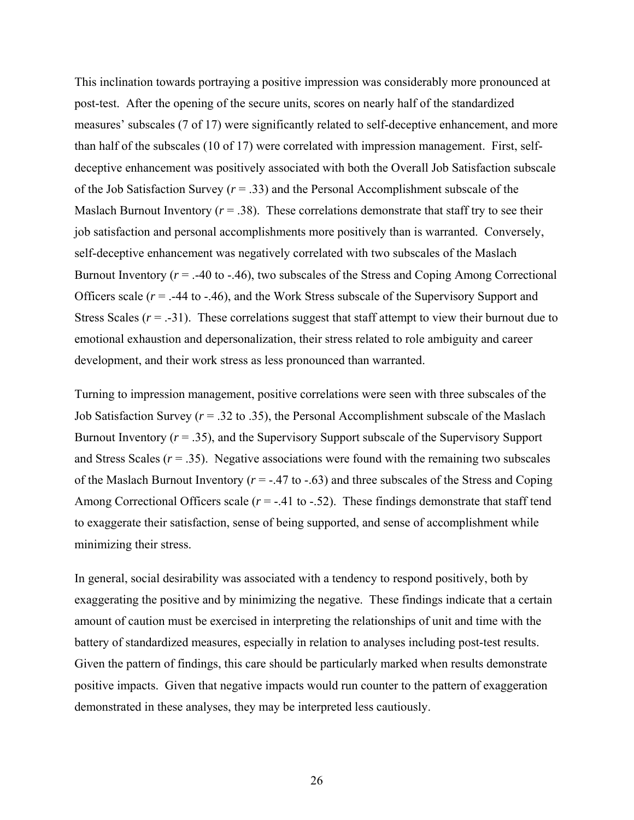This inclination towards portraying a positive impression was considerably more pronounced at post-test. After the opening of the secure units, scores on nearly half of the standardized measures' subscales (7 of 17) were significantly related to self-deceptive enhancement, and more than half of the subscales (10 of 17) were correlated with impression management. First, selfdeceptive enhancement was positively associated with both the Overall Job Satisfaction subscale of the Job Satisfaction Survey (*r* = .33) and the Personal Accomplishment subscale of the Maslach Burnout Inventory ( $r = .38$ ). These correlations demonstrate that staff try to see their job satisfaction and personal accomplishments more positively than is warranted. Conversely, self-deceptive enhancement was negatively correlated with two subscales of the Maslach Burnout Inventory  $(r = .40 \text{ to } .46)$ , two subscales of the Stress and Coping Among Correctional Officers scale (*r* = .-44 to -.46), and the Work Stress subscale of the Supervisory Support and Stress Scales  $(r = -31)$ . These correlations suggest that staff attempt to view their burnout due to emotional exhaustion and depersonalization, their stress related to role ambiguity and career development, and their work stress as less pronounced than warranted.

Turning to impression management, positive correlations were seen with three subscales of the Job Satisfaction Survey (*r* = .32 to .35), the Personal Accomplishment subscale of the Maslach Burnout Inventory  $(r = .35)$ , and the Supervisory Support subscale of the Supervisory Support and Stress Scales  $(r = .35)$ . Negative associations were found with the remaining two subscales of the Maslach Burnout Inventory ( $r = -0.47$  to  $-0.63$ ) and three subscales of the Stress and Coping Among Correctional Officers scale  $(r = -0.41 \text{ to } -0.52)$ . These findings demonstrate that staff tend to exaggerate their satisfaction, sense of being supported, and sense of accomplishment while minimizing their stress.

In general, social desirability was associated with a tendency to respond positively, both by exaggerating the positive and by minimizing the negative. These findings indicate that a certain amount of caution must be exercised in interpreting the relationships of unit and time with the battery of standardized measures, especially in relation to analyses including post-test results. Given the pattern of findings, this care should be particularly marked when results demonstrate positive impacts. Given that negative impacts would run counter to the pattern of exaggeration demonstrated in these analyses, they may be interpreted less cautiously.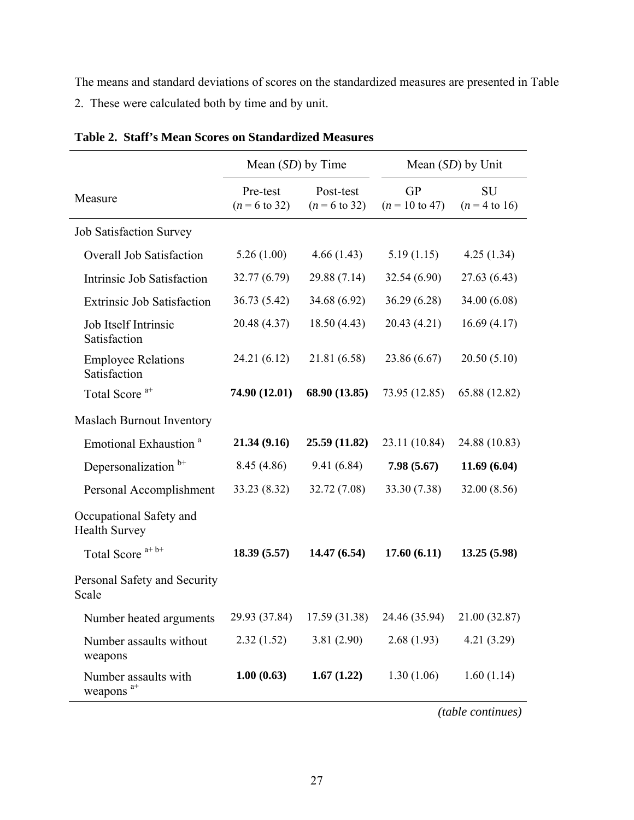<span id="page-34-0"></span>The means and standard deviations of scores on the standardized measures are presented in Table 2. These were calculated both by time and by unit.

|                                                 | Mean $(SD)$ by Time                  |                                       | Mean $(SD)$ by Unit                    |                              |  |
|-------------------------------------------------|--------------------------------------|---------------------------------------|----------------------------------------|------------------------------|--|
| Measure                                         | Pre-test<br>$(n = 6 \text{ to } 32)$ | Post-test<br>$(n = 6 \text{ to } 32)$ | <b>GP</b><br>$(n = 10 \text{ to } 47)$ | <b>SU</b><br>$(n = 4$ to 16) |  |
| <b>Job Satisfaction Survey</b>                  |                                      |                                       |                                        |                              |  |
| <b>Overall Job Satisfaction</b>                 | 5.26(1.00)                           | 4.66(1.43)                            | 5.19(1.15)                             | 4.25(1.34)                   |  |
| Intrinsic Job Satisfaction                      | 32.77 (6.79)                         | 29.88 (7.14)                          | 32.54(6.90)                            | 27.63 (6.43)                 |  |
| <b>Extrinsic Job Satisfaction</b>               | 36.73(5.42)                          | 34.68 (6.92)                          | 36.29(6.28)                            | 34.00 (6.08)                 |  |
| Job Itself Intrinsic<br>Satisfaction            | 20.48 (4.37)                         | 18.50(4.43)                           | 20.43 (4.21)                           | 16.69(4.17)                  |  |
| <b>Employee Relations</b><br>Satisfaction       | 24.21 (6.12)                         | 21.81 (6.58)                          | 23.86 (6.67)                           | 20.50(5.10)                  |  |
| Total Score <sup>a+</sup>                       | 74.90 (12.01)                        | 68.90 (13.85)                         | 73.95 (12.85)                          | 65.88 (12.82)                |  |
| <b>Maslach Burnout Inventory</b>                |                                      |                                       |                                        |                              |  |
| Emotional Exhaustion <sup>a</sup>               | 21.34(9.16)                          | 25.59 (11.82)                         | 23.11 (10.84)                          | 24.88 (10.83)                |  |
| Depersonalization <sup>b+</sup>                 | 8.45 (4.86)                          | 9.41(6.84)                            | 7.98(5.67)                             | 11.69(6.04)                  |  |
| Personal Accomplishment                         | 33.23 (8.32)                         | 32.72 (7.08)                          | 33.30 (7.38)                           | 32.00 (8.56)                 |  |
| Occupational Safety and<br><b>Health Survey</b> |                                      |                                       |                                        |                              |  |
| Total Score <sup>a+b+</sup>                     | 18.39(5.57)                          | 14.47(6.54)                           | 17.60(6.11)                            | 13.25(5.98)                  |  |
| Personal Safety and Security<br>Scale           |                                      |                                       |                                        |                              |  |
| Number heated arguments                         | 29.93 (37.84)                        | 17.59 (31.38)                         | 24.46 (35.94)                          | 21.00 (32.87)                |  |
| Number assaults without<br>weapons              | 2.32(1.52)                           | 3.81(2.90)                            | 2.68(1.93)                             | 4.21(3.29)                   |  |
| Number assaults with<br>weapons $a^{+}$         | 1.00(0.63)                           | 1.67(1.22)                            | 1.30(1.06)                             | 1.60(1.14)                   |  |

| Table 2. Staff's Mean Scores on Standardized Measures |
|-------------------------------------------------------|
|-------------------------------------------------------|

*(table continues)*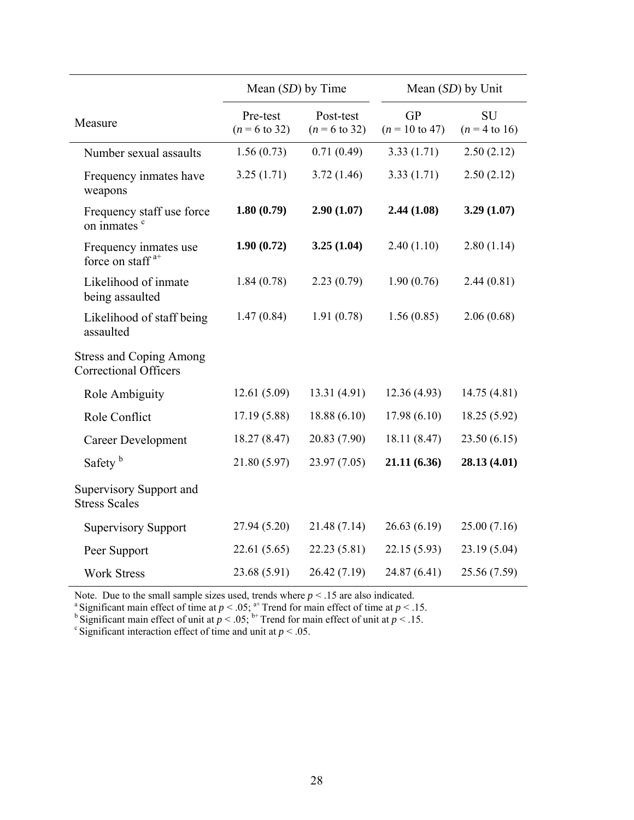|                                                                    | Mean $(SD)$ by Time                  |                                       | Mean $(SD)$ by Unit                    |                              |  |
|--------------------------------------------------------------------|--------------------------------------|---------------------------------------|----------------------------------------|------------------------------|--|
| Measure                                                            | Pre-test<br>$(n = 6 \text{ to } 32)$ | Post-test<br>$(n = 6 \text{ to } 32)$ | <b>GP</b><br>$(n = 10 \text{ to } 47)$ | <b>SU</b><br>$(n = 4$ to 16) |  |
| Number sexual assaults                                             | 1.56(0.73)                           | 0.71(0.49)                            | 3.33(1.71)                             | 2.50(2.12)                   |  |
| Frequency inmates have<br>weapons                                  | 3.25(1.71)                           | 3.72(1.46)                            | 3.33(1.71)                             | 2.50(2.12)                   |  |
| Frequency staff use force<br>on inmates <sup>c</sup>               | 1.80(0.79)                           | 2.90(1.07)                            | 2.44(1.08)                             | 3.29(1.07)                   |  |
| Frequency inmates use<br>force on staff <sup><math>a+</math></sup> | 1.90(0.72)                           | 3.25(1.04)                            | 2.40(1.10)                             | 2.80(1.14)                   |  |
| Likelihood of inmate<br>being assaulted                            | 1.84(0.78)                           | 2.23(0.79)                            | 1.90(0.76)                             | 2.44(0.81)                   |  |
| Likelihood of staff being<br>assaulted                             | 1.47(0.84)                           | 1.91(0.78)                            | 1.56(0.85)                             | 2.06(0.68)                   |  |
| <b>Stress and Coping Among</b><br><b>Correctional Officers</b>     |                                      |                                       |                                        |                              |  |
| Role Ambiguity                                                     | 12.61 (5.09)                         | 13.31 (4.91)                          | 12.36(4.93)                            | 14.75(4.81)                  |  |
| Role Conflict                                                      | 17.19(5.88)                          | 18.88(6.10)                           | 17.98(6.10)                            | 18.25 (5.92)                 |  |
| <b>Career Development</b>                                          | 18.27 (8.47)                         | 20.83 (7.90)                          | 18.11 (8.47)                           | 23.50(6.15)                  |  |
| Safety <sup>b</sup>                                                | 21.80 (5.97)                         | 23.97 (7.05)                          | 21.11 (6.36)                           | 28.13 (4.01)                 |  |
| Supervisory Support and<br><b>Stress Scales</b>                    |                                      |                                       |                                        |                              |  |
| <b>Supervisory Support</b>                                         | 27.94 (5.20)                         | 21.48 (7.14)                          | 26.63(6.19)                            | 25.00(7.16)                  |  |
| Peer Support                                                       | 22.61(5.65)                          | 22.23 (5.81)                          | 22.15 (5.93)                           | 23.19 (5.04)                 |  |
| <b>Work Stress</b>                                                 | 23.68 (5.91)                         | 26.42(7.19)                           | 24.87 (6.41)                           | 25.56 (7.59)                 |  |

Note. Due to the small sample sizes used, trends where  $p < .15$  are also indicated.<br><sup>a</sup> Significant main effect of time at  $p < .05$ ; <sup>a+</sup> Trend for main effect of time at  $p < .15$ .

<sup>b</sup> Significant main effect of unit at  $p < .05$ ; <sup>b+</sup> Trend for main effect of unit at  $p < .15$ .<br><sup>c</sup> Significant interaction effect of time and unit at  $p < .05$ .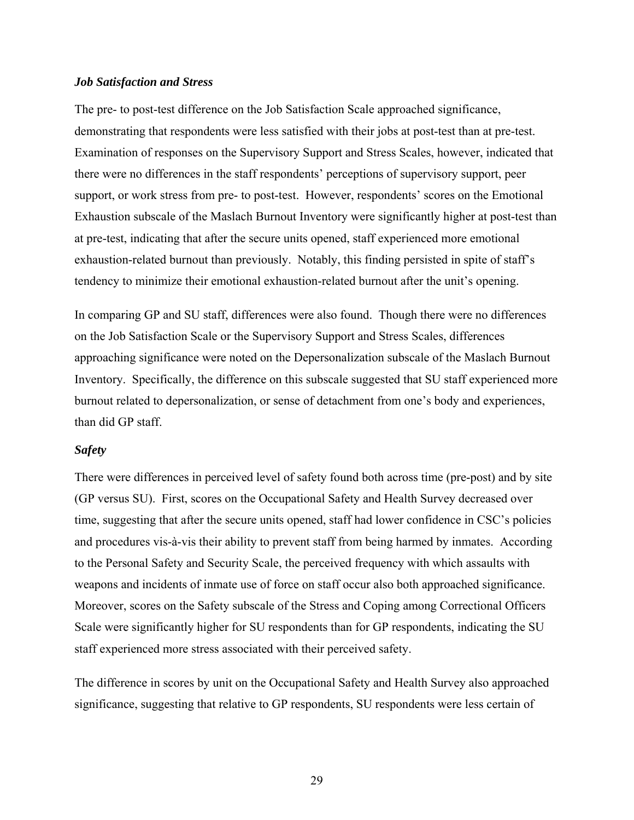#### *Job Satisfaction and Stress*

The pre- to post-test difference on the Job Satisfaction Scale approached significance, demonstrating that respondents were less satisfied with their jobs at post-test than at pre-test. Examination of responses on the Supervisory Support and Stress Scales, however, indicated that there were no differences in the staff respondents' perceptions of supervisory support, peer support, or work stress from pre- to post-test. However, respondents' scores on the Emotional Exhaustion subscale of the Maslach Burnout Inventory were significantly higher at post-test than at pre-test, indicating that after the secure units opened, staff experienced more emotional exhaustion-related burnout than previously. Notably, this finding persisted in spite of staff's tendency to minimize their emotional exhaustion-related burnout after the unit's opening.

In comparing GP and SU staff, differences were also found. Though there were no differences on the Job Satisfaction Scale or the Supervisory Support and Stress Scales, differences approaching significance were noted on the Depersonalization subscale of the Maslach Burnout Inventory. Specifically, the difference on this subscale suggested that SU staff experienced more burnout related to depersonalization, or sense of detachment from one's body and experiences, than did GP staff.

# *Safety*

There were differences in perceived level of safety found both across time (pre-post) and by site (GP versus SU). First, scores on the Occupational Safety and Health Survey decreased over time, suggesting that after the secure units opened, staff had lower confidence in CSC's policies and procedures vis-à-vis their ability to prevent staff from being harmed by inmates. According to the Personal Safety and Security Scale, the perceived frequency with which assaults with weapons and incidents of inmate use of force on staff occur also both approached significance. Moreover, scores on the Safety subscale of the Stress and Coping among Correctional Officers Scale were significantly higher for SU respondents than for GP respondents, indicating the SU staff experienced more stress associated with their perceived safety.

The difference in scores by unit on the Occupational Safety and Health Survey also approached significance, suggesting that relative to GP respondents, SU respondents were less certain of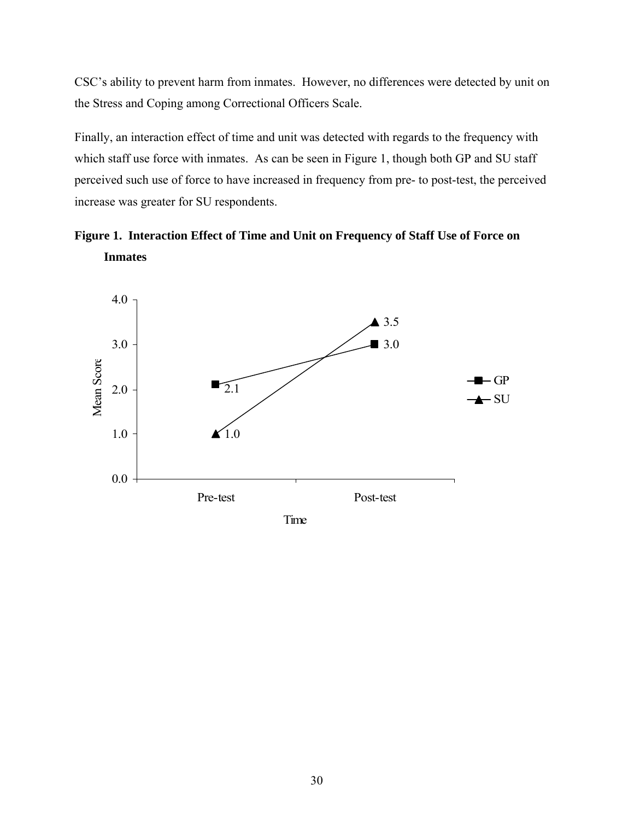CSC's ability to prevent harm from inmates. However, no differences were detected by unit on the Stress and Coping among Correctional Officers Scale.

Finally, an interaction effect of time and unit was detected with regards to the frequency with which staff use force with inmates. As can be seen in Figure 1, though both GP and SU staff perceived such use of force to have increased in frequency from pre- to post-test, the perceived increase was greater for SU respondents.

**Figure 1. Interaction Effect of Time and Unit on Frequency of Staff Use of Force on Inmates** 

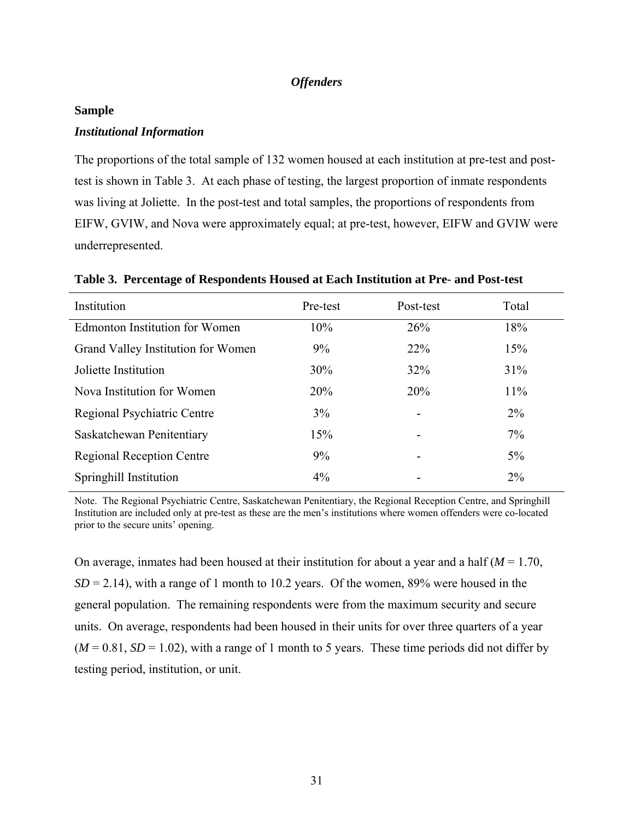### *Offenders*

#### **Sample**

### *Institutional Information*

The proportions of the total sample of 132 women housed at each institution at pre-test and posttest is shown in Table 3. At each phase of testing, the largest proportion of inmate respondents was living at Joliette. In the post-test and total samples, the proportions of respondents from EIFW, GVIW, and Nova were approximately equal; at pre-test, however, EIFW and GVIW were underrepresented.

| Institution                           | Pre-test | Post-test                | Total |
|---------------------------------------|----------|--------------------------|-------|
| <b>Edmonton Institution for Women</b> | 10%      | 26%                      | 18%   |
| Grand Valley Institution for Women    | $9\%$    | <b>22%</b>               | 15%   |
| Joliette Institution                  | 30%      | 32%                      | 31%   |
| Nova Institution for Women            | 20%      | 20%                      | 11%   |
| Regional Psychiatric Centre           | 3%       | $\overline{\phantom{a}}$ | $2\%$ |
| Saskatchewan Penitentiary             | 15%      | $\overline{\phantom{a}}$ | $7\%$ |
| <b>Regional Reception Centre</b>      | $9\%$    | -                        | $5\%$ |
| Springhill Institution                | $4\%$    | $\overline{\phantom{a}}$ | $2\%$ |

**Table 3. Percentage of Respondents Housed at Each Institution at Pre- and Post-test** 

Note. The Regional Psychiatric Centre, Saskatchewan Penitentiary, the Regional Reception Centre, and Springhill Institution are included only at pre-test as these are the men's institutions where women offenders were co-located prior to the secure units' opening.

On average, inmates had been housed at their institution for about a year and a half (*M* = 1.70,  $SD = 2.14$ ), with a range of 1 month to 10.2 years. Of the women, 89% were housed in the general population. The remaining respondents were from the maximum security and secure units. On average, respondents had been housed in their units for over three quarters of a year  $(M = 0.81, SD = 1.02)$ , with a range of 1 month to 5 years. These time periods did not differ by testing period, institution, or unit.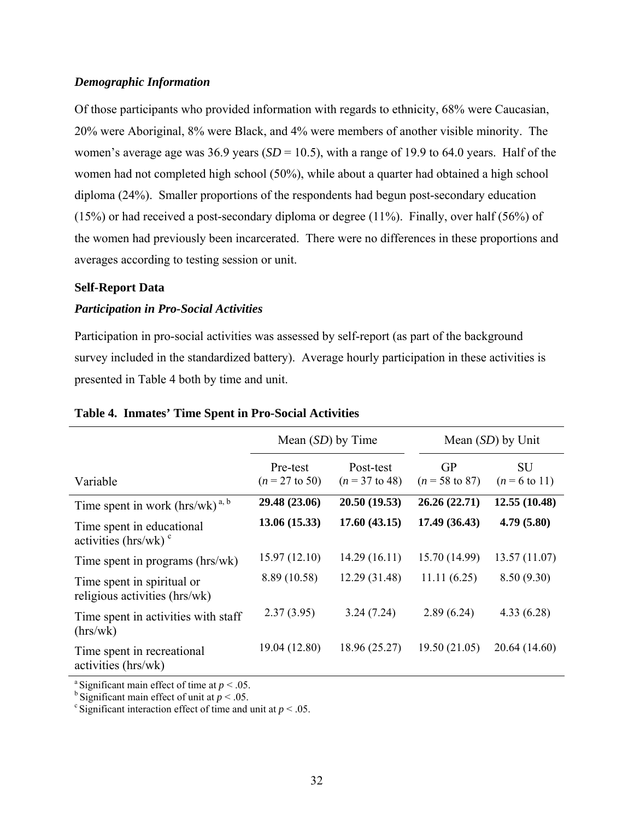# *Demographic Information*

Of those participants who provided information with regards to ethnicity, 68% were Caucasian, 20% were Aboriginal, 8% were Black, and 4% were members of another visible minority. The women's average age was 36.9 years (*SD* = 10.5), with a range of 19.9 to 64.0 years. Half of the women had not completed high school (50%), while about a quarter had obtained a high school diploma (24%). Smaller proportions of the respondents had begun post-secondary education (15%) or had received a post-secondary diploma or degree (11%). Finally, over half (56%) of the women had previously been incarcerated. There were no differences in these proportions and averages according to testing session or unit.

#### **Self-Report Data**

# *Participation in Pro-Social Activities*

Participation in pro-social activities was assessed by self-report (as part of the background survey included in the standardized battery). Average hourly participation in these activities is presented in Table 4 both by time and unit.

|                                                                   | Mean $(SD)$ by Time                   |                               | Mean $(SD)$ by Unit                    |                                       |
|-------------------------------------------------------------------|---------------------------------------|-------------------------------|----------------------------------------|---------------------------------------|
| Variable                                                          | Pre-test<br>$(n = 27 \text{ to } 50)$ | Post-test<br>$(n = 37$ to 48) | <b>GP</b><br>$(n = 58 \text{ to } 87)$ | <b>SU</b><br>$(n = 6 \text{ to } 11)$ |
| Time spent in work $(hrs/wk)^{a, b}$                              | 29.48 (23.06)                         | 20.50 (19.53)                 | 26.26 (22.71)                          | 12.55(10.48)                          |
| Time spent in educational<br>activities ( $hrs/wk$ ) <sup>c</sup> | 13.06(15.33)                          | 17.60(43.15)                  | 17.49 (36.43)                          | 4.79(5.80)                            |
| Time spent in programs (hrs/wk)                                   | 15.97(12.10)                          | 14.29(16.11)                  | 15.70 (14.99)                          | 13.57(11.07)                          |
| Time spent in spiritual or<br>religious activities (hrs/wk)       | 8.89 (10.58)                          | 12.29 (31.48)                 | 11.11(6.25)                            | 8.50(9.30)                            |
| Time spent in activities with staff<br>(hrs/wk)                   | 2.37(3.95)                            | 3.24(7.24)                    | 2.89(6.24)                             | 4.33(6.28)                            |
| Time spent in recreational<br>activities (hrs/wk)                 | 19.04 (12.80)                         | 18.96 (25.27)                 | 19.50(21.05)                           | 20.64 (14.60)                         |

### **Table 4. Inmates' Time Spent in Pro-Social Activities**

<sup>a</sup> Significant main effect of time at  $p < .05$ .<br><sup>b</sup> Significant main effect of unit at  $p < .05$ .

 $\textdegree$  Significant interaction effect of time and unit at *p* < .05.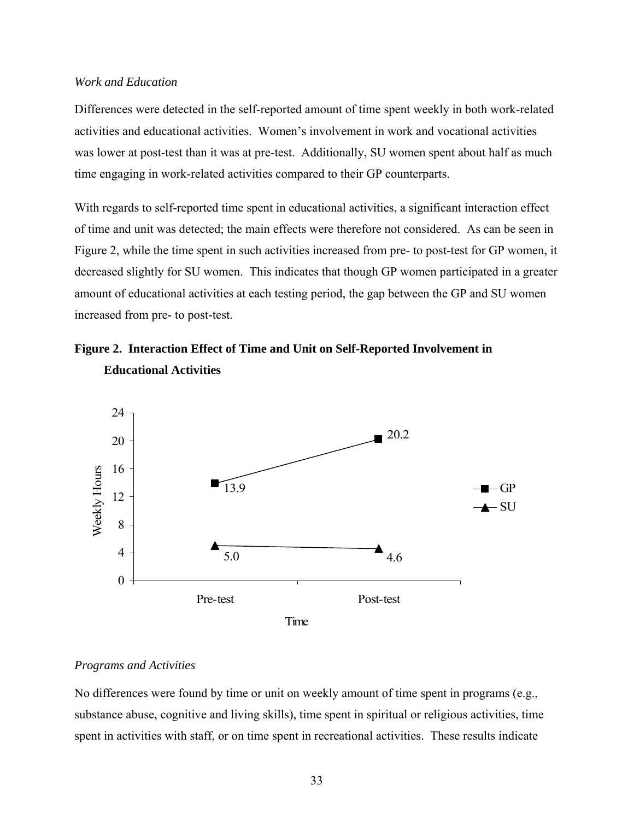#### *Work and Education*

Differences were detected in the self-reported amount of time spent weekly in both work-related activities and educational activities. Women's involvement in work and vocational activities was lower at post-test than it was at pre-test. Additionally, SU women spent about half as much time engaging in work-related activities compared to their GP counterparts.

With regards to self-reported time spent in educational activities, a significant interaction effect of time and unit was detected; the main effects were therefore not considered. As can be seen in Figure 2, while the time spent in such activities increased from pre- to post-test for GP women, it decreased slightly for SU women. This indicates that though GP women participated in a greater amount of educational activities at each testing period, the gap between the GP and SU women increased from pre- to post-test.





#### *Programs and Activities*

No differences were found by time or unit on weekly amount of time spent in programs (e.g., substance abuse, cognitive and living skills), time spent in spiritual or religious activities, time spent in activities with staff, or on time spent in recreational activities. These results indicate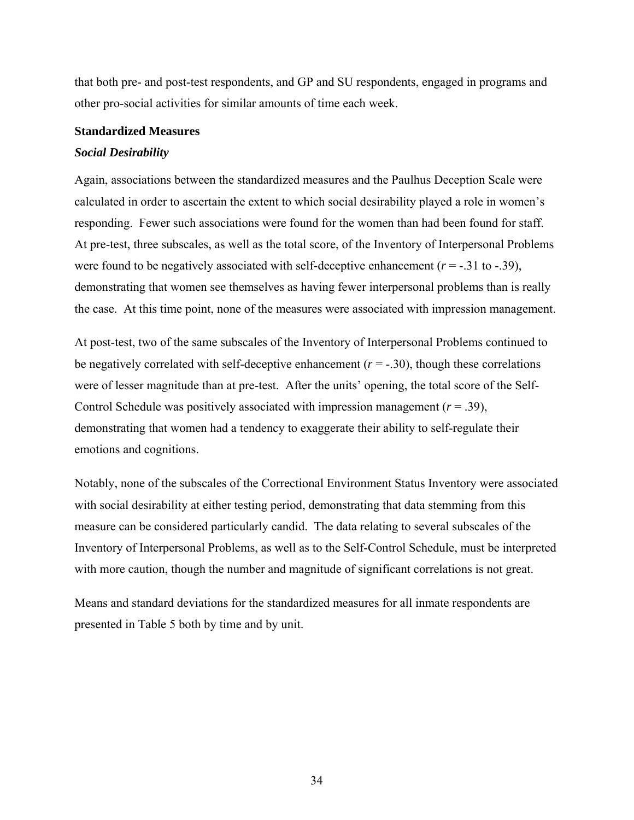that both pre- and post-test respondents, and GP and SU respondents, engaged in programs and other pro-social activities for similar amounts of time each week.

#### **Standardized Measures**

#### *Social Desirability*

Again, associations between the standardized measures and the Paulhus Deception Scale were calculated in order to ascertain the extent to which social desirability played a role in women's responding. Fewer such associations were found for the women than had been found for staff. At pre-test, three subscales, as well as the total score, of the Inventory of Interpersonal Problems were found to be negatively associated with self-deceptive enhancement  $(r = -0.31 \text{ to } -0.39)$ , demonstrating that women see themselves as having fewer interpersonal problems than is really the case. At this time point, none of the measures were associated with impression management.

At post-test, two of the same subscales of the Inventory of Interpersonal Problems continued to be negatively correlated with self-deceptive enhancement  $(r = -0.30)$ , though these correlations were of lesser magnitude than at pre-test. After the units' opening, the total score of the Self-Control Schedule was positively associated with impression management  $(r = .39)$ , demonstrating that women had a tendency to exaggerate their ability to self-regulate their emotions and cognitions.

Notably, none of the subscales of the Correctional Environment Status Inventory were associated with social desirability at either testing period, demonstrating that data stemming from this measure can be considered particularly candid. The data relating to several subscales of the Inventory of Interpersonal Problems, as well as to the Self-Control Schedule, must be interpreted with more caution, though the number and magnitude of significant correlations is not great.

Means and standard deviations for the standardized measures for all inmate respondents are presented in Table 5 both by time and by unit.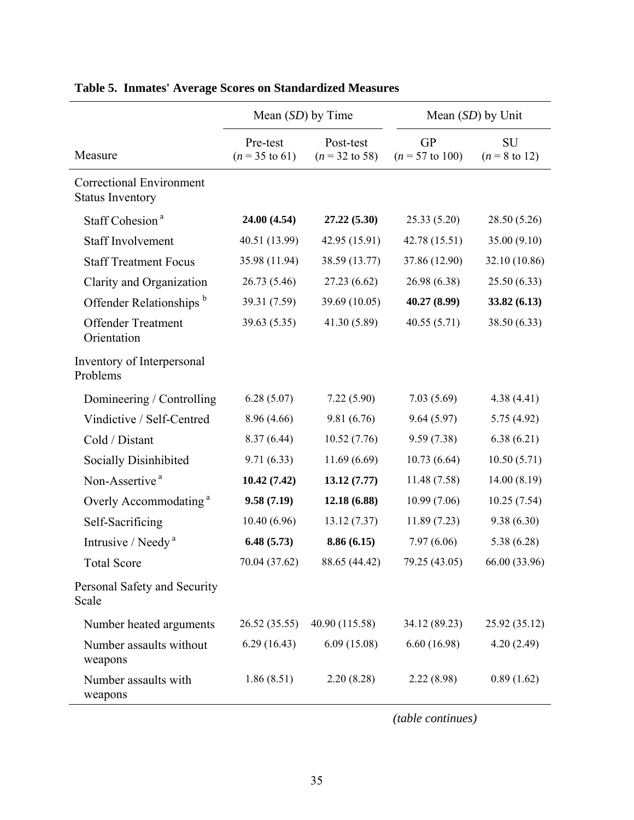|                                                     | Mean $(SD)$ by Time                   |                                        | Mean $(SD)$ by Unit                     |                                       |
|-----------------------------------------------------|---------------------------------------|----------------------------------------|-----------------------------------------|---------------------------------------|
| Measure                                             | Pre-test<br>$(n = 35 \text{ to } 61)$ | Post-test<br>$(n = 32 \text{ to } 58)$ | <b>GP</b><br>$(n = 57 \text{ to } 100)$ | <b>SU</b><br>$(n = 8 \text{ to } 12)$ |
| Correctional Environment<br><b>Status Inventory</b> |                                       |                                        |                                         |                                       |
| Staff Cohesion <sup>a</sup>                         | 24.00 (4.54)                          | 27.22 (5.30)                           | 25.33(5.20)                             | 28.50 (5.26)                          |
| <b>Staff Involvement</b>                            | 40.51 (13.99)                         | 42.95 (15.91)                          | 42.78 (15.51)                           | 35.00 (9.10)                          |
| <b>Staff Treatment Focus</b>                        | 35.98 (11.94)                         | 38.59 (13.77)                          | 37.86 (12.90)                           | 32.10 (10.86)                         |
| Clarity and Organization                            | 26.73(5.46)                           | 27.23(6.62)                            | 26.98 (6.38)                            | 25.50(6.33)                           |
| Offender Relationships <sup>b</sup>                 | 39.31 (7.59)                          | 39.69 (10.05)                          | 40.27 (8.99)                            | 33.82 (6.13)                          |
| <b>Offender Treatment</b><br>Orientation            | 39.63 (5.35)                          | 41.30 (5.89)                           | 40.55(5.71)                             | 38.50 (6.33)                          |
| Inventory of Interpersonal<br>Problems              |                                       |                                        |                                         |                                       |
| Domineering / Controlling                           | 6.28(5.07)                            | 7.22(5.90)                             | 7.03(5.69)                              | 4.38(4.41)                            |
| Vindictive / Self-Centred                           | 8.96 (4.66)                           | 9.81(6.76)                             | 9.64(5.97)                              | 5.75(4.92)                            |
| Cold / Distant                                      | 8.37(6.44)                            | 10.52(7.76)                            | 9.59(7.38)                              | 6.38(6.21)                            |
| Socially Disinhibited                               | 9.71(6.33)                            | 11.69(6.69)                            | 10.73(6.64)                             | 10.50(5.71)                           |
| Non-Assertive <sup>a</sup>                          | 10.42(7.42)                           | 13.12(7.77)                            | 11.48(7.58)                             | 14.00(8.19)                           |
| Overly Accommodating <sup>a</sup>                   | 9.58(7.19)                            | 12.18 (6.88)                           | 10.99(7.06)                             | 10.25(7.54)                           |
| Self-Sacrificing                                    | 10.40(6.96)                           | 13.12(7.37)                            | 11.89(7.23)                             | 9.38(6.30)                            |
| Intrusive / Needy <sup>a</sup>                      | 6.48(5.73)                            | 8.86(6.15)                             | 7.97(6.06)                              | 5.38(6.28)                            |
| <b>Total Score</b>                                  | 70.04 (37.62)                         | 88.65 (44.42)                          | 79.25 (43.05)                           | 66.00 (33.96)                         |
| Personal Safety and Security<br>Scale               |                                       |                                        |                                         |                                       |
| Number heated arguments                             | 26.52 (35.55)                         | 40.90 (115.58)                         | 34.12 (89.23)                           | 25.92 (35.12)                         |
| Number assaults without<br>weapons                  | 6.29(16.43)                           | 6.09(15.08)                            | 6.60(16.98)                             | 4.20(2.49)                            |
| Number assaults with<br>weapons                     | 1.86(8.51)                            | 2.20(8.28)                             | 2.22(8.98)                              | 0.89(1.62)                            |

# **Table 5. Inmates' Average Scores on Standardized Measures**

*(table continues)*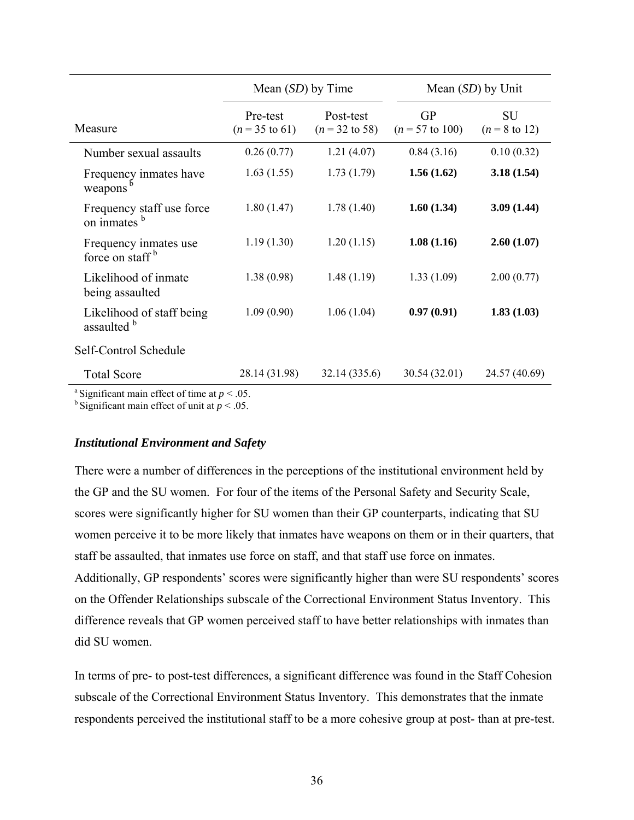|                                                      |                                       | Mean $(SD)$ by Time                    |                                         | Mean $(SD)$ by Unit                   |
|------------------------------------------------------|---------------------------------------|----------------------------------------|-----------------------------------------|---------------------------------------|
| Measure                                              | Pre-test<br>$(n = 35 \text{ to } 61)$ | Post-test<br>$(n = 32 \text{ to } 58)$ | <b>GP</b><br>$(n = 57 \text{ to } 100)$ | <b>SU</b><br>$(n = 8 \text{ to } 12)$ |
| Number sexual assaults                               | 0.26(0.77)                            | 1.21(4.07)                             | 0.84(3.16)                              | 0.10(0.32)                            |
| Frequency inmates have<br>weapons <sup>b</sup>       | 1.63(1.55)                            | 1.73(1.79)                             | 1.56(1.62)                              | 3.18(1.54)                            |
| Frequency staff use force<br>on inmates b            | 1.80(1.47)                            | 1.78(1.40)                             | 1.60(1.34)                              | 3.09(1.44)                            |
| Frequency inmates use<br>force on staff <sup>b</sup> | 1.19(1.30)                            | 1.20(1.15)                             | 1.08(1.16)                              | 2.60(1.07)                            |
| Likelihood of inmate<br>being assaulted              | 1.38(0.98)                            | 1.48(1.19)                             | 1.33(1.09)                              | 2.00(0.77)                            |
| Likelihood of staff being<br>assaulted b             | 1.09(0.90)                            | 1.06(1.04)                             | 0.97(0.91)                              | 1.83(1.03)                            |
| Self-Control Schedule                                |                                       |                                        |                                         |                                       |
| <b>Total Score</b>                                   | 28.14 (31.98)                         | 32.14 (335.6)                          | 30.54 (32.01)                           | 24.57 (40.69)                         |

<sup>a</sup> Significant main effect of time at  $p < .05$ .

<sup>b</sup> Significant main effect of unit at  $p < .05$ .

#### *Institutional Environment and Safety*

There were a number of differences in the perceptions of the institutional environment held by the GP and the SU women. For four of the items of the Personal Safety and Security Scale, scores were significantly higher for SU women than their GP counterparts, indicating that SU women perceive it to be more likely that inmates have weapons on them or in their quarters, that staff be assaulted, that inmates use force on staff, and that staff use force on inmates. Additionally, GP respondents' scores were significantly higher than were SU respondents' scores on the Offender Relationships subscale of the Correctional Environment Status Inventory. This difference reveals that GP women perceived staff to have better relationships with inmates than did SU women.

In terms of pre- to post-test differences, a significant difference was found in the Staff Cohesion subscale of the Correctional Environment Status Inventory. This demonstrates that the inmate respondents perceived the institutional staff to be a more cohesive group at post- than at pre-test.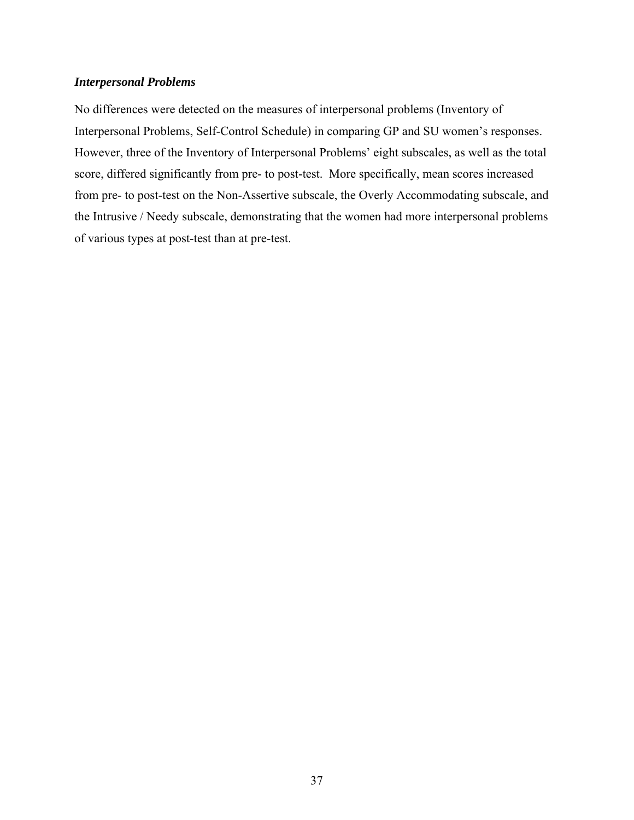# *Interpersonal Problems*

No differences were detected on the measures of interpersonal problems (Inventory of Interpersonal Problems, Self-Control Schedule) in comparing GP and SU women's responses. However, three of the Inventory of Interpersonal Problems' eight subscales, as well as the total score, differed significantly from pre- to post-test. More specifically, mean scores increased from pre- to post-test on the Non-Assertive subscale, the Overly Accommodating subscale, and the Intrusive / Needy subscale, demonstrating that the women had more interpersonal problems of various types at post-test than at pre-test.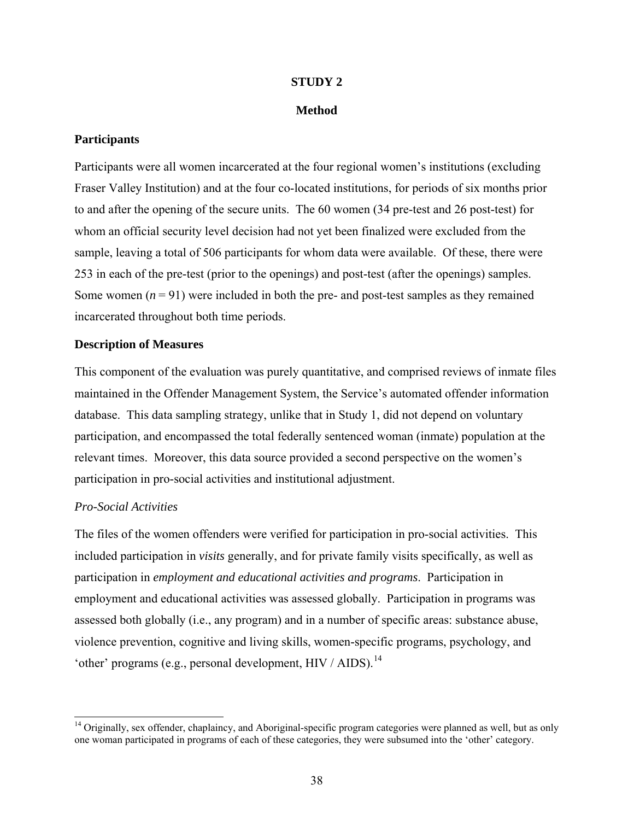# **STUDY 2**

# **Method**

# **Participants**

Participants were all women incarcerated at the four regional women's institutions (excluding Fraser Valley Institution) and at the four co-located institutions, for periods of six months prior to and after the opening of the secure units. The 60 women (34 pre-test and 26 post-test) for whom an official security level decision had not yet been finalized were excluded from the sample, leaving a total of 506 participants for whom data were available. Of these, there were 253 in each of the pre-test (prior to the openings) and post-test (after the openings) samples. Some women  $(n = 91)$  were included in both the pre- and post-test samples as they remained incarcerated throughout both time periods.

# **Description of Measures**

This component of the evaluation was purely quantitative, and comprised reviews of inmate files maintained in the Offender Management System, the Service's automated offender information database. This data sampling strategy, unlike that in Study 1, did not depend on voluntary participation, and encompassed the total federally sentenced woman (inmate) population at the relevant times. Moreover, this data source provided a second perspective on the women's participation in pro-social activities and institutional adjustment.

# *Pro-Social Activities*

 $\overline{\phantom{a}}$ 

The files of the women offenders were verified for participation in pro-social activities. This included participation in *visits* generally, and for private family visits specifically, as well as participation in *employment and educational activities and programs*. Participation in employment and educational activities was assessed globally. Participation in programs was assessed both globally (i.e., any program) and in a number of specific areas: substance abuse, violence prevention, cognitive and living skills, women-specific programs, psychology, and 'other' programs (e.g., personal development,  $HIV / AIDS$ ).<sup>[14](#page-45-0)</sup>

<span id="page-45-0"></span><sup>&</sup>lt;sup>14</sup> Originally, sex offender, chaplaincy, and Aboriginal-specific program categories were planned as well, but as only one woman participated in programs of each of these categories, they were subsumed into the 'other' category.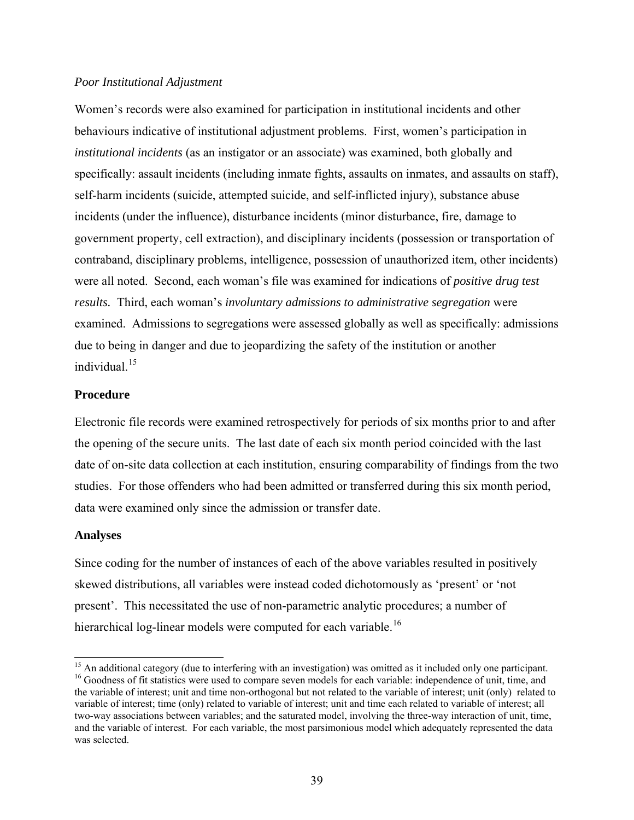#### *Poor Institutional Adjustment*

Women's records were also examined for participation in institutional incidents and other behaviours indicative of institutional adjustment problems. First, women's participation in *institutional incidents* (as an instigator or an associate) was examined, both globally and specifically: assault incidents (including inmate fights, assaults on inmates, and assaults on staff), self-harm incidents (suicide, attempted suicide, and self-inflicted injury), substance abuse incidents (under the influence), disturbance incidents (minor disturbance, fire, damage to government property, cell extraction), and disciplinary incidents (possession or transportation of contraband, disciplinary problems, intelligence, possession of unauthorized item, other incidents) were all noted. Second, each woman's file was examined for indications of *positive drug test results.* Third, each woman's *involuntary admissions to administrative segregation* were examined. Admissions to segregations were assessed globally as well as specifically: admissions due to being in danger and due to jeopardizing the safety of the institution or another individual.<sup>[15](#page-46-0)</sup>

# **Procedure**

Electronic file records were examined retrospectively for periods of six months prior to and after the opening of the secure units. The last date of each six month period coincided with the last date of on-site data collection at each institution, ensuring comparability of findings from the two studies. For those offenders who had been admitted or transferred during this six month period, data were examined only since the admission or transfer date.

#### **Analyses**

Since coding for the number of instances of each of the above variables resulted in positively skewed distributions, all variables were instead coded dichotomously as 'present' or 'not present'. This necessitated the use of non-parametric analytic procedures; a number of hierarchical log-linear models were computed for each variable.<sup>[16](#page-46-1)</sup>

<span id="page-46-1"></span><span id="page-46-0"></span><sup>&</sup>lt;sup>15</sup> An additional category (due to interfering with an investigation) was omitted as it included only one participant. <sup>16</sup> Goodness of fit statistics were used to compare seven models for each variable: independence of unit, time, and the variable of interest; unit and time non-orthogonal but not related to the variable of interest; unit (only) related to variable of interest; time (only) related to variable of interest; unit and time each related to variable of interest; all two-way associations between variables; and the saturated model, involving the three-way interaction of unit, time, and the variable of interest. For each variable, the most parsimonious model which adequately represented the data was selected.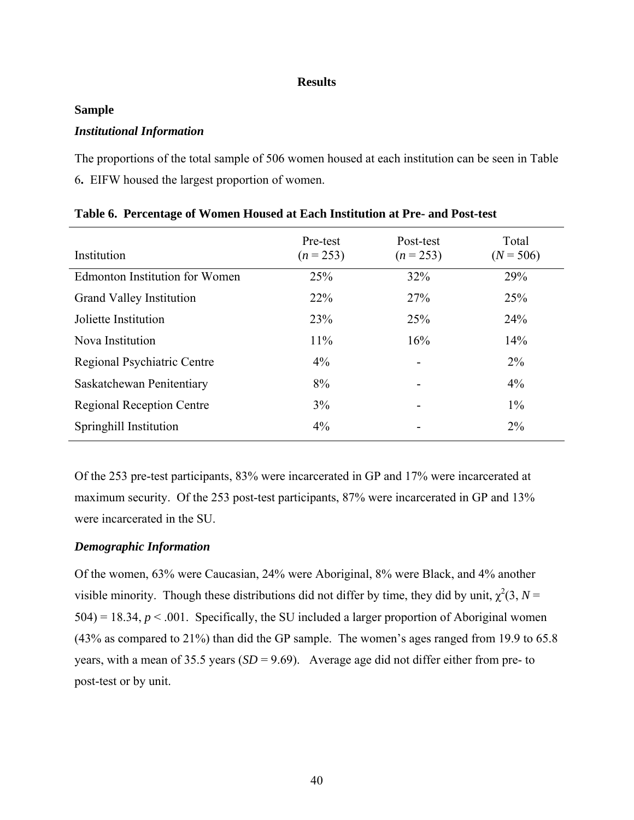#### **Results**

#### **Sample**

# *Institutional Information*

The proportions of the total sample of 506 women housed at each institution can be seen in Table 6**.** EIFW housed the largest proportion of women.

| Institution                           | Pre-test<br>$(n = 253)$ | Post-test<br>$(n = 253)$ | Total<br>$(N = 506)$ |
|---------------------------------------|-------------------------|--------------------------|----------------------|
| <b>Edmonton Institution for Women</b> | 25%                     | 32%                      | 29%                  |
| <b>Grand Valley Institution</b>       | 22%                     | 27%                      | 25%                  |
| Joliette Institution                  | 23%                     | 25%                      | 24%                  |
| Nova Institution                      | $11\%$                  | 16%                      | 14%                  |
| Regional Psychiatric Centre           | $4\%$                   |                          | $2\%$                |
| Saskatchewan Penitentiary             | 8%                      | ۰                        | $4\%$                |
| <b>Regional Reception Centre</b>      | $3\%$                   |                          | $1\%$                |
| Springhill Institution                | $4\%$                   |                          | $2\%$                |

Of the 253 pre-test participants, 83% were incarcerated in GP and 17% were incarcerated at maximum security. Of the 253 post-test participants, 87% were incarcerated in GP and 13% were incarcerated in the SU.

### *Demographic Information*

Of the women, 63% were Caucasian, 24% were Aboriginal, 8% were Black, and 4% another visible minority. Though these distributions did not differ by time, they did by unit,  $\chi^2(3, N =$  $504$ ) = 18.34,  $p < .001$ . Specifically, the SU included a larger proportion of Aboriginal women (43% as compared to 21%) than did the GP sample. The women's ages ranged from 19.9 to 65.8 years, with a mean of 35.5 years (*SD* = 9.69). Average age did not differ either from pre- to post-test or by unit.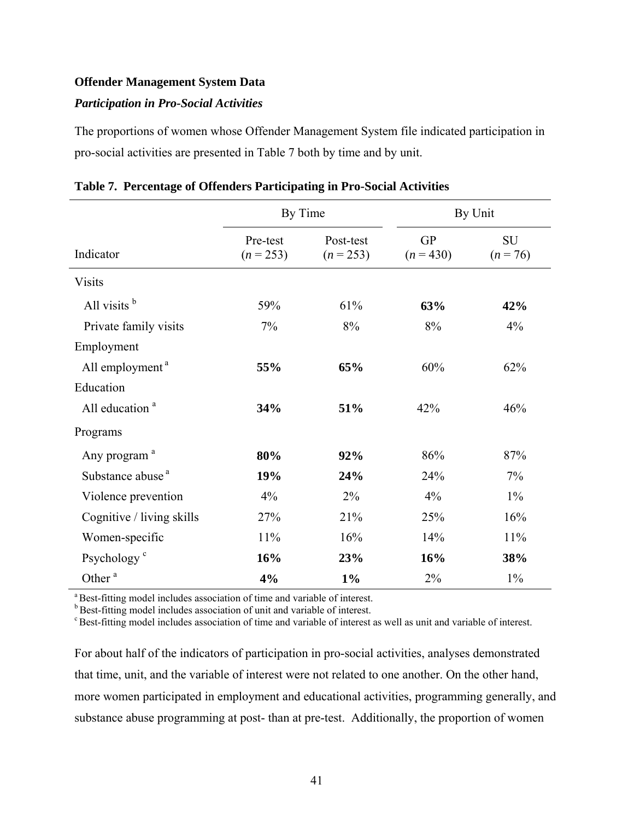### **Offender Management System Data**

# *Participation in Pro-Social Activities*

The proportions of women whose Offender Management System file indicated participation in pro-social activities are presented in Table 7 both by time and by unit.

|                              | By Time                 |                          |                        | By Unit                 |
|------------------------------|-------------------------|--------------------------|------------------------|-------------------------|
| Indicator                    | Pre-test<br>$(n = 253)$ | Post-test<br>$(n = 253)$ | <b>GP</b><br>$(n=430)$ | <b>SU</b><br>$(n = 76)$ |
| <b>Visits</b>                |                         |                          |                        |                         |
| All visits $b$               | 59%                     | 61%                      | 63%                    | 42%                     |
| Private family visits        | 7%                      | 8%                       | 8%                     | 4%                      |
| Employment                   |                         |                          |                        |                         |
| All employment <sup>a</sup>  | 55%                     | 65%                      | 60%                    | 62%                     |
| Education                    |                         |                          |                        |                         |
| All education <sup>a</sup>   | 34%                     | 51%                      | 42%                    | 46%                     |
| Programs                     |                         |                          |                        |                         |
| Any program <sup>a</sup>     | 80%                     | 92%                      | 86%                    | 87%                     |
| Substance abuse <sup>a</sup> | 19%                     | 24%                      | 24%                    | $7\%$                   |
| Violence prevention          | 4%                      | 2%                       | 4%                     | $1\%$                   |
| Cognitive / living skills    | 27%                     | 21%                      | 25%                    | 16%                     |
| Women-specific               | 11%                     | 16%                      | 14%                    | 11%                     |
| Psychology <sup>c</sup>      | 16%                     | 23%                      | 16%                    | 38%                     |
| Other <sup>a</sup>           | 4%                      | $1\%$                    | 2%                     | $1\%$                   |

|  | Table 7. Percentage of Offenders Participating in Pro-Social Activities |  |
|--|-------------------------------------------------------------------------|--|
|  |                                                                         |  |

<sup>a</sup> Best-fitting model includes association of time and variable of interest.

**b** Best-fitting model includes association of unit and variable of interest.

c Best-fitting model includes association of time and variable of interest as well as unit and variable of interest.

For about half of the indicators of participation in pro-social activities, analyses demonstrated that time, unit, and the variable of interest were not related to one another. On the other hand, more women participated in employment and educational activities, programming generally, and substance abuse programming at post- than at pre-test. Additionally, the proportion of women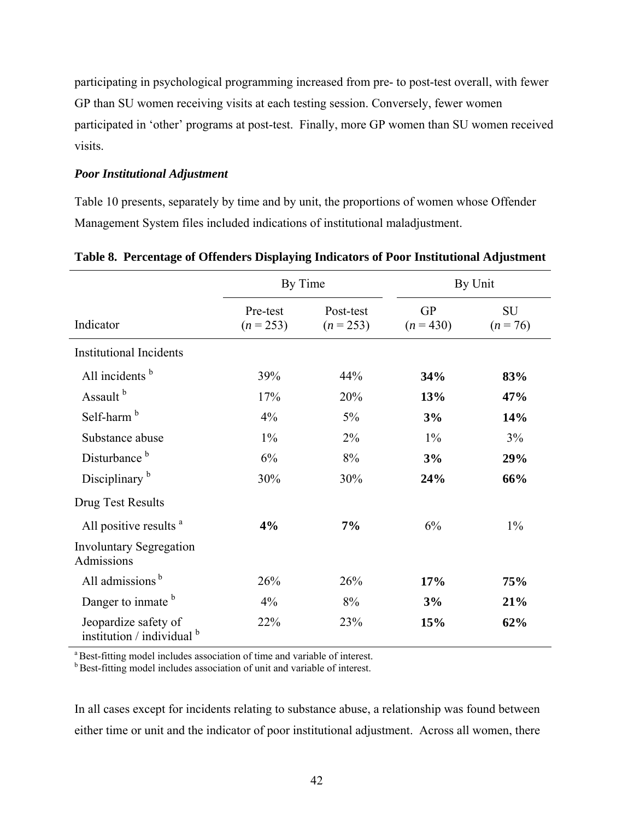participating in psychological programming increased from pre- to post-test overall, with fewer GP than SU women receiving visits at each testing session. Conversely, fewer women participated in 'other' programs at post-test. Finally, more GP women than SU women received visits.

# *Poor Institutional Adjustment*

Table 10 presents, separately by time and by unit, the proportions of women whose Offender Management System files included indications of institutional maladjustment.

|                                                      | By Time                 |                          |                          | By Unit                 |
|------------------------------------------------------|-------------------------|--------------------------|--------------------------|-------------------------|
| Indicator                                            | Pre-test<br>$(n = 253)$ | Post-test<br>$(n = 253)$ | <b>GP</b><br>$(n = 430)$ | <b>SU</b><br>$(n = 76)$ |
| <b>Institutional Incidents</b>                       |                         |                          |                          |                         |
| All incidents b                                      | 39%                     | 44%                      | 34%                      | 83%                     |
| Assault <sup>b</sup>                                 | 17%                     | 20%                      | 13%                      | 47%                     |
| Self-harm <sup>b</sup>                               | 4%                      | 5%                       | 3%                       | 14%                     |
| Substance abuse                                      | $1\%$                   | $2\%$                    | $1\%$                    | 3%                      |
| Disturbance <sup>b</sup>                             | 6%                      | $8\%$                    | 3%                       | 29%                     |
| Disciplinary <sup>b</sup>                            | 30%                     | 30%                      | 24%                      | 66%                     |
| Drug Test Results                                    |                         |                          |                          |                         |
| All positive results <sup>a</sup>                    | 4%                      | 7%                       | 6%                       | $1\%$                   |
| <b>Involuntary Segregation</b><br>Admissions         |                         |                          |                          |                         |
| All admissions <sup>b</sup>                          | 26%                     | 26%                      | 17%                      | 75%                     |
| Danger to inmate b                                   | 4%                      | 8%                       | 3%                       | 21%                     |
| Jeopardize safety of<br>institution / individual $b$ | 22%                     | 23%                      | 15%                      | 62%                     |

# **Table 8. Percentage of Offenders Displaying Indicators of Poor Institutional Adjustment**

<sup>a</sup> Best-fitting model includes association of time and variable of interest.

**b Best-fitting model includes association of unit and variable of interest.** 

In all cases except for incidents relating to substance abuse, a relationship was found between either time or unit and the indicator of poor institutional adjustment. Across all women, there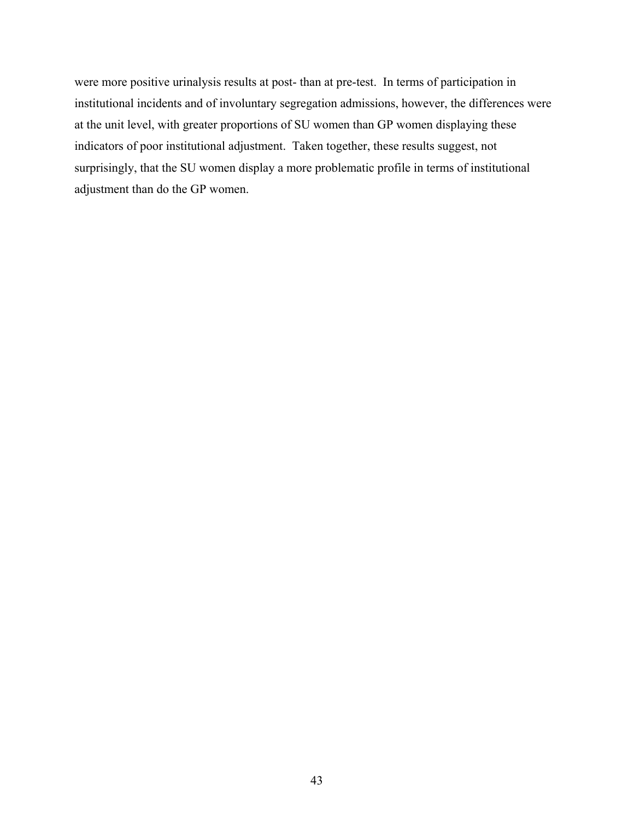were more positive urinalysis results at post- than at pre-test. In terms of participation in institutional incidents and of involuntary segregation admissions, however, the differences were at the unit level, with greater proportions of SU women than GP women displaying these indicators of poor institutional adjustment. Taken together, these results suggest, not surprisingly, that the SU women display a more problematic profile in terms of institutional adjustment than do the GP women.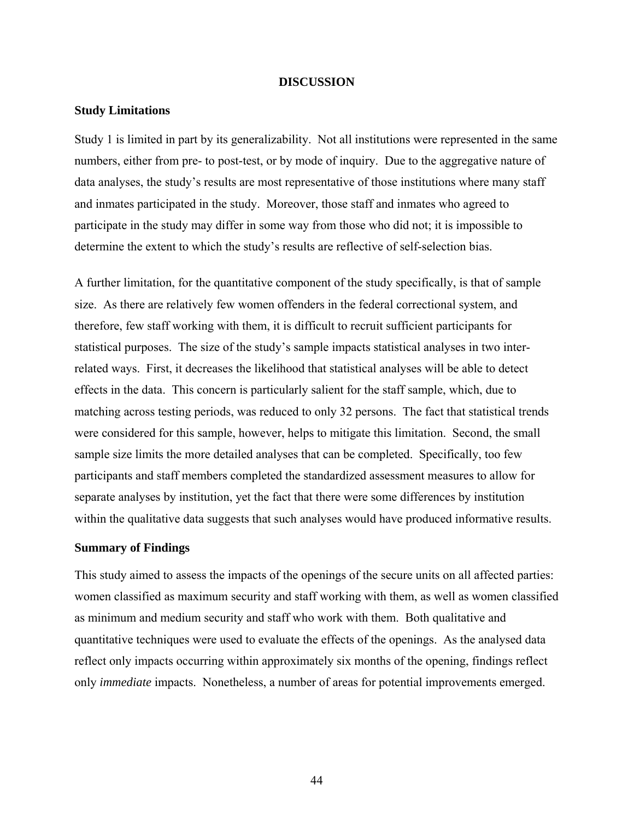#### **DISCUSSION**

#### **Study Limitations**

Study 1 is limited in part by its generalizability. Not all institutions were represented in the same numbers, either from pre- to post-test, or by mode of inquiry. Due to the aggregative nature of data analyses, the study's results are most representative of those institutions where many staff and inmates participated in the study. Moreover, those staff and inmates who agreed to participate in the study may differ in some way from those who did not; it is impossible to determine the extent to which the study's results are reflective of self-selection bias.

A further limitation, for the quantitative component of the study specifically, is that of sample size. As there are relatively few women offenders in the federal correctional system, and therefore, few staff working with them, it is difficult to recruit sufficient participants for statistical purposes. The size of the study's sample impacts statistical analyses in two interrelated ways. First, it decreases the likelihood that statistical analyses will be able to detect effects in the data. This concern is particularly salient for the staff sample, which, due to matching across testing periods, was reduced to only 32 persons. The fact that statistical trends were considered for this sample, however, helps to mitigate this limitation. Second, the small sample size limits the more detailed analyses that can be completed. Specifically, too few participants and staff members completed the standardized assessment measures to allow for separate analyses by institution, yet the fact that there were some differences by institution within the qualitative data suggests that such analyses would have produced informative results.

#### **Summary of Findings**

This study aimed to assess the impacts of the openings of the secure units on all affected parties: women classified as maximum security and staff working with them, as well as women classified as minimum and medium security and staff who work with them. Both qualitative and quantitative techniques were used to evaluate the effects of the openings. As the analysed data reflect only impacts occurring within approximately six months of the opening, findings reflect only *immediate* impacts. Nonetheless, a number of areas for potential improvements emerged.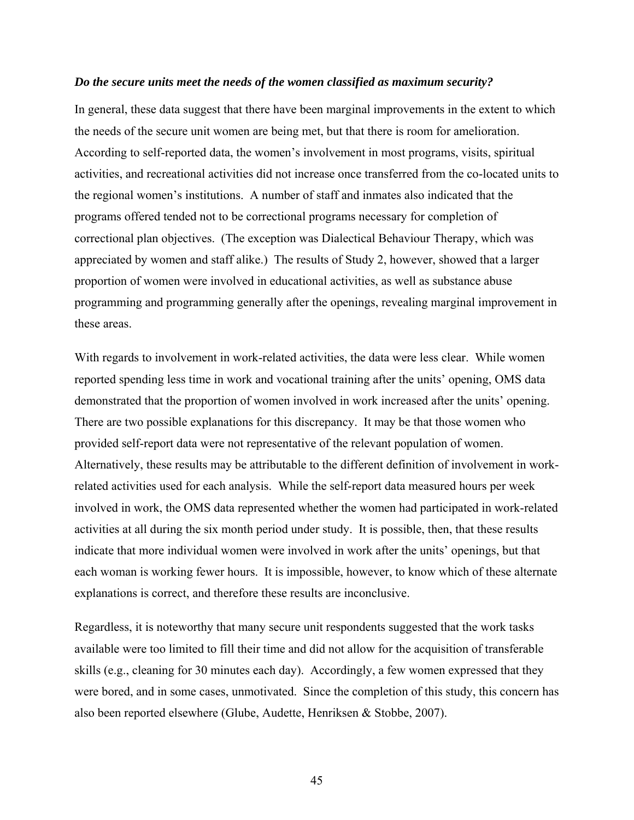#### *Do the secure units meet the needs of the women classified as maximum security?*

In general, these data suggest that there have been marginal improvements in the extent to which the needs of the secure unit women are being met, but that there is room for amelioration. According to self-reported data, the women's involvement in most programs, visits, spiritual activities, and recreational activities did not increase once transferred from the co-located units to the regional women's institutions. A number of staff and inmates also indicated that the programs offered tended not to be correctional programs necessary for completion of correctional plan objectives. (The exception was Dialectical Behaviour Therapy, which was appreciated by women and staff alike.) The results of Study 2, however, showed that a larger proportion of women were involved in educational activities, as well as substance abuse programming and programming generally after the openings, revealing marginal improvement in these areas.

With regards to involvement in work-related activities, the data were less clear. While women reported spending less time in work and vocational training after the units' opening, OMS data demonstrated that the proportion of women involved in work increased after the units' opening. There are two possible explanations for this discrepancy. It may be that those women who provided self-report data were not representative of the relevant population of women. Alternatively, these results may be attributable to the different definition of involvement in workrelated activities used for each analysis. While the self-report data measured hours per week involved in work, the OMS data represented whether the women had participated in work-related activities at all during the six month period under study. It is possible, then, that these results indicate that more individual women were involved in work after the units' openings, but that each woman is working fewer hours. It is impossible, however, to know which of these alternate explanations is correct, and therefore these results are inconclusive.

Regardless, it is noteworthy that many secure unit respondents suggested that the work tasks available were too limited to fill their time and did not allow for the acquisition of transferable skills (e.g., cleaning for 30 minutes each day). Accordingly, a few women expressed that they were bored, and in some cases, unmotivated. Since the completion of this study, this concern has also been reported elsewhere (Glube, Audette, Henriksen & Stobbe, 2007).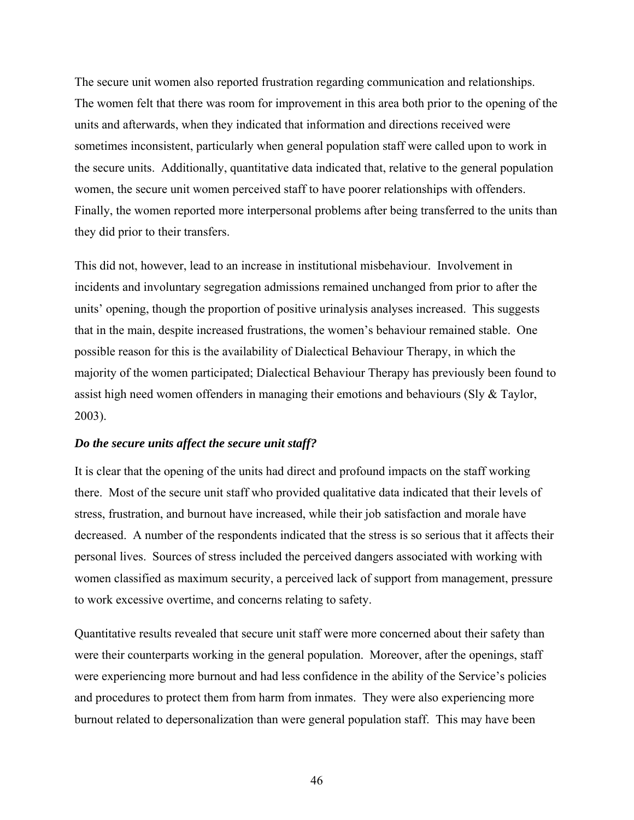The secure unit women also reported frustration regarding communication and relationships. The women felt that there was room for improvement in this area both prior to the opening of the units and afterwards, when they indicated that information and directions received were sometimes inconsistent, particularly when general population staff were called upon to work in the secure units. Additionally, quantitative data indicated that, relative to the general population women, the secure unit women perceived staff to have poorer relationships with offenders. Finally, the women reported more interpersonal problems after being transferred to the units than they did prior to their transfers.

This did not, however, lead to an increase in institutional misbehaviour. Involvement in incidents and involuntary segregation admissions remained unchanged from prior to after the units' opening, though the proportion of positive urinalysis analyses increased. This suggests that in the main, despite increased frustrations, the women's behaviour remained stable. One possible reason for this is the availability of Dialectical Behaviour Therapy, in which the majority of the women participated; Dialectical Behaviour Therapy has previously been found to assist high need women offenders in managing their emotions and behaviours (Sly & Taylor, 2003).

#### *Do the secure units affect the secure unit staff?*

It is clear that the opening of the units had direct and profound impacts on the staff working there. Most of the secure unit staff who provided qualitative data indicated that their levels of stress, frustration, and burnout have increased, while their job satisfaction and morale have decreased. A number of the respondents indicated that the stress is so serious that it affects their personal lives. Sources of stress included the perceived dangers associated with working with women classified as maximum security, a perceived lack of support from management, pressure to work excessive overtime, and concerns relating to safety.

Quantitative results revealed that secure unit staff were more concerned about their safety than were their counterparts working in the general population. Moreover, after the openings, staff were experiencing more burnout and had less confidence in the ability of the Service's policies and procedures to protect them from harm from inmates. They were also experiencing more burnout related to depersonalization than were general population staff. This may have been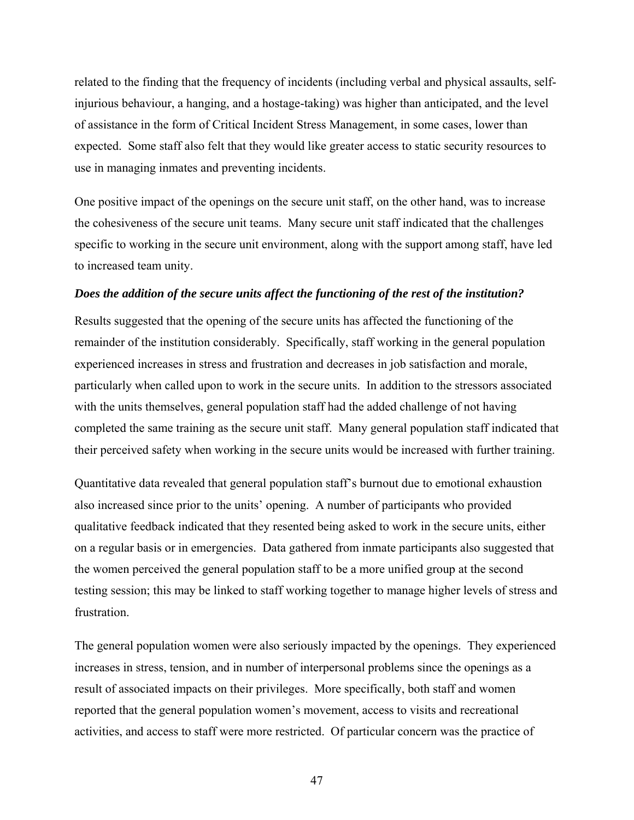related to the finding that the frequency of incidents (including verbal and physical assaults, selfinjurious behaviour, a hanging, and a hostage-taking) was higher than anticipated, and the level of assistance in the form of Critical Incident Stress Management, in some cases, lower than expected. Some staff also felt that they would like greater access to static security resources to use in managing inmates and preventing incidents.

One positive impact of the openings on the secure unit staff, on the other hand, was to increase the cohesiveness of the secure unit teams. Many secure unit staff indicated that the challenges specific to working in the secure unit environment, along with the support among staff, have led to increased team unity.

#### *Does the addition of the secure units affect the functioning of the rest of the institution?*

Results suggested that the opening of the secure units has affected the functioning of the remainder of the institution considerably. Specifically, staff working in the general population experienced increases in stress and frustration and decreases in job satisfaction and morale, particularly when called upon to work in the secure units. In addition to the stressors associated with the units themselves, general population staff had the added challenge of not having completed the same training as the secure unit staff. Many general population staff indicated that their perceived safety when working in the secure units would be increased with further training.

Quantitative data revealed that general population staff's burnout due to emotional exhaustion also increased since prior to the units' opening. A number of participants who provided qualitative feedback indicated that they resented being asked to work in the secure units, either on a regular basis or in emergencies. Data gathered from inmate participants also suggested that the women perceived the general population staff to be a more unified group at the second testing session; this may be linked to staff working together to manage higher levels of stress and frustration.

The general population women were also seriously impacted by the openings. They experienced increases in stress, tension, and in number of interpersonal problems since the openings as a result of associated impacts on their privileges. More specifically, both staff and women reported that the general population women's movement, access to visits and recreational activities, and access to staff were more restricted. Of particular concern was the practice of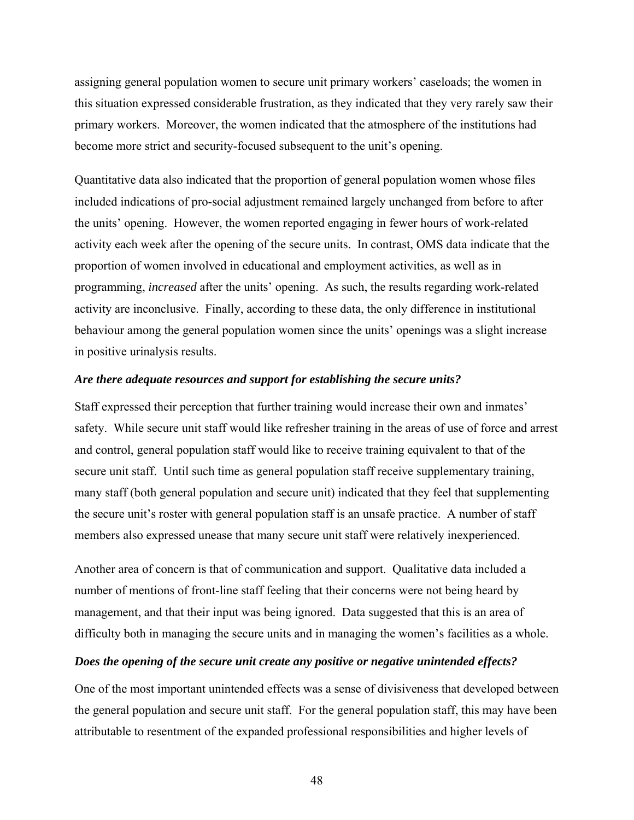assigning general population women to secure unit primary workers' caseloads; the women in this situation expressed considerable frustration, as they indicated that they very rarely saw their primary workers. Moreover, the women indicated that the atmosphere of the institutions had become more strict and security-focused subsequent to the unit's opening.

Quantitative data also indicated that the proportion of general population women whose files included indications of pro-social adjustment remained largely unchanged from before to after the units' opening. However, the women reported engaging in fewer hours of work-related activity each week after the opening of the secure units. In contrast, OMS data indicate that the proportion of women involved in educational and employment activities, as well as in programming, *increased* after the units' opening. As such, the results regarding work-related activity are inconclusive. Finally, according to these data, the only difference in institutional behaviour among the general population women since the units' openings was a slight increase in positive urinalysis results.

#### *Are there adequate resources and support for establishing the secure units?*

Staff expressed their perception that further training would increase their own and inmates' safety. While secure unit staff would like refresher training in the areas of use of force and arrest and control, general population staff would like to receive training equivalent to that of the secure unit staff. Until such time as general population staff receive supplementary training, many staff (both general population and secure unit) indicated that they feel that supplementing the secure unit's roster with general population staff is an unsafe practice. A number of staff members also expressed unease that many secure unit staff were relatively inexperienced.

Another area of concern is that of communication and support. Qualitative data included a number of mentions of front-line staff feeling that their concerns were not being heard by management, and that their input was being ignored. Data suggested that this is an area of difficulty both in managing the secure units and in managing the women's facilities as a whole.

#### *Does the opening of the secure unit create any positive or negative unintended effects?*

One of the most important unintended effects was a sense of divisiveness that developed between the general population and secure unit staff. For the general population staff, this may have been attributable to resentment of the expanded professional responsibilities and higher levels of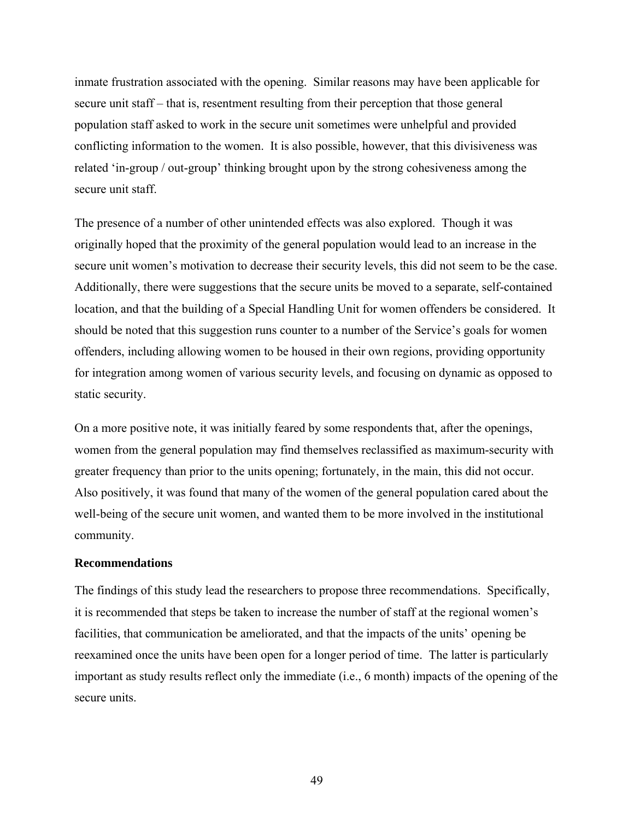inmate frustration associated with the opening. Similar reasons may have been applicable for secure unit staff – that is, resentment resulting from their perception that those general population staff asked to work in the secure unit sometimes were unhelpful and provided conflicting information to the women. It is also possible, however, that this divisiveness was related 'in-group / out-group' thinking brought upon by the strong cohesiveness among the secure unit staff.

The presence of a number of other unintended effects was also explored. Though it was originally hoped that the proximity of the general population would lead to an increase in the secure unit women's motivation to decrease their security levels, this did not seem to be the case. Additionally, there were suggestions that the secure units be moved to a separate, self-contained location, and that the building of a Special Handling Unit for women offenders be considered. It should be noted that this suggestion runs counter to a number of the Service's goals for women offenders, including allowing women to be housed in their own regions, providing opportunity for integration among women of various security levels, and focusing on dynamic as opposed to static security.

On a more positive note, it was initially feared by some respondents that, after the openings, women from the general population may find themselves reclassified as maximum-security with greater frequency than prior to the units opening; fortunately, in the main, this did not occur. Also positively, it was found that many of the women of the general population cared about the well-being of the secure unit women, and wanted them to be more involved in the institutional community.

#### **Recommendations**

The findings of this study lead the researchers to propose three recommendations. Specifically, it is recommended that steps be taken to increase the number of staff at the regional women's facilities, that communication be ameliorated, and that the impacts of the units' opening be reexamined once the units have been open for a longer period of time. The latter is particularly important as study results reflect only the immediate (i.e., 6 month) impacts of the opening of the secure units.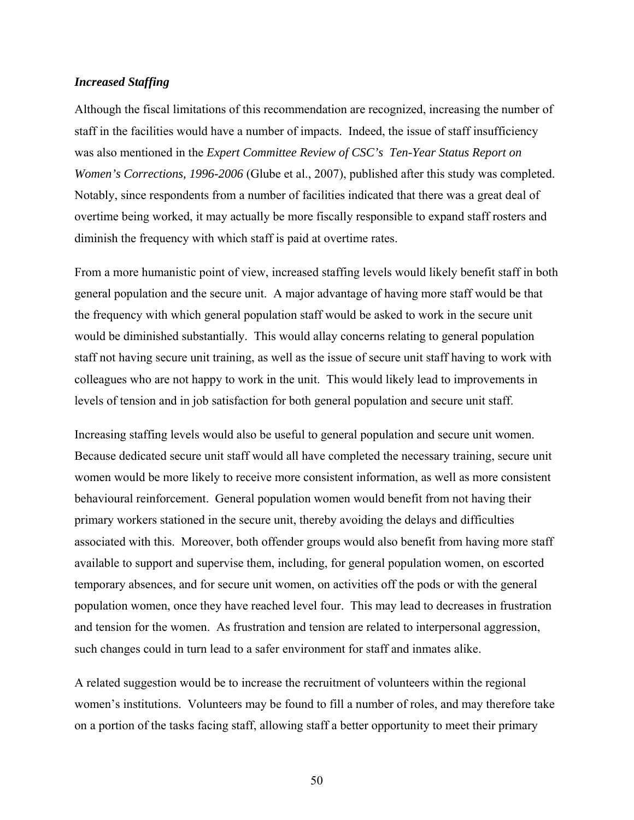# *Increased Staffing*

Although the fiscal limitations of this recommendation are recognized, increasing the number of staff in the facilities would have a number of impacts. Indeed, the issue of staff insufficiency was also mentioned in the *Expert Committee Review of CSC's Ten-Year Status Report on Women's Corrections, 1996-2006* (Glube et al., 2007), published after this study was completed. Notably, since respondents from a number of facilities indicated that there was a great deal of overtime being worked, it may actually be more fiscally responsible to expand staff rosters and diminish the frequency with which staff is paid at overtime rates.

From a more humanistic point of view, increased staffing levels would likely benefit staff in both general population and the secure unit. A major advantage of having more staff would be that the frequency with which general population staff would be asked to work in the secure unit would be diminished substantially. This would allay concerns relating to general population staff not having secure unit training, as well as the issue of secure unit staff having to work with colleagues who are not happy to work in the unit. This would likely lead to improvements in levels of tension and in job satisfaction for both general population and secure unit staff.

Increasing staffing levels would also be useful to general population and secure unit women. Because dedicated secure unit staff would all have completed the necessary training, secure unit women would be more likely to receive more consistent information, as well as more consistent behavioural reinforcement. General population women would benefit from not having their primary workers stationed in the secure unit, thereby avoiding the delays and difficulties associated with this. Moreover, both offender groups would also benefit from having more staff available to support and supervise them, including, for general population women, on escorted temporary absences, and for secure unit women, on activities off the pods or with the general population women, once they have reached level four. This may lead to decreases in frustration and tension for the women. As frustration and tension are related to interpersonal aggression, such changes could in turn lead to a safer environment for staff and inmates alike.

A related suggestion would be to increase the recruitment of volunteers within the regional women's institutions. Volunteers may be found to fill a number of roles, and may therefore take on a portion of the tasks facing staff, allowing staff a better opportunity to meet their primary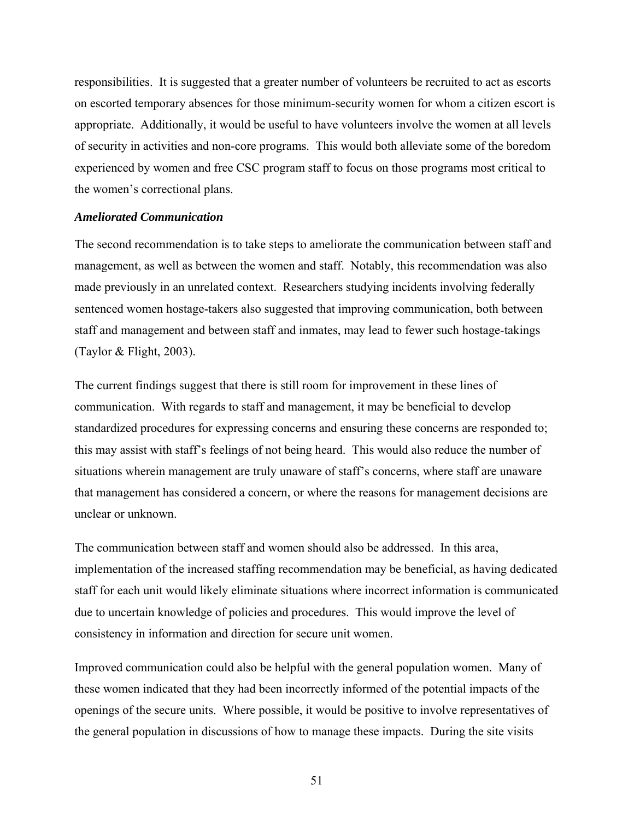responsibilities. It is suggested that a greater number of volunteers be recruited to act as escorts on escorted temporary absences for those minimum-security women for whom a citizen escort is appropriate. Additionally, it would be useful to have volunteers involve the women at all levels of security in activities and non-core programs. This would both alleviate some of the boredom experienced by women and free CSC program staff to focus on those programs most critical to the women's correctional plans.

# *Ameliorated Communication*

The second recommendation is to take steps to ameliorate the communication between staff and management, as well as between the women and staff. Notably, this recommendation was also made previously in an unrelated context. Researchers studying incidents involving federally sentenced women hostage-takers also suggested that improving communication, both between staff and management and between staff and inmates, may lead to fewer such hostage-takings (Taylor & Flight, 2003).

The current findings suggest that there is still room for improvement in these lines of communication. With regards to staff and management, it may be beneficial to develop standardized procedures for expressing concerns and ensuring these concerns are responded to; this may assist with staff's feelings of not being heard. This would also reduce the number of situations wherein management are truly unaware of staff's concerns, where staff are unaware that management has considered a concern, or where the reasons for management decisions are unclear or unknown.

The communication between staff and women should also be addressed. In this area, implementation of the increased staffing recommendation may be beneficial, as having dedicated staff for each unit would likely eliminate situations where incorrect information is communicated due to uncertain knowledge of policies and procedures. This would improve the level of consistency in information and direction for secure unit women.

Improved communication could also be helpful with the general population women. Many of these women indicated that they had been incorrectly informed of the potential impacts of the openings of the secure units. Where possible, it would be positive to involve representatives of the general population in discussions of how to manage these impacts. During the site visits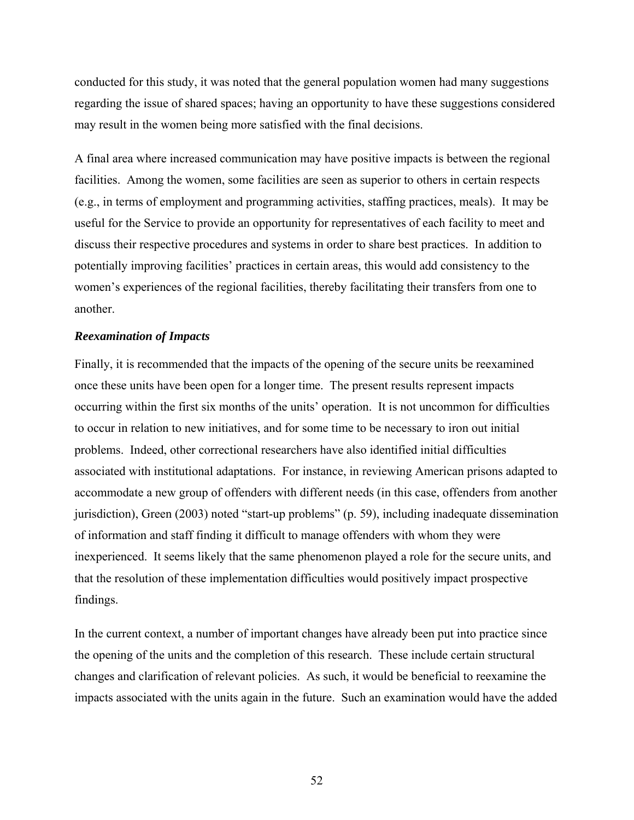conducted for this study, it was noted that the general population women had many suggestions regarding the issue of shared spaces; having an opportunity to have these suggestions considered may result in the women being more satisfied with the final decisions.

A final area where increased communication may have positive impacts is between the regional facilities. Among the women, some facilities are seen as superior to others in certain respects (e.g., in terms of employment and programming activities, staffing practices, meals). It may be useful for the Service to provide an opportunity for representatives of each facility to meet and discuss their respective procedures and systems in order to share best practices. In addition to potentially improving facilities' practices in certain areas, this would add consistency to the women's experiences of the regional facilities, thereby facilitating their transfers from one to another.

#### *Reexamination of Impacts*

Finally, it is recommended that the impacts of the opening of the secure units be reexamined once these units have been open for a longer time. The present results represent impacts occurring within the first six months of the units' operation. It is not uncommon for difficulties to occur in relation to new initiatives, and for some time to be necessary to iron out initial problems. Indeed, other correctional researchers have also identified initial difficulties associated with institutional adaptations. For instance, in reviewing American prisons adapted to accommodate a new group of offenders with different needs (in this case, offenders from another jurisdiction), Green (2003) noted "start-up problems" (p. 59), including inadequate dissemination of information and staff finding it difficult to manage offenders with whom they were inexperienced. It seems likely that the same phenomenon played a role for the secure units, and that the resolution of these implementation difficulties would positively impact prospective findings.

In the current context, a number of important changes have already been put into practice since the opening of the units and the completion of this research. These include certain structural changes and clarification of relevant policies. As such, it would be beneficial to reexamine the impacts associated with the units again in the future. Such an examination would have the added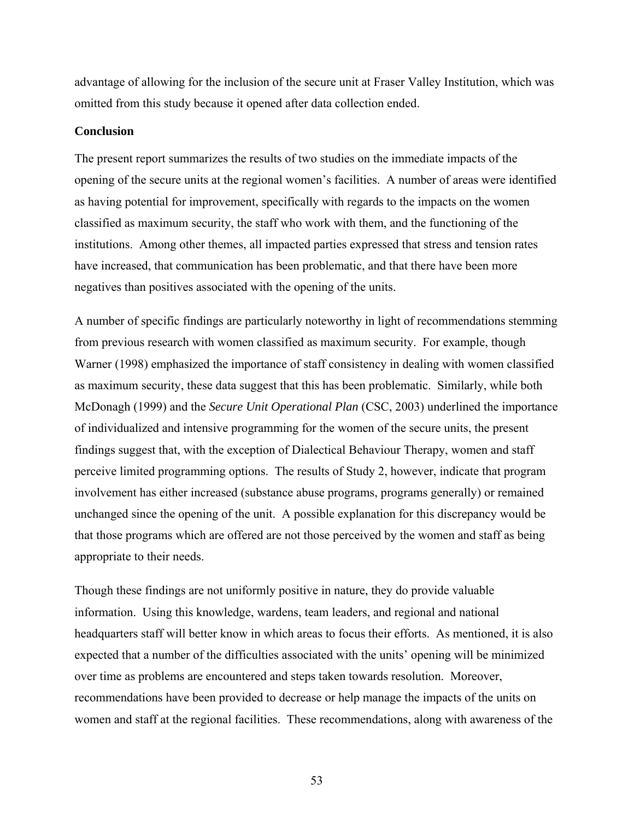advantage of allowing for the inclusion of the secure unit at Fraser Valley Institution, which was omitted from this study because it opened after data collection ended.

#### **Conclusion**

The present report summarizes the results of two studies on the immediate impacts of the opening of the secure units at the regional women's facilities. A number of areas were identified as having potential for improvement, specifically with regards to the impacts on the women classified as maximum security, the staff who work with them, and the functioning of the institutions. Among other themes, all impacted parties expressed that stress and tension rates have increased, that communication has been problematic, and that there have been more negatives than positives associated with the opening of the units.

A number of specific findings are particularly noteworthy in light of recommendations stemming from previous research with women classified as maximum security. For example, though Warner (1998) emphasized the importance of staff consistency in dealing with women classified as maximum security, these data suggest that this has been problematic. Similarly, while both McDonagh (1999) and the *Secure Unit Operational Plan* (CSC, 2003) underlined the importance of individualized and intensive programming for the women of the secure units, the present findings suggest that, with the exception of Dialectical Behaviour Therapy, women and staff perceive limited programming options. The results of Study 2, however, indicate that program involvement has either increased (substance abuse programs, programs generally) or remained unchanged since the opening of the unit. A possible explanation for this discrepancy would be that those programs which are offered are not those perceived by the women and staff as being appropriate to their needs.

Though these findings are not uniformly positive in nature, they do provide valuable information. Using this knowledge, wardens, team leaders, and regional and national headquarters staff will better know in which areas to focus their efforts. As mentioned, it is also expected that a number of the difficulties associated with the units' opening will be minimized over time as problems are encountered and steps taken towards resolution. Moreover, recommendations have been provided to decrease or help manage the impacts of the units on women and staff at the regional facilities. These recommendations, along with awareness of the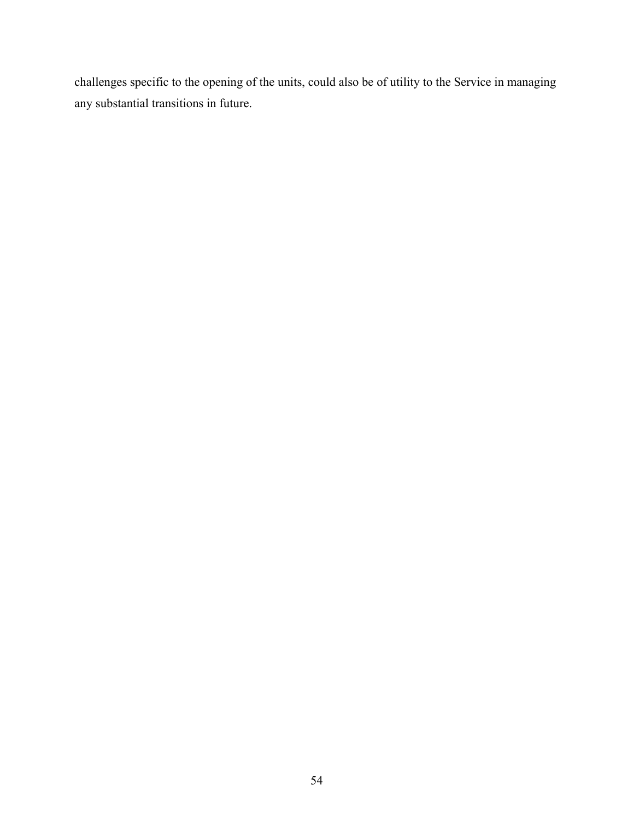challenges specific to the opening of the units, could also be of utility to the Service in managing any substantial transitions in future.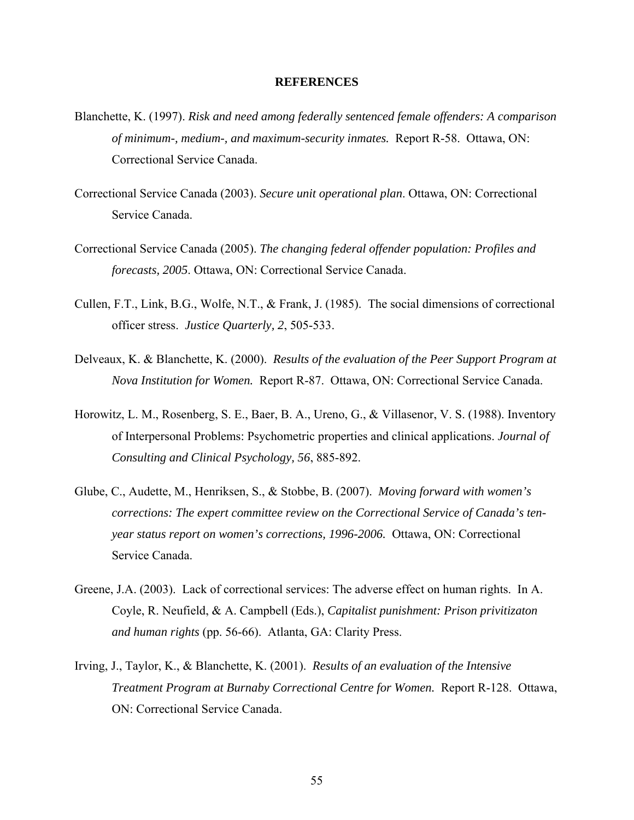#### **REFERENCES**

- Blanchette, K. (1997). *Risk and need among federally sentenced female offenders: A comparison of minimum-, medium-, and maximum-security inmates.* Report R-58. Ottawa, ON: Correctional Service Canada.
- Correctional Service Canada (2003). *Secure unit operational plan*. Ottawa, ON: Correctional Service Canada.
- Correctional Service Canada (2005). *The changing federal offender population: Profiles and forecasts, 2005*. Ottawa, ON: Correctional Service Canada.
- Cullen, F.T., Link, B.G., Wolfe, N.T., & Frank, J. (1985). The social dimensions of correctional officer stress. *Justice Quarterly, 2*, 505-533.
- Delveaux, K. & Blanchette, K. (2000). *Results of the evaluation of the Peer Support Program at Nova Institution for Women.* Report R-87. Ottawa, ON: Correctional Service Canada.
- Horowitz, L. M., Rosenberg, S. E., Baer, B. A., Ureno, G., & Villasenor, V. S. (1988). Inventory of Interpersonal Problems: Psychometric properties and clinical applications. *Journal of Consulting and Clinical Psychology, 56*, 885-892.
- Glube, C., Audette, M., Henriksen, S., & Stobbe, B. (2007). *Moving forward with women's corrections: The expert committee review on the Correctional Service of Canada's tenyear status report on women's corrections, 1996-2006.* Ottawa, ON: Correctional Service Canada.
- Greene, J.A. (2003). Lack of correctional services: The adverse effect on human rights. In A. Coyle, R. Neufield, & A. Campbell (Eds.), *Capitalist punishment: Prison privitizaton and human rights* (pp. 56-66). Atlanta, GA: Clarity Press.
- Irving, J., Taylor, K., & Blanchette, K. (2001). *Results of an evaluation of the Intensive Treatment Program at Burnaby Correctional Centre for Women.* Report R-128. Ottawa, ON: Correctional Service Canada.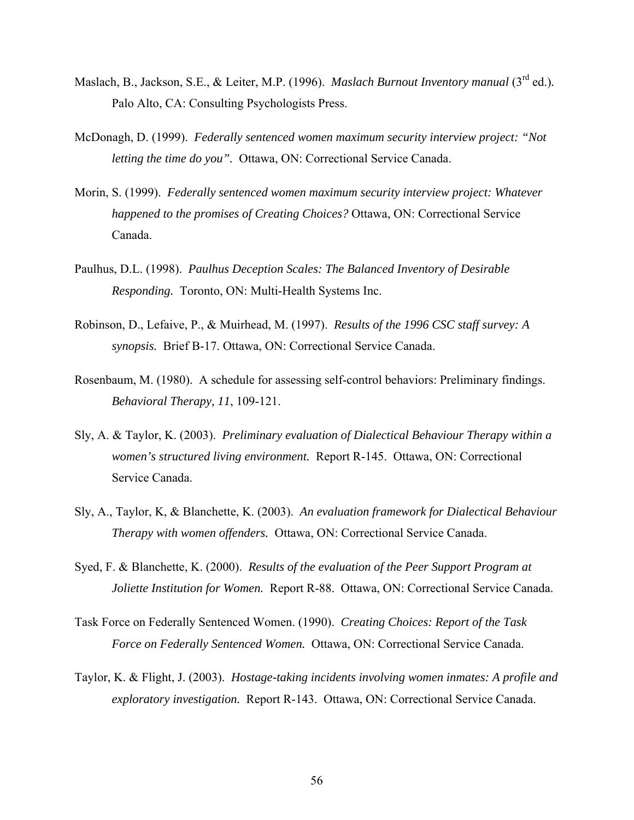- Maslach, B., Jackson, S.E., & Leiter, M.P. (1996). *Maslach Burnout Inventory manual* (3<sup>rd</sup> ed.). Palo Alto, CA: Consulting Psychologists Press.
- McDonagh, D. (1999). *Federally sentenced women maximum security interview project: "Not letting the time do you".* Ottawa, ON: Correctional Service Canada.
- Morin, S. (1999). *Federally sentenced women maximum security interview project: Whatever happened to the promises of Creating Choices?* Ottawa, ON: Correctional Service Canada.
- Paulhus, D.L. (1998). *Paulhus Deception Scales: The Balanced Inventory of Desirable Responding.* Toronto, ON: Multi-Health Systems Inc.
- Robinson, D., Lefaive, P., & Muirhead, M. (1997). *Results of the 1996 CSC staff survey: A synopsis.* Brief B-17. Ottawa, ON: Correctional Service Canada.
- Rosenbaum, M. (1980). A schedule for assessing self-control behaviors: Preliminary findings. *Behavioral Therapy, 11*, 109-121.
- Sly, A. & Taylor, K. (2003). *Preliminary evaluation of Dialectical Behaviour Therapy within a women's structured living environment.* Report R-145. Ottawa, ON: Correctional Service Canada.
- Sly, A., Taylor, K, & Blanchette, K. (2003). *An evaluation framework for Dialectical Behaviour Therapy with women offenders.* Ottawa, ON: Correctional Service Canada.
- Syed, F. & Blanchette, K. (2000). *Results of the evaluation of the Peer Support Program at Joliette Institution for Women.* Report R-88. Ottawa, ON: Correctional Service Canada.
- Task Force on Federally Sentenced Women. (1990). *Creating Choices: Report of the Task Force on Federally Sentenced Women.* Ottawa, ON: Correctional Service Canada.
- Taylor, K. & Flight, J. (2003). *Hostage-taking incidents involving women inmates: A profile and exploratory investigation.* Report R-143. Ottawa, ON: Correctional Service Canada.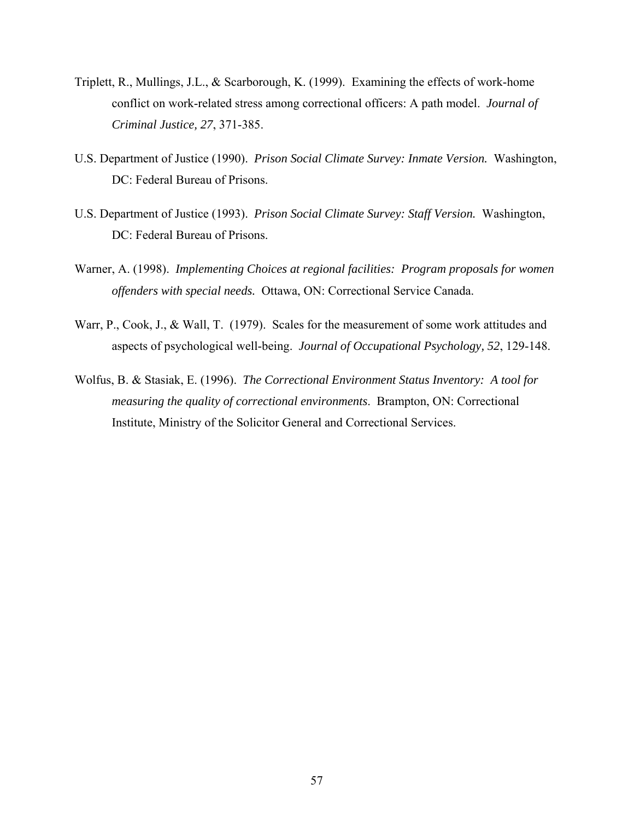- Triplett, R., Mullings, J.L., & Scarborough, K. (1999). Examining the effects of work-home conflict on work-related stress among correctional officers: A path model. *Journal of Criminal Justice, 27*, 371-385.
- U.S. Department of Justice (1990). *Prison Social Climate Survey: Inmate Version.* Washington, DC: Federal Bureau of Prisons.
- U.S. Department of Justice (1993). *Prison Social Climate Survey: Staff Version.* Washington, DC: Federal Bureau of Prisons.
- Warner, A. (1998). *Implementing Choices at regional facilities: Program proposals for women offenders with special needs.* Ottawa, ON: Correctional Service Canada.
- Warr, P., Cook, J., & Wall, T. (1979). Scales for the measurement of some work attitudes and aspects of psychological well-being. *Journal of Occupational Psychology, 52*, 129-148.
- Wolfus, B. & Stasiak, E. (1996). *The Correctional Environment Status Inventory: A tool for measuring the quality of correctional environments*. Brampton, ON: Correctional Institute, Ministry of the Solicitor General and Correctional Services.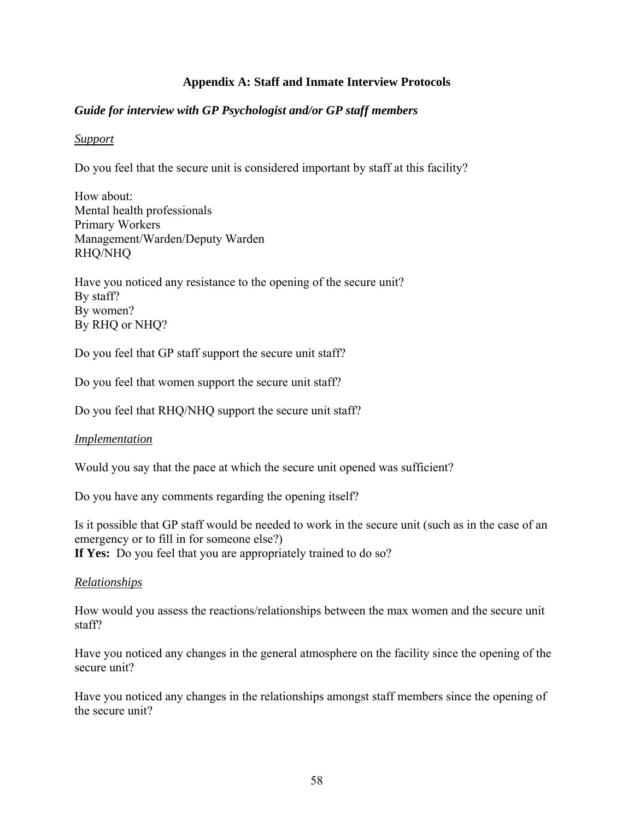# **Appendix A: Staff and Inmate Interview Protocols**

# *Guide for interview with GP Psychologist and/or GP staff members*

# *Support*

Do you feel that the secure unit is considered important by staff at this facility?

How about: Mental health professionals Primary Workers Management/Warden/Deputy Warden RHQ/NHQ

Have you noticed any resistance to the opening of the secure unit? By staff? By women? By RHQ or NHQ?

Do you feel that GP staff support the secure unit staff?

Do you feel that women support the secure unit staff?

Do you feel that RHQ/NHQ support the secure unit staff?

# *Implementation*

Would you say that the pace at which the secure unit opened was sufficient?

Do you have any comments regarding the opening itself?

Is it possible that GP staff would be needed to work in the secure unit (such as in the case of an emergency or to fill in for someone else?) **If Yes:** Do you feel that you are appropriately trained to do so?

# *Relationships*

How would you assess the reactions/relationships between the max women and the secure unit staff?

Have you noticed any changes in the general atmosphere on the facility since the opening of the secure unit?

Have you noticed any changes in the relationships amongst staff members since the opening of the secure unit?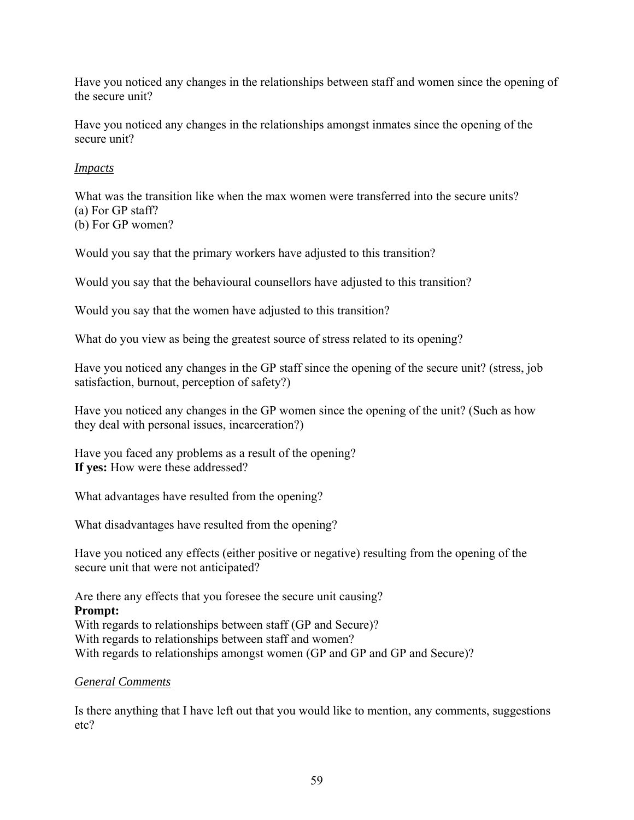Have you noticed any changes in the relationships between staff and women since the opening of the secure unit?

Have you noticed any changes in the relationships amongst inmates since the opening of the secure unit?

# *Impacts*

What was the transition like when the max women were transferred into the secure units? (a) For GP staff? (b) For GP women?

Would you say that the primary workers have adjusted to this transition?

Would you say that the behavioural counsellors have adjusted to this transition?

Would you say that the women have adjusted to this transition?

What do you view as being the greatest source of stress related to its opening?

Have you noticed any changes in the GP staff since the opening of the secure unit? (stress, job satisfaction, burnout, perception of safety?)

Have you noticed any changes in the GP women since the opening of the unit? (Such as how they deal with personal issues, incarceration?)

Have you faced any problems as a result of the opening? **If yes:** How were these addressed?

What advantages have resulted from the opening?

What disadvantages have resulted from the opening?

Have you noticed any effects (either positive or negative) resulting from the opening of the secure unit that were not anticipated?

Are there any effects that you foresee the secure unit causing?

**Prompt:** With regards to relationships between staff (GP and Secure)? With regards to relationships between staff and women? With regards to relationships amongst women (GP and GP and GP and Secure)?

# *General Comments*

Is there anything that I have left out that you would like to mention, any comments, suggestions etc?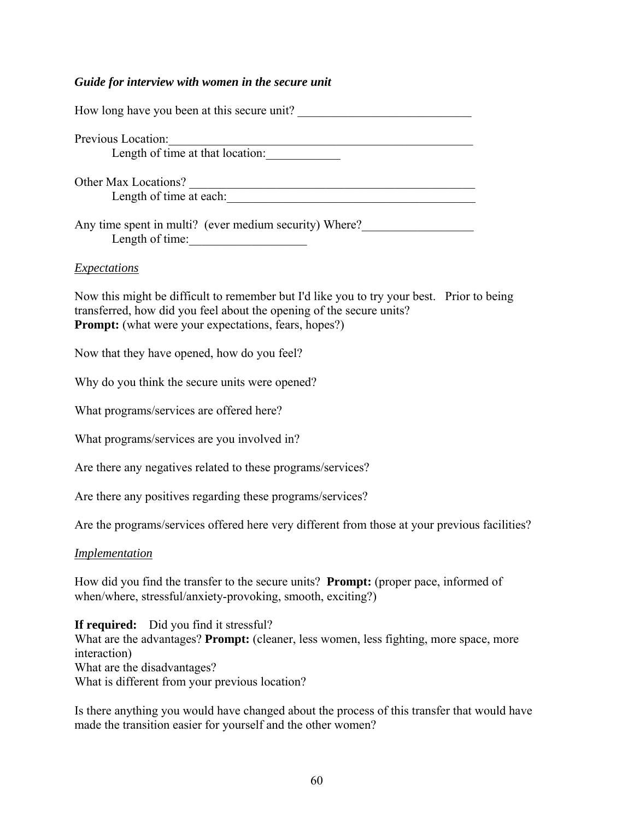# *Guide for interview with women in the secure unit*

| Previous Location:<br>Length of time at that location:                                                                                                                                                                             |
|------------------------------------------------------------------------------------------------------------------------------------------------------------------------------------------------------------------------------------|
|                                                                                                                                                                                                                                    |
| Any time spent in multi? (ever medium security) Where?<br>Length of time:                                                                                                                                                          |
| <i>Expectations</i>                                                                                                                                                                                                                |
| Now this might be difficult to remember but I'd like you to try your best. Prior to being<br>transferred, how did you feel about the opening of the secure units?<br><b>Prompt:</b> (what were your expectations, fears, hopes?)   |
| Now that they have opened, how do you feel?                                                                                                                                                                                        |
| Why do you think the secure units were opened?                                                                                                                                                                                     |
| What programs/services are offered here?                                                                                                                                                                                           |
| What programs/services are you involved in?                                                                                                                                                                                        |
| Are there any negatives related to these programs/services?                                                                                                                                                                        |
| Are there any positives regarding these programs/services?                                                                                                                                                                         |
| Are the programs/services offered here very different from those at your previous facilities?                                                                                                                                      |
| <i><u><b>Implementation</b></u></i>                                                                                                                                                                                                |
| How did you find the transfer to the secure units? <b>Prompt:</b> (proper pace, informed of<br>when/where, stressful/anxiety-provoking, smooth, exciting?)                                                                         |
| If required: Did you find it stressful?<br>What are the advantages? Prompt: (cleaner, less women, less fighting, more space, more<br>interaction)<br>What are the disadvantages?<br>What is different from your previous location? |
| Is there anything you would have changed about the process of this transfer that would have<br>made the transition easier for yourself and the other women?                                                                        |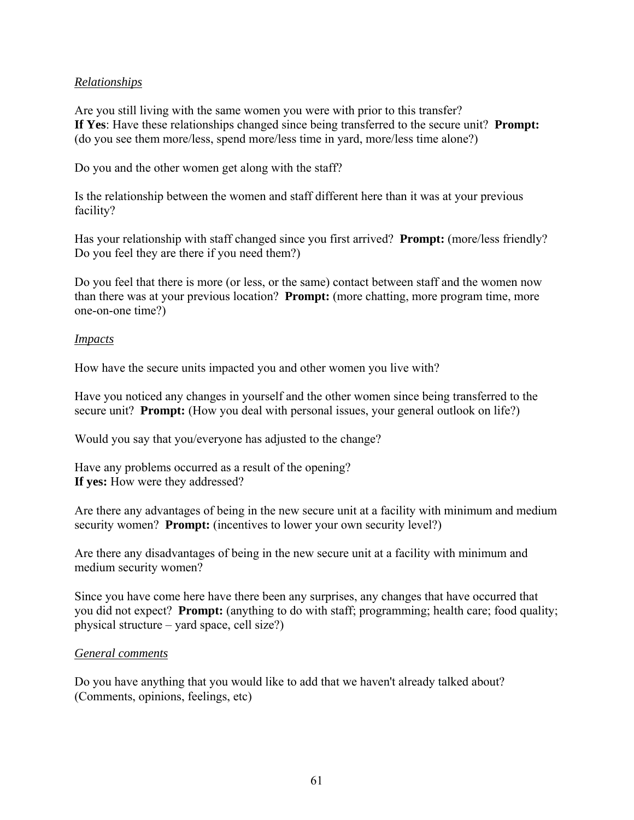# *Relationships*

Are you still living with the same women you were with prior to this transfer? **If Yes**: Have these relationships changed since being transferred to the secure unit? **Prompt:**  (do you see them more/less, spend more/less time in yard, more/less time alone?)

Do you and the other women get along with the staff?

Is the relationship between the women and staff different here than it was at your previous facility?

Has your relationship with staff changed since you first arrived? **Prompt:** (more/less friendly? Do you feel they are there if you need them?)

Do you feel that there is more (or less, or the same) contact between staff and the women now than there was at your previous location? **Prompt:** (more chatting, more program time, more one-on-one time?)

# *Impacts*

How have the secure units impacted you and other women you live with?

Have you noticed any changes in yourself and the other women since being transferred to the secure unit? **Prompt:** (How you deal with personal issues, your general outlook on life?)

Would you say that you/everyone has adjusted to the change?

Have any problems occurred as a result of the opening? **If yes:** How were they addressed?

Are there any advantages of being in the new secure unit at a facility with minimum and medium security women? **Prompt:** (incentives to lower your own security level?)

Are there any disadvantages of being in the new secure unit at a facility with minimum and medium security women?

Since you have come here have there been any surprises, any changes that have occurred that you did not expect? **Prompt:** (anything to do with staff; programming; health care; food quality; physical structure – yard space, cell size?)

# *General comments*

Do you have anything that you would like to add that we haven't already talked about? (Comments, opinions, feelings, etc)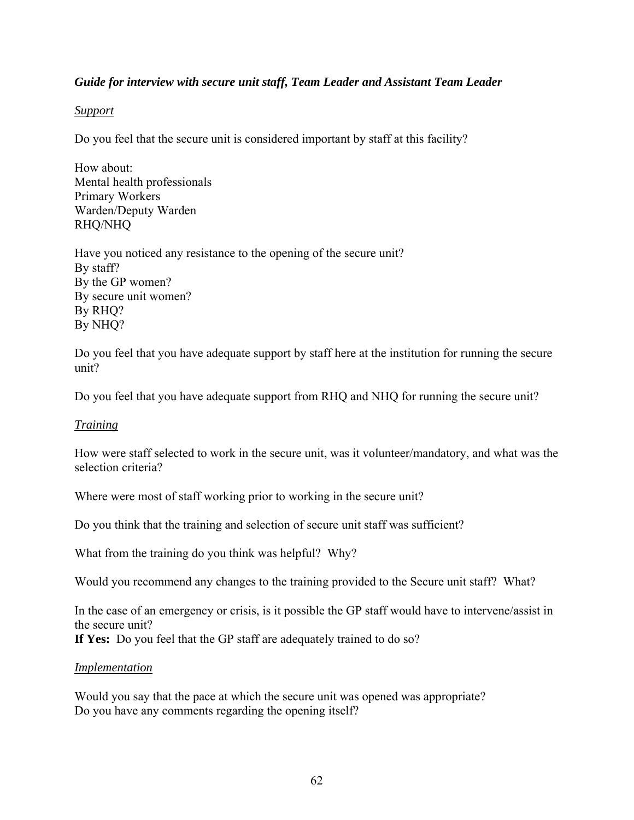# *Guide for interview with secure unit staff, Team Leader and Assistant Team Leader*

# *Support*

Do you feel that the secure unit is considered important by staff at this facility?

How about: Mental health professionals Primary Workers Warden/Deputy Warden RHQ/NHQ

Have you noticed any resistance to the opening of the secure unit? By staff? By the GP women? By secure unit women? By RHQ? By NHQ?

Do you feel that you have adequate support by staff here at the institution for running the secure unit?

Do you feel that you have adequate support from RHQ and NHQ for running the secure unit?

# *Training*

How were staff selected to work in the secure unit, was it volunteer/mandatory, and what was the selection criteria?

Where were most of staff working prior to working in the secure unit?

Do you think that the training and selection of secure unit staff was sufficient?

What from the training do you think was helpful? Why?

Would you recommend any changes to the training provided to the Secure unit staff? What?

In the case of an emergency or crisis, is it possible the GP staff would have to intervene/assist in the secure unit?

**If Yes:** Do you feel that the GP staff are adequately trained to do so?

# *Implementation*

Would you say that the pace at which the secure unit was opened was appropriate? Do you have any comments regarding the opening itself?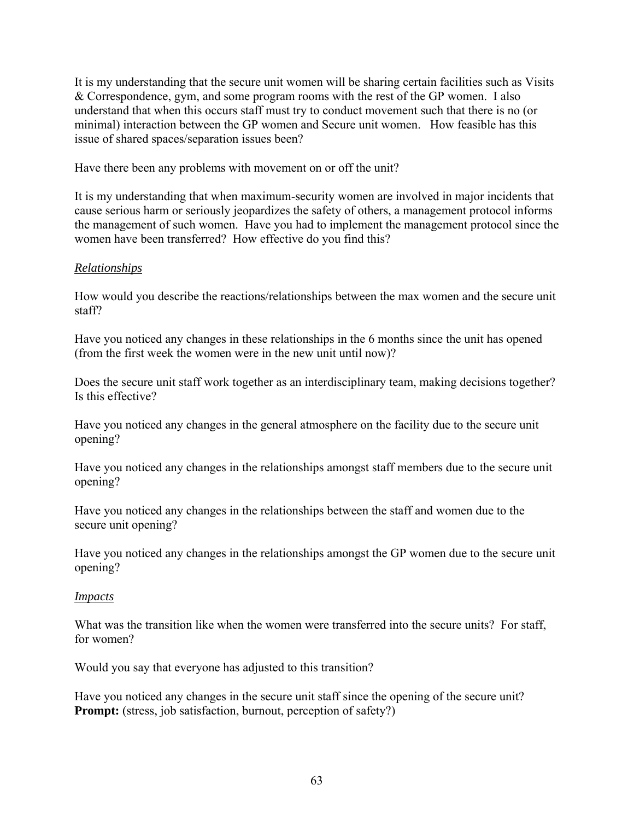It is my understanding that the secure unit women will be sharing certain facilities such as Visits & Correspondence, gym, and some program rooms with the rest of the GP women. I also understand that when this occurs staff must try to conduct movement such that there is no (or minimal) interaction between the GP women and Secure unit women. How feasible has this issue of shared spaces/separation issues been?

Have there been any problems with movement on or off the unit?

It is my understanding that when maximum-security women are involved in major incidents that cause serious harm or seriously jeopardizes the safety of others, a management protocol informs the management of such women. Have you had to implement the management protocol since the women have been transferred? How effective do you find this?

# *Relationships*

How would you describe the reactions/relationships between the max women and the secure unit staff?

Have you noticed any changes in these relationships in the 6 months since the unit has opened (from the first week the women were in the new unit until now)?

Does the secure unit staff work together as an interdisciplinary team, making decisions together? Is this effective?

Have you noticed any changes in the general atmosphere on the facility due to the secure unit opening?

Have you noticed any changes in the relationships amongst staff members due to the secure unit opening?

Have you noticed any changes in the relationships between the staff and women due to the secure unit opening?

Have you noticed any changes in the relationships amongst the GP women due to the secure unit opening?

# *Impacts*

What was the transition like when the women were transferred into the secure units? For staff, for women?

Would you say that everyone has adjusted to this transition?

Have you noticed any changes in the secure unit staff since the opening of the secure unit? **Prompt:** (stress, job satisfaction, burnout, perception of safety?)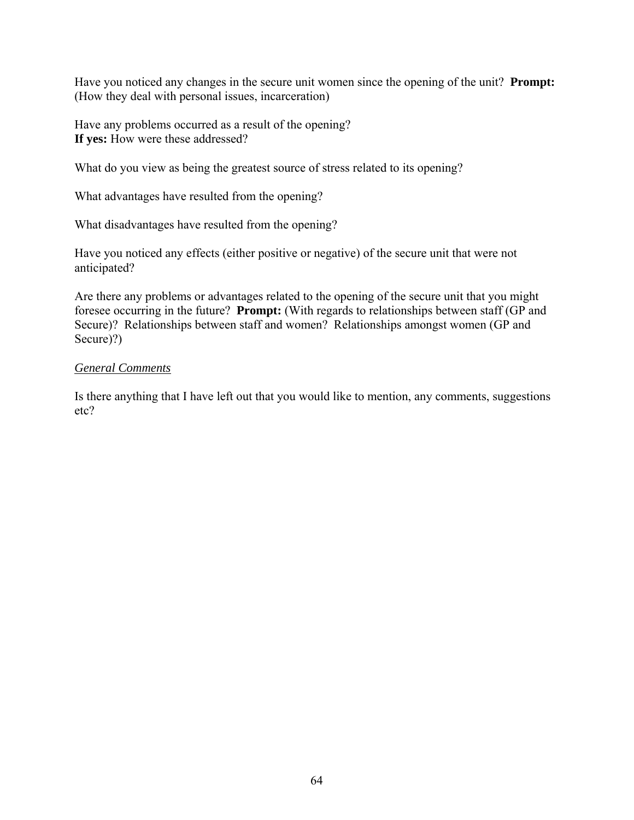Have you noticed any changes in the secure unit women since the opening of the unit? **Prompt:** (How they deal with personal issues, incarceration)

Have any problems occurred as a result of the opening? **If yes:** How were these addressed?

What do you view as being the greatest source of stress related to its opening?

What advantages have resulted from the opening?

What disadvantages have resulted from the opening?

Have you noticed any effects (either positive or negative) of the secure unit that were not anticipated?

Are there any problems or advantages related to the opening of the secure unit that you might foresee occurring in the future? **Prompt:** (With regards to relationships between staff (GP and Secure)? Relationships between staff and women? Relationships amongst women (GP and Secure)?)

# *General Comments*

Is there anything that I have left out that you would like to mention, any comments, suggestions etc?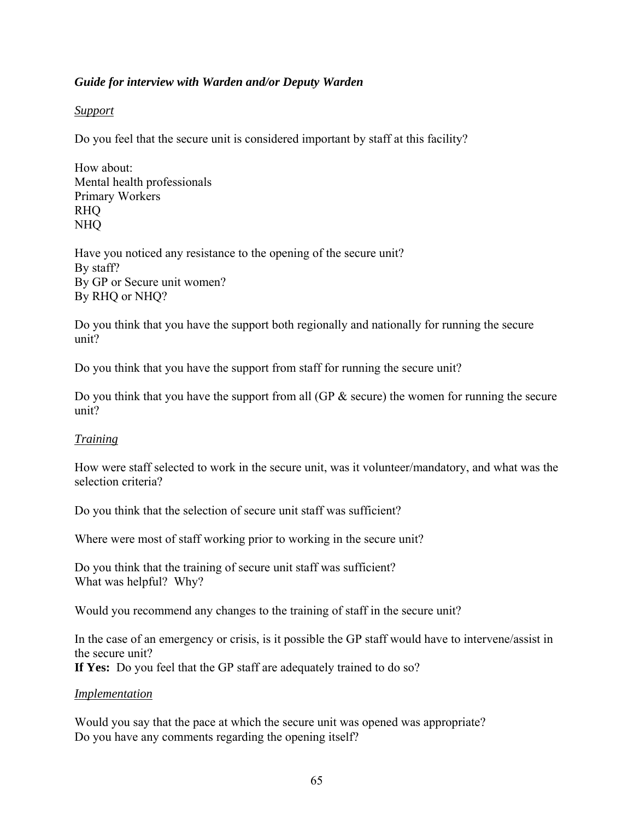## *Guide for interview with Warden and/or Deputy Warden*

## *Support*

Do you feel that the secure unit is considered important by staff at this facility?

How about: Mental health professionals Primary Workers RHQ NHQ

Have you noticed any resistance to the opening of the secure unit? By staff? By GP or Secure unit women? By RHQ or NHQ?

Do you think that you have the support both regionally and nationally for running the secure unit?

Do you think that you have the support from staff for running the secure unit?

Do you think that you have the support from all  $(\text{GP} \& \text{ secure})$  the women for running the secure unit?

## *Training*

How were staff selected to work in the secure unit, was it volunteer/mandatory, and what was the selection criteria?

Do you think that the selection of secure unit staff was sufficient?

Where were most of staff working prior to working in the secure unit?

Do you think that the training of secure unit staff was sufficient? What was helpful? Why?

Would you recommend any changes to the training of staff in the secure unit?

In the case of an emergency or crisis, is it possible the GP staff would have to intervene/assist in the secure unit?

**If Yes:** Do you feel that the GP staff are adequately trained to do so?

## *Implementation*

Would you say that the pace at which the secure unit was opened was appropriate? Do you have any comments regarding the opening itself?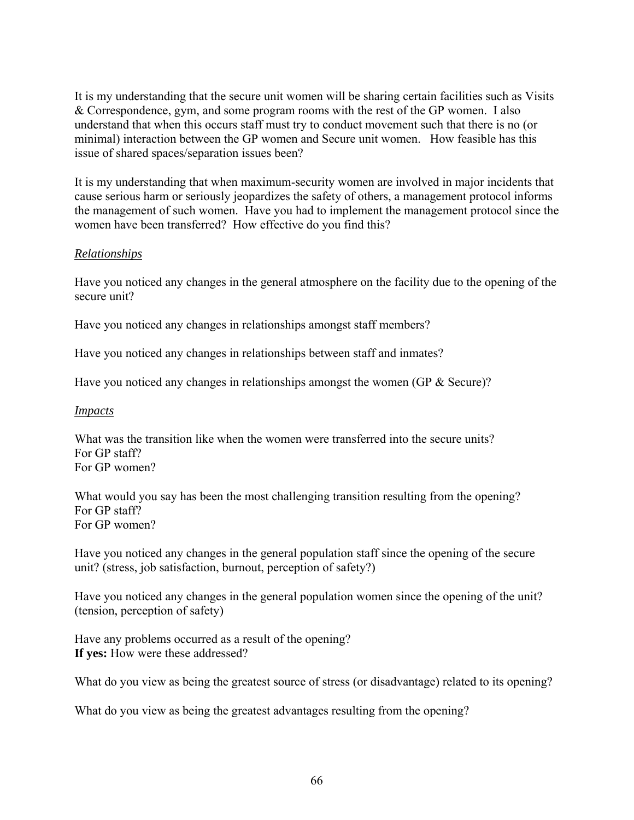It is my understanding that the secure unit women will be sharing certain facilities such as Visits & Correspondence, gym, and some program rooms with the rest of the GP women. I also understand that when this occurs staff must try to conduct movement such that there is no (or minimal) interaction between the GP women and Secure unit women. How feasible has this issue of shared spaces/separation issues been?

It is my understanding that when maximum-security women are involved in major incidents that cause serious harm or seriously jeopardizes the safety of others, a management protocol informs the management of such women. Have you had to implement the management protocol since the women have been transferred? How effective do you find this?

## *Relationships*

Have you noticed any changes in the general atmosphere on the facility due to the opening of the secure unit?

Have you noticed any changes in relationships amongst staff members?

Have you noticed any changes in relationships between staff and inmates?

Have you noticed any changes in relationships amongst the women (GP & Secure)?

#### *Impacts*

What was the transition like when the women were transferred into the secure units? For GP staff? For GP women?

What would you say has been the most challenging transition resulting from the opening? For GP staff? For GP women?

Have you noticed any changes in the general population staff since the opening of the secure unit? (stress, job satisfaction, burnout, perception of safety?)

Have you noticed any changes in the general population women since the opening of the unit? (tension, perception of safety)

Have any problems occurred as a result of the opening? **If yes:** How were these addressed?

What do you view as being the greatest source of stress (or disadvantage) related to its opening?

What do you view as being the greatest advantages resulting from the opening?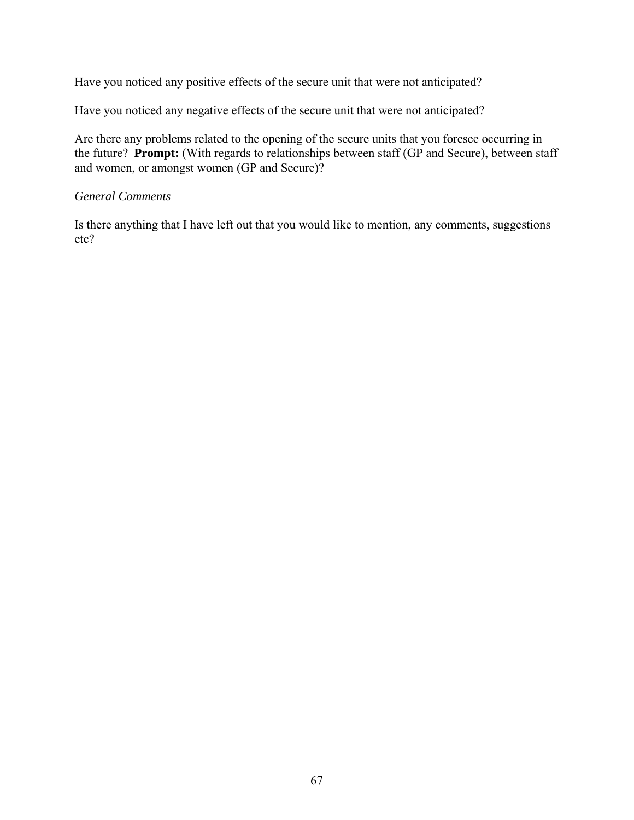Have you noticed any positive effects of the secure unit that were not anticipated?

Have you noticed any negative effects of the secure unit that were not anticipated?

Are there any problems related to the opening of the secure units that you foresee occurring in the future? **Prompt:** (With regards to relationships between staff (GP and Secure), between staff and women, or amongst women (GP and Secure)?

#### *General Comments*

Is there anything that I have left out that you would like to mention, any comments, suggestions etc?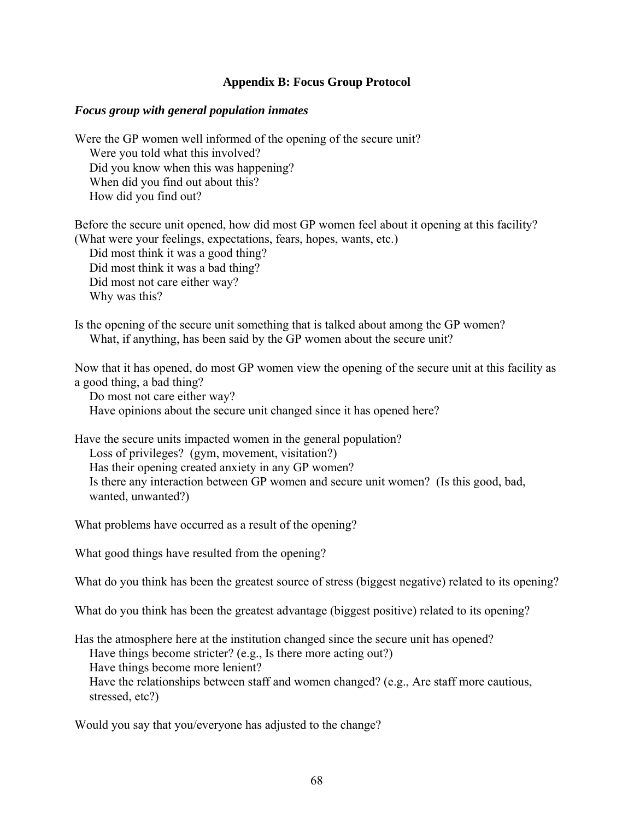## **Appendix B: Focus Group Protocol**

#### *Focus group with general population inmates*

Were the GP women well informed of the opening of the secure unit? Were you told what this involved? Did you know when this was happening? When did you find out about this? How did you find out?

Before the secure unit opened, how did most GP women feel about it opening at this facility? (What were your feelings, expectations, fears, hopes, wants, etc.)

Did most think it was a good thing? Did most think it was a bad thing? Did most not care either way? Why was this?

Is the opening of the secure unit something that is talked about among the GP women? What, if anything, has been said by the GP women about the secure unit?

Now that it has opened, do most GP women view the opening of the secure unit at this facility as a good thing, a bad thing?

Do most not care either way? Have opinions about the secure unit changed since it has opened here?

Have the secure units impacted women in the general population? Loss of privileges? (gym, movement, visitation?) Has their opening created anxiety in any GP women? Is there any interaction between GP women and secure unit women? (Is this good, bad, wanted, unwanted?)

What problems have occurred as a result of the opening?

What good things have resulted from the opening?

What do you think has been the greatest source of stress (biggest negative) related to its opening?

What do you think has been the greatest advantage (biggest positive) related to its opening?

Has the atmosphere here at the institution changed since the secure unit has opened? Have things become stricter? (e.g., Is there more acting out?) Have things become more lenient? Have the relationships between staff and women changed? (e.g., Are staff more cautious,

stressed, etc?)

Would you say that you/everyone has adjusted to the change?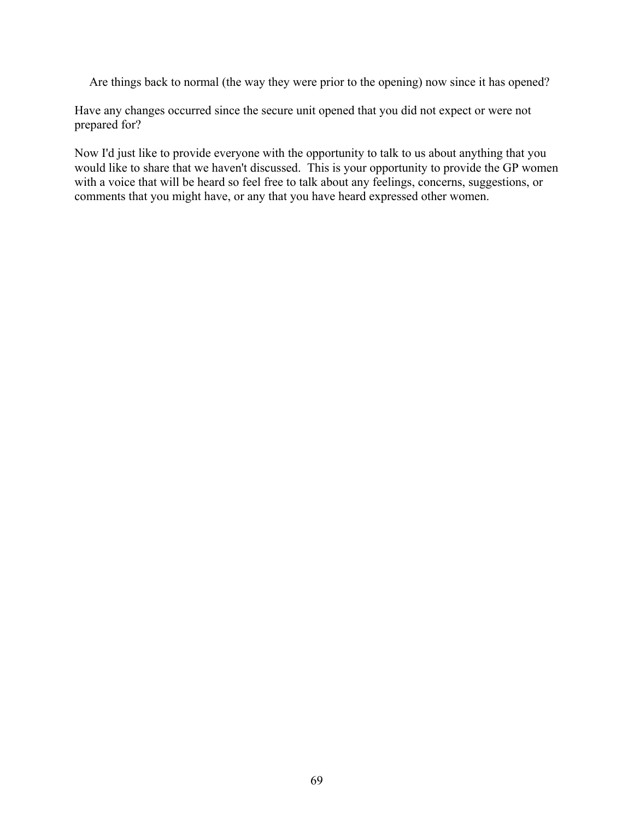Are things back to normal (the way they were prior to the opening) now since it has opened?

Have any changes occurred since the secure unit opened that you did not expect or were not prepared for?

Now I'd just like to provide everyone with the opportunity to talk to us about anything that you would like to share that we haven't discussed. This is your opportunity to provide the GP women with a voice that will be heard so feel free to talk about any feelings, concerns, suggestions, or comments that you might have, or any that you have heard expressed other women.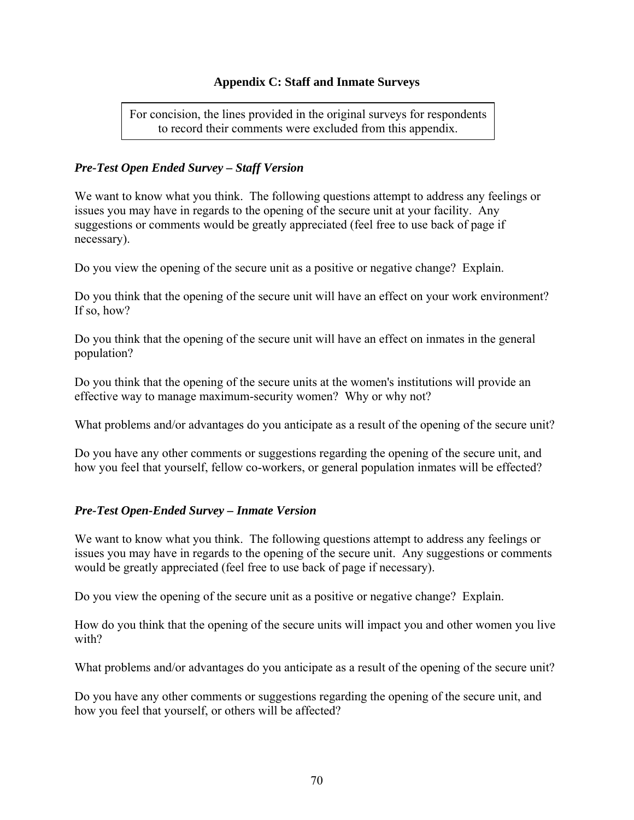## **Appendix C: Staff and Inmate Surveys**

For concision, the lines provided in the original surveys for respondents to record their comments were excluded from this appendix.

## *Pre-Test Open Ended Survey – Staff Version*

We want to know what you think. The following questions attempt to address any feelings or issues you may have in regards to the opening of the secure unit at your facility. Any suggestions or comments would be greatly appreciated (feel free to use back of page if necessary).

Do you view the opening of the secure unit as a positive or negative change? Explain.

Do you think that the opening of the secure unit will have an effect on your work environment? If so, how?

Do you think that the opening of the secure unit will have an effect on inmates in the general population?

Do you think that the opening of the secure units at the women's institutions will provide an effective way to manage maximum-security women? Why or why not?

What problems and/or advantages do you anticipate as a result of the opening of the secure unit?

Do you have any other comments or suggestions regarding the opening of the secure unit, and how you feel that yourself, fellow co-workers, or general population inmates will be effected?

#### *Pre-Test Open-Ended Survey – Inmate Version*

We want to know what you think. The following questions attempt to address any feelings or issues you may have in regards to the opening of the secure unit. Any suggestions or comments would be greatly appreciated (feel free to use back of page if necessary).

Do you view the opening of the secure unit as a positive or negative change? Explain.

How do you think that the opening of the secure units will impact you and other women you live with?

What problems and/or advantages do you anticipate as a result of the opening of the secure unit?

Do you have any other comments or suggestions regarding the opening of the secure unit, and how you feel that yourself, or others will be affected?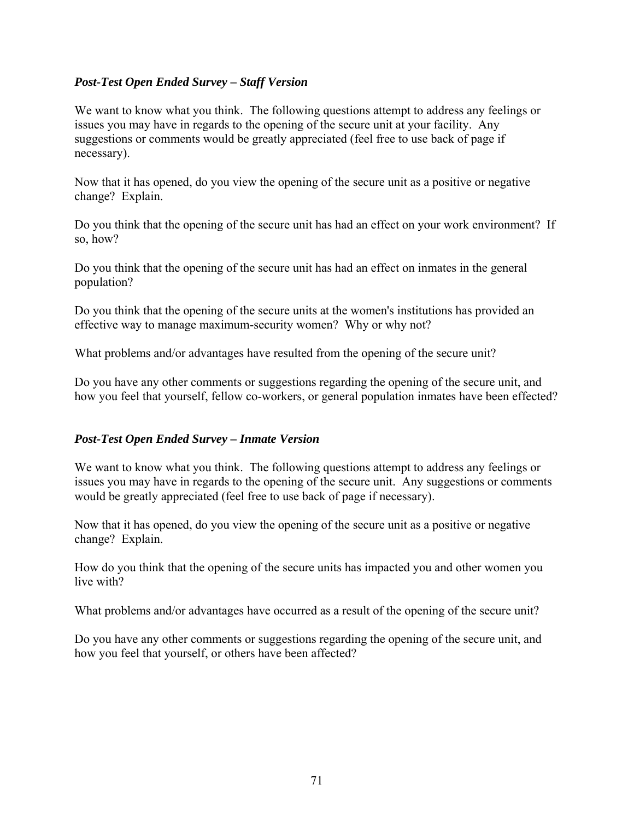## *Post-Test Open Ended Survey – Staff Version*

We want to know what you think. The following questions attempt to address any feelings or issues you may have in regards to the opening of the secure unit at your facility. Any suggestions or comments would be greatly appreciated (feel free to use back of page if necessary).

Now that it has opened, do you view the opening of the secure unit as a positive or negative change? Explain.

Do you think that the opening of the secure unit has had an effect on your work environment? If so, how?

Do you think that the opening of the secure unit has had an effect on inmates in the general population?

Do you think that the opening of the secure units at the women's institutions has provided an effective way to manage maximum-security women? Why or why not?

What problems and/or advantages have resulted from the opening of the secure unit?

Do you have any other comments or suggestions regarding the opening of the secure unit, and how you feel that yourself, fellow co-workers, or general population inmates have been effected?

## *Post-Test Open Ended Survey – Inmate Version*

We want to know what you think. The following questions attempt to address any feelings or issues you may have in regards to the opening of the secure unit. Any suggestions or comments would be greatly appreciated (feel free to use back of page if necessary).

Now that it has opened, do you view the opening of the secure unit as a positive or negative change? Explain.

How do you think that the opening of the secure units has impacted you and other women you live with?

What problems and/or advantages have occurred as a result of the opening of the secure unit?

Do you have any other comments or suggestions regarding the opening of the secure unit, and how you feel that yourself, or others have been affected?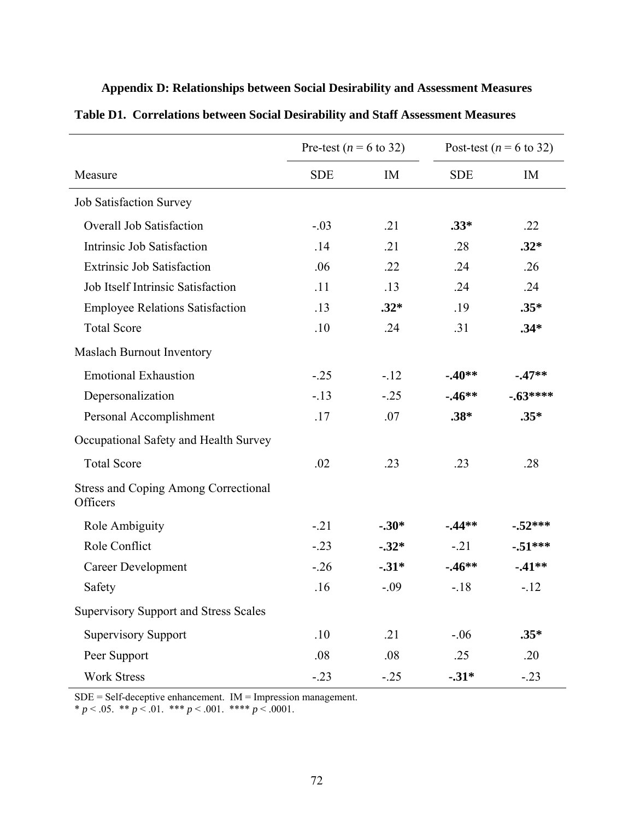|                                                         | Pre-test ( $n = 6$ to 32) |         | Post-test ( $n = 6$ to 32) |           |
|---------------------------------------------------------|---------------------------|---------|----------------------------|-----------|
| Measure                                                 | <b>SDE</b>                | IM      | <b>SDE</b>                 | IM        |
| <b>Job Satisfaction Survey</b>                          |                           |         |                            |           |
| Overall Job Satisfaction                                | $-.03$                    | .21     | $.33*$                     | .22       |
| Intrinsic Job Satisfaction                              | .14                       | .21     | .28                        | $.32*$    |
| <b>Extrinsic Job Satisfaction</b>                       | .06                       | .22     | .24                        | .26       |
| Job Itself Intrinsic Satisfaction                       | .11                       | .13     | .24                        | .24       |
| <b>Employee Relations Satisfaction</b>                  | .13                       | $.32*$  | .19                        | $.35*$    |
| <b>Total Score</b>                                      | .10                       | .24     | .31                        | $.34*$    |
| <b>Maslach Burnout Inventory</b>                        |                           |         |                            |           |
| <b>Emotional Exhaustion</b>                             | $-.25$                    | $-12$   | $-0.40**$                  | $-47**$   |
| Depersonalization                                       | $-13$                     | $-.25$  | $-0.46**$                  | $-.63***$ |
| Personal Accomplishment                                 | .17                       | .07     | $.38*$                     | $.35*$    |
| Occupational Safety and Health Survey                   |                           |         |                            |           |
| <b>Total Score</b>                                      | .02                       | .23     | .23                        | .28       |
| <b>Stress and Coping Among Correctional</b><br>Officers |                           |         |                            |           |
| Role Ambiguity                                          | $-.21$                    | $-.30*$ | $-44**$                    | $-.52***$ |
| Role Conflict                                           | $-.23$                    | $-.32*$ | $-.21$                     | $-51***$  |
| <b>Career Development</b>                               | $-26$                     | $-31*$  | $-46**$                    | $-41**$   |
| Safety                                                  | .16                       | $-.09$  | $-.18$                     | $-12$     |
| <b>Supervisory Support and Stress Scales</b>            |                           |         |                            |           |
| <b>Supervisory Support</b>                              | .10                       | .21     | $-.06$                     | $.35*$    |
| Peer Support                                            | .08                       | .08     | .25                        | .20       |
| <b>Work Stress</b>                                      | $-0.23$                   | $-0.25$ | $-31*$                     | $-.23$    |

# **Appendix D: Relationships between Social Desirability and Assessment Measures**

**Table D1. Correlations between Social Desirability and Staff Assessment Measures** 

SDE = Self-deceptive enhancement. IM = Impression management.

\*  $p < .05$ . \*\*  $p < .01$ . \*\*\*  $p < .001$ . \*\*\*\*  $p < .0001$ .